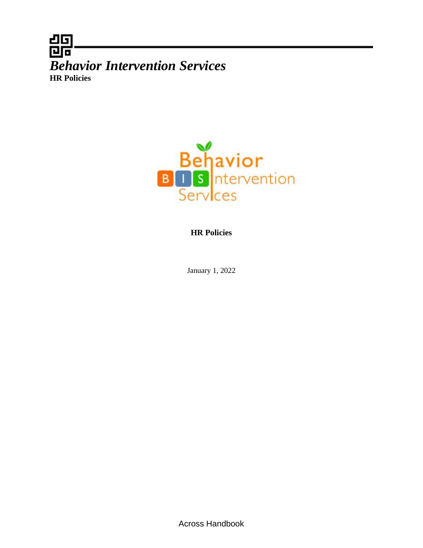

### **HR Policies**

January 1, 2022

Across Handbook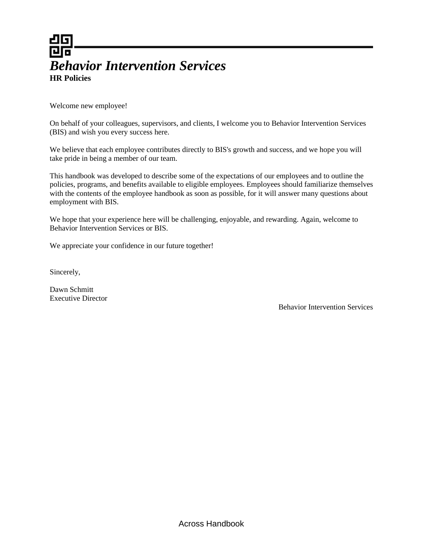Welcome new employee!

On behalf of your colleagues, supervisors, and clients, I welcome you to Behavior Intervention Services (BIS) and wish you every success here.

We believe that each employee contributes directly to BIS's growth and success, and we hope you will take pride in being a member of our team.

This handbook was developed to describe some of the expectations of our employees and to outline the policies, programs, and benefits available to eligible employees. Employees should familiarize themselves with the contents of the employee handbook as soon as possible, for it will answer many questions about employment with BIS.

We hope that your experience here will be challenging, enjoyable, and rewarding. Again, welcome to Behavior Intervention Services or BIS.

We appreciate your confidence in our future together!

Sincerely,

Dawn Schmitt Executive Director

Behavior Intervention Services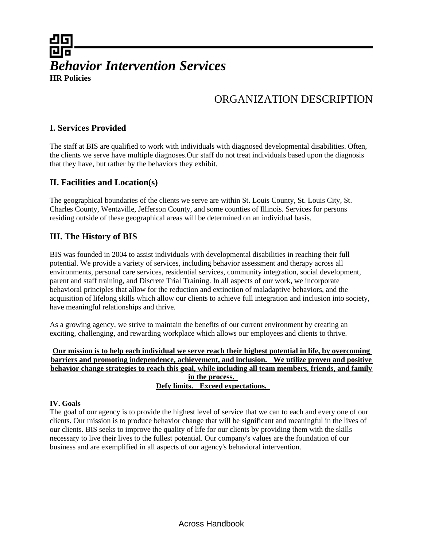### ORGANIZATION DESCRIPTION

### **I. Services Provided**

The staff at BIS are qualified to work with individuals with diagnosed developmental disabilities. Often, the clients we serve have multiple diagnoses.Our staff do not treat individuals based upon the diagnosis that they have, but rather by the behaviors they exhibit.

### **II. Facilities and Location(s)**

The geographical boundaries of the clients we serve are within St. Louis County, St. Louis City, St. Charles County, Wentzville, Jefferson County, and some counties of Illinois. Services for persons residing outside of these geographical areas will be determined on an individual basis.

### **III. The History of BIS**

BIS was founded in 2004 to assist individuals with developmental disabilities in reaching their full potential. We provide a variety of services, including behavior assessment and therapy across all environments, personal care services, residential services, community integration, social development, parent and staff training, and Discrete Trial Training. In all aspects of our work, we incorporate behavioral principles that allow for the reduction and extinction of maladaptive behaviors, and the acquisition of lifelong skills which allow our clients to achieve full integration and inclusion into society, have meaningful relationships and thrive.

As a growing agency, we strive to maintain the benefits of our current environment by creating an exciting, challenging, and rewarding workplace which allows our employees and clients to thrive.

#### **Our mission is to help each individual we serve reach their highest potential in life, by overcoming barriers and promoting independence, achievement, and inclusion. We utilize proven and positive behavior change strategies to reach this goal, while including all team members, friends, and family in the process. Defy limits. Exceed expectations.**

### **IV. Goals**

The goal of our agency is to provide the highest level of service that we can to each and every one of our clients. Our mission is to produce behavior change that will be significant and meaningful in the lives of our clients. BIS seeks to improve the quality of life for our clients by providing them with the skills necessary to live their lives to the fullest potential. Our company's values are the foundation of our business and are exemplified in all aspects of our agency's behavioral intervention.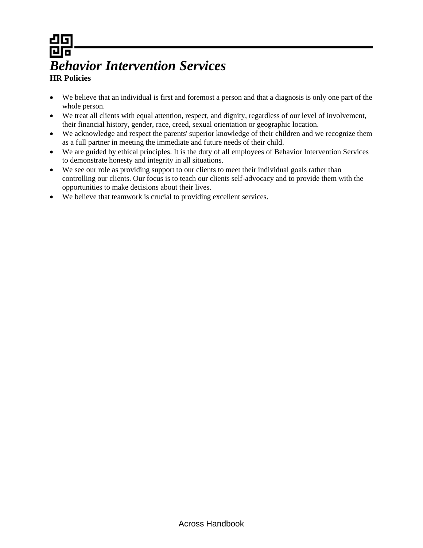- We believe that an individual is first and foremost a person and that a diagnosis is only one part of the whole person.
- We treat all clients with equal attention, respect, and dignity, regardless of our level of involvement, their financial history, gender, race, creed, sexual orientation or geographic location.
- We acknowledge and respect the parents' superior knowledge of their children and we recognize them as a full partner in meeting the immediate and future needs of their child.
- We are guided by ethical principles. It is the duty of all employees of Behavior Intervention Services to demonstrate honesty and integrity in all situations.
- We see our role as providing support to our clients to meet their individual goals rather than controlling our clients. Our focus is to teach our clients self-advocacy and to provide them with the opportunities to make decisions about their lives.
- We believe that teamwork is crucial to providing excellent services.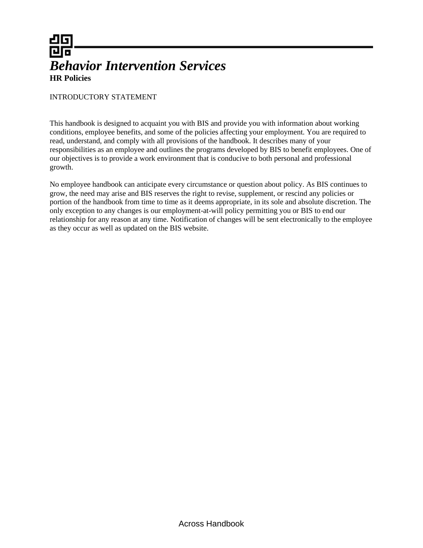INTRODUCTORY STATEMENT

This handbook is designed to acquaint you with BIS and provide you with information about working conditions, employee benefits, and some of the policies affecting your employment. You are required to read, understand, and comply with all provisions of the handbook. It describes many of your responsibilities as an employee and outlines the programs developed by BIS to benefit employees. One of our objectives is to provide a work environment that is conducive to both personal and professional growth.

No employee handbook can anticipate every circumstance or question about policy. As BIS continues to grow, the need may arise and BIS reserves the right to revise, supplement, or rescind any policies or portion of the handbook from time to time as it deems appropriate, in its sole and absolute discretion. The only exception to any changes is our employment-at-will policy permitting you or BIS to end our relationship for any reason at any time. Notification of changes will be sent electronically to the employee as they occur as well as updated on the BIS website.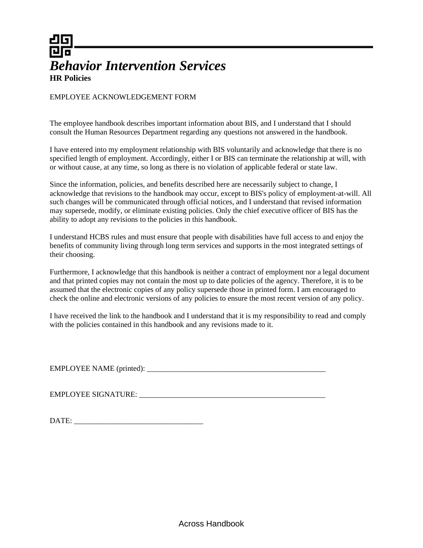EMPLOYEE ACKNOWLEDGEMENT FORM

The employee handbook describes important information about BIS, and I understand that I should consult the Human Resources Department regarding any questions not answered in the handbook.

I have entered into my employment relationship with BIS voluntarily and acknowledge that there is no specified length of employment. Accordingly, either I or BIS can terminate the relationship at will, with or without cause, at any time, so long as there is no violation of applicable federal or state law.

Since the information, policies, and benefits described here are necessarily subject to change, I acknowledge that revisions to the handbook may occur, except to BIS's policy of employment-at-will. All such changes will be communicated through official notices, and I understand that revised information may supersede, modify, or eliminate existing policies. Only the chief executive officer of BIS has the ability to adopt any revisions to the policies in this handbook.

I understand HCBS rules and must ensure that people with disabilities have full access to and enjoy the benefits of community living through long term services and supports in the most integrated settings of their choosing.

Furthermore, I acknowledge that this handbook is neither a contract of employment nor a legal document and that printed copies may not contain the most up to date policies of the agency. Therefore, it is to be assumed that the electronic copies of any policy supersede those in printed form. I am encouraged to check the online and electronic versions of any policies to ensure the most recent version of any policy.

I have received the link to the handbook and I understand that it is my responsibility to read and comply with the policies contained in this handbook and any revisions made to it.

EMPLOYEE NAME (printed): \_\_\_\_\_\_\_\_\_\_\_\_\_\_\_\_\_\_\_\_\_\_\_\_\_\_\_\_\_\_\_\_\_\_\_\_\_\_\_\_\_\_\_\_\_\_\_

EMPLOYEE SIGNATURE: \_\_\_\_\_\_\_\_\_\_\_\_\_\_\_\_\_\_\_\_\_\_\_\_\_\_\_\_\_\_\_\_\_\_\_\_\_\_\_\_\_\_\_\_\_\_\_\_\_

DATE: \_\_\_\_\_\_\_\_\_\_\_\_\_\_\_\_\_\_\_\_\_\_\_\_\_\_\_\_\_\_\_\_\_\_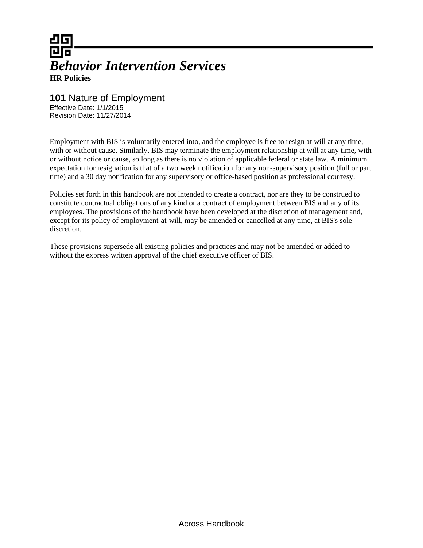### **101** Nature of Employment

Effective Date: 1/1/2015 Revision Date: 11/27/2014

Employment with BIS is voluntarily entered into, and the employee is free to resign at will at any time, with or without cause. Similarly, BIS may terminate the employment relationship at will at any time, with or without notice or cause, so long as there is no violation of applicable federal or state law. A minimum expectation for resignation is that of a two week notification for any non-supervisory position (full or part time) and a 30 day notification for any supervisory or office-based position as professional courtesy.

Policies set forth in this handbook are not intended to create a contract, nor are they to be construed to constitute contractual obligations of any kind or a contract of employment between BIS and any of its employees. The provisions of the handbook have been developed at the discretion of management and, except for its policy of employment-at-will, may be amended or cancelled at any time, at BIS's sole discretion.

These provisions supersede all existing policies and practices and may not be amended or added to without the express written approval of the chief executive officer of BIS.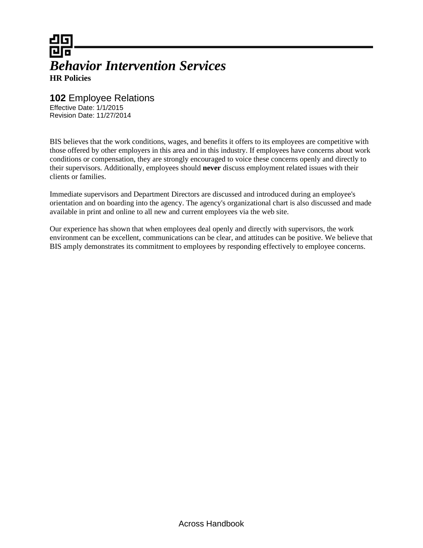### **102** Employee Relations

Effective Date: 1/1/2015 Revision Date: 11/27/2014

BIS believes that the work conditions, wages, and benefits it offers to its employees are competitive with those offered by other employers in this area and in this industry. If employees have concerns about work conditions or compensation, they are strongly encouraged to voice these concerns openly and directly to their supervisors. Additionally, employees should **never** discuss employment related issues with their clients or families.

Immediate supervisors and Department Directors are discussed and introduced during an employee's orientation and on boarding into the agency. The agency's organizational chart is also discussed and made available in print and online to all new and current employees via the web site.

Our experience has shown that when employees deal openly and directly with supervisors, the work environment can be excellent, communications can be clear, and attitudes can be positive. We believe that BIS amply demonstrates its commitment to employees by responding effectively to employee concerns.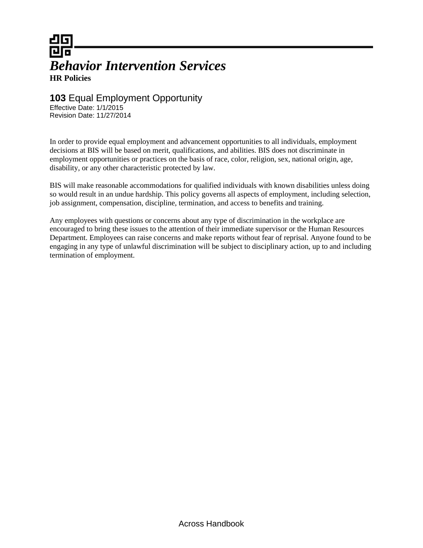### **103** Equal Employment Opportunity

Effective Date: 1/1/2015 Revision Date: 11/27/2014

In order to provide equal employment and advancement opportunities to all individuals, employment decisions at BIS will be based on merit, qualifications, and abilities. BIS does not discriminate in employment opportunities or practices on the basis of race, color, religion, sex, national origin, age, disability, or any other characteristic protected by law.

BIS will make reasonable accommodations for qualified individuals with known disabilities unless doing so would result in an undue hardship. This policy governs all aspects of employment, including selection, job assignment, compensation, discipline, termination, and access to benefits and training.

Any employees with questions or concerns about any type of discrimination in the workplace are encouraged to bring these issues to the attention of their immediate supervisor or the Human Resources Department. Employees can raise concerns and make reports without fear of reprisal. Anyone found to be engaging in any type of unlawful discrimination will be subject to disciplinary action, up to and including termination of employment.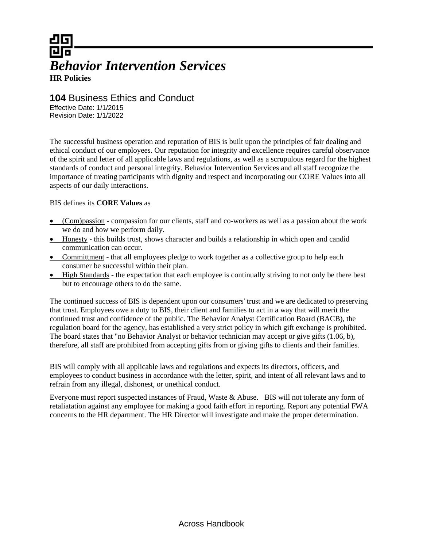### **104** Business Ethics and Conduct

Effective Date: 1/1/2015 Revision Date: 1/1/2022

The successful business operation and reputation of BIS is built upon the principles of fair dealing and ethical conduct of our employees. Our reputation for integrity and excellence requires careful observance of the spirit and letter of all applicable laws and regulations, as well as a scrupulous regard for the highest standards of conduct and personal integrity. Behavior Intervention Services and all staff recognize the importance of treating participants with dignity and respect and incorporating our CORE Values into all aspects of our daily interactions.

### BIS defines its **CORE Values** as

- (Com)passion compassion for our clients, staff and co-workers as well as a passion about the work we do and how we perform daily.
- Honesty this builds trust, shows character and builds a relationship in which open and candid communication can occur.
- Committment that all employees pledge to work together as a collective group to help each consumer be successful within their plan.
- High Standards the expectation that each employee is continually striving to not only be there best but to encourage others to do the same.

The continued success of BIS is dependent upon our consumers' trust and we are dedicated to preserving that trust. Employees owe a duty to BIS, their client and families to act in a way that will merit the continued trust and confidence of the public. The Behavior Analyst Certification Board (BACB), the regulation board for the agency, has established a very strict policy in which gift exchange is prohibited. The board states that "no Behavior Analyst or behavior technician may accept or give gifts (1.06, b), therefore, all staff are prohibited from accepting gifts from or giving gifts to clients and their families.

BIS will comply with all applicable laws and regulations and expects its directors, officers, and employees to conduct business in accordance with the letter, spirit, and intent of all relevant laws and to refrain from any illegal, dishonest, or unethical conduct.

Everyone must report suspected instances of Fraud, Waste & Abuse. BIS will not tolerate any form of retaliatation against any employee for making a good faith effort in reporting. Report any potential FWA concerns to the HR department. The HR Director will investigate and make the proper determination.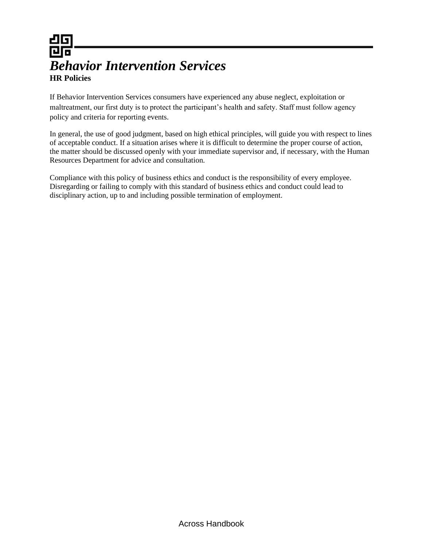If Behavior Intervention Services consumers have experienced any abuse neglect, exploitation or maltreatment, our first duty is to protect the participant's health and safety. Staff must follow agency policy and criteria for reporting events.

In general, the use of good judgment, based on high ethical principles, will guide you with respect to lines of acceptable conduct. If a situation arises where it is difficult to determine the proper course of action, the matter should be discussed openly with your immediate supervisor and, if necessary, with the Human Resources Department for advice and consultation.

Compliance with this policy of business ethics and conduct is the responsibility of every employee. Disregarding or failing to comply with this standard of business ethics and conduct could lead to disciplinary action, up to and including possible termination of employment.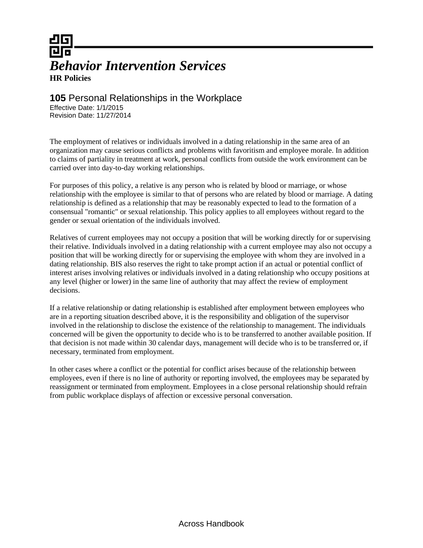### **105** Personal Relationships in the Workplace

Effective Date: 1/1/2015 Revision Date: 11/27/2014

The employment of relatives or individuals involved in a dating relationship in the same area of an organization may cause serious conflicts and problems with favoritism and employee morale. In addition to claims of partiality in treatment at work, personal conflicts from outside the work environment can be carried over into day-to-day working relationships.

For purposes of this policy, a relative is any person who is related by blood or marriage, or whose relationship with the employee is similar to that of persons who are related by blood or marriage. A dating relationship is defined as a relationship that may be reasonably expected to lead to the formation of a consensual "romantic" or sexual relationship. This policy applies to all employees without regard to the gender or sexual orientation of the individuals involved.

Relatives of current employees may not occupy a position that will be working directly for or supervising their relative. Individuals involved in a dating relationship with a current employee may also not occupy a position that will be working directly for or supervising the employee with whom they are involved in a dating relationship. BIS also reserves the right to take prompt action if an actual or potential conflict of interest arises involving relatives or individuals involved in a dating relationship who occupy positions at any level (higher or lower) in the same line of authority that may affect the review of employment decisions.

If a relative relationship or dating relationship is established after employment between employees who are in a reporting situation described above, it is the responsibility and obligation of the supervisor involved in the relationship to disclose the existence of the relationship to management. The individuals concerned will be given the opportunity to decide who is to be transferred to another available position. If that decision is not made within 30 calendar days, management will decide who is to be transferred or, if necessary, terminated from employment.

In other cases where a conflict or the potential for conflict arises because of the relationship between employees, even if there is no line of authority or reporting involved, the employees may be separated by reassignment or terminated from employment. Employees in a close personal relationship should refrain from public workplace displays of affection or excessive personal conversation.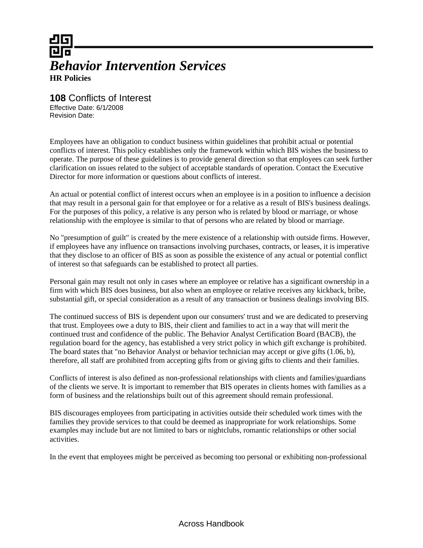**108** Conflicts of Interest

Effective Date: 6/1/2008 Revision Date:

Employees have an obligation to conduct business within guidelines that prohibit actual or potential conflicts of interest. This policy establishes only the framework within which BIS wishes the business to operate. The purpose of these guidelines is to provide general direction so that employees can seek further clarification on issues related to the subject of acceptable standards of operation. Contact the Executive Director for more information or questions about conflicts of interest.

An actual or potential conflict of interest occurs when an employee is in a position to influence a decision that may result in a personal gain for that employee or for a relative as a result of BIS's business dealings. For the purposes of this policy, a relative is any person who is related by blood or marriage, or whose relationship with the employee is similar to that of persons who are related by blood or marriage.

No "presumption of guilt" is created by the mere existence of a relationship with outside firms. However, if employees have any influence on transactions involving purchases, contracts, or leases, it is imperative that they disclose to an officer of BIS as soon as possible the existence of any actual or potential conflict of interest so that safeguards can be established to protect all parties.

Personal gain may result not only in cases where an employee or relative has a significant ownership in a firm with which BIS does business, but also when an employee or relative receives any kickback, bribe, substantial gift, or special consideration as a result of any transaction or business dealings involving BIS.

The continued success of BIS is dependent upon our consumers' trust and we are dedicated to preserving that trust. Employees owe a duty to BIS, their client and families to act in a way that will merit the continued trust and confidence of the public. The Behavior Analyst Certification Board (BACB), the regulation board for the agency, has established a very strict policy in which gift exchange is prohibited. The board states that "no Behavior Analyst or behavior technician may accept or give gifts (1.06, b), therefore, all staff are prohibited from accepting gifts from or giving gifts to clients and their families.

Conflicts of interest is also defined as non-professional relationships with clients and families/guardians of the clients we serve. It is important to remember that BIS operates in clients homes with families as a form of business and the relationships built out of this agreement should remain professional.

BIS discourages employees from participating in activities outside their scheduled work times with the families they provide services to that could be deemed as inappropriate for work relationships. Some examples may include but are not limited to bars or nightclubs, romantic relationships or other social activities.

In the event that employees might be perceived as becoming too personal or exhibiting non-professional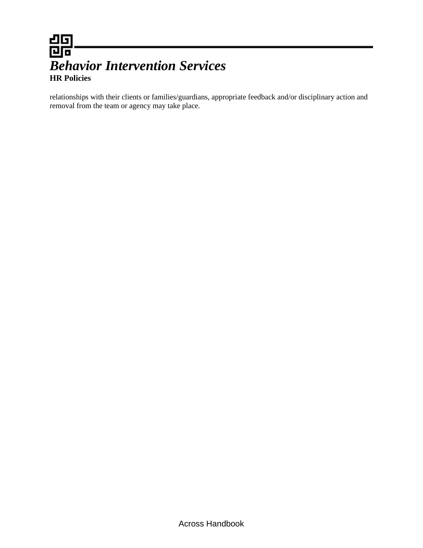relationships with their clients or families/guardians, appropriate feedback and/or disciplinary action and removal from the team or agency may take place.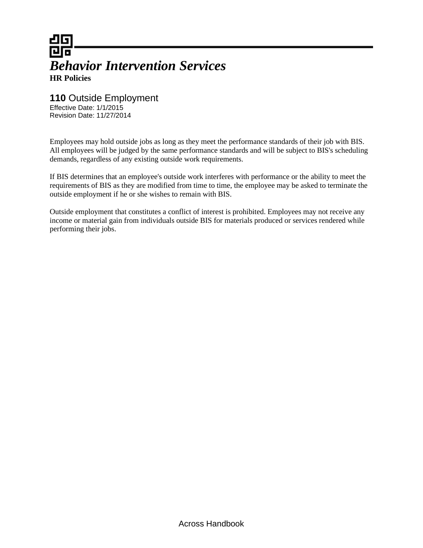### **110** Outside Employment

Effective Date: 1/1/2015 Revision Date: 11/27/2014

Employees may hold outside jobs as long as they meet the performance standards of their job with BIS. All employees will be judged by the same performance standards and will be subject to BIS's scheduling demands, regardless of any existing outside work requirements.

If BIS determines that an employee's outside work interferes with performance or the ability to meet the requirements of BIS as they are modified from time to time, the employee may be asked to terminate the outside employment if he or she wishes to remain with BIS.

Outside employment that constitutes a conflict of interest is prohibited. Employees may not receive any income or material gain from individuals outside BIS for materials produced or services rendered while performing their jobs.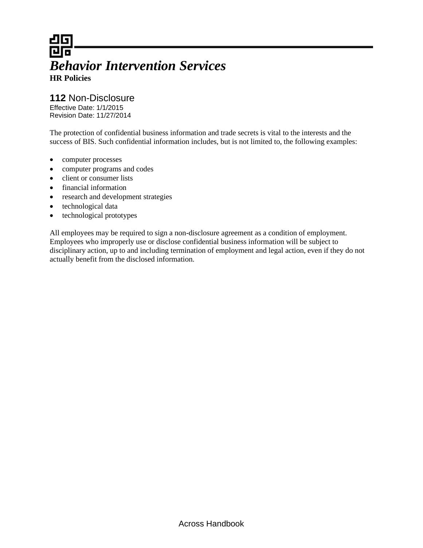### **112** Non-Disclosure

Effective Date: 1/1/2015 Revision Date: 11/27/2014

The protection of confidential business information and trade secrets is vital to the interests and the success of BIS. Such confidential information includes, but is not limited to, the following examples:

- computer processes
- computer programs and codes
- client or consumer lists
- financial information
- research and development strategies
- technological data
- technological prototypes

All employees may be required to sign a non-disclosure agreement as a condition of employment. Employees who improperly use or disclose confidential business information will be subject to disciplinary action, up to and including termination of employment and legal action, even if they do not actually benefit from the disclosed information.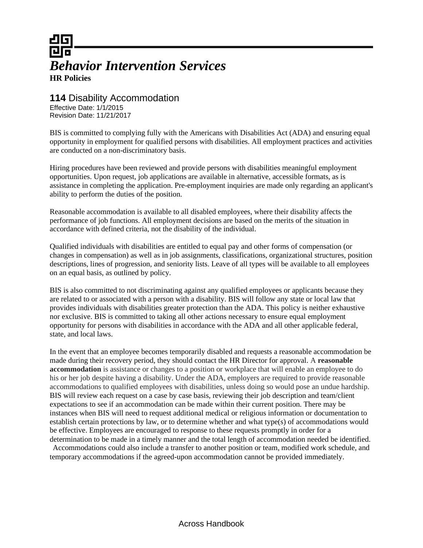### **114** Disability Accommodation

Effective Date: 1/1/2015 Revision Date: 11/21/2017

BIS is committed to complying fully with the Americans with Disabilities Act (ADA) and ensuring equal opportunity in employment for qualified persons with disabilities. All employment practices and activities are conducted on a non-discriminatory basis.

Hiring procedures have been reviewed and provide persons with disabilities meaningful employment opportunities. Upon request, job applications are available in alternative, accessible formats, as is assistance in completing the application. Pre-employment inquiries are made only regarding an applicant's ability to perform the duties of the position.

Reasonable accommodation is available to all disabled employees, where their disability affects the performance of job functions. All employment decisions are based on the merits of the situation in accordance with defined criteria, not the disability of the individual.

Qualified individuals with disabilities are entitled to equal pay and other forms of compensation (or changes in compensation) as well as in job assignments, classifications, organizational structures, position descriptions, lines of progression, and seniority lists. Leave of all types will be available to all employees on an equal basis, as outlined by policy.

BIS is also committed to not discriminating against any qualified employees or applicants because they are related to or associated with a person with a disability. BIS will follow any state or local law that provides individuals with disabilities greater protection than the ADA. This policy is neither exhaustive nor exclusive. BIS is committed to taking all other actions necessary to ensure equal employment opportunity for persons with disabilities in accordance with the ADA and all other applicable federal, state, and local laws.

In the event that an employee becomes temporarily disabled and requests a reasonable accommodation be made during their recovery period, they should contact the HR Director for approval. A **reasonable accommodation** is assistance or changes to a position or workplace that will enable an employee to do his or her job despite having a disability. Under the ADA, employers are required to provide reasonable accommodations to qualified employees with disabilities, unless doing so would pose an undue hardship. BIS will review each request on a case by case basis, reviewing their job description and team/client expectations to see if an accommodation can be made within their current position. There may be instances when BIS will need to request additional medical or religious information or documentation to establish certain protections by law, or to determine whether and what type(s) of accommodations would be effective. Employees are encouraged to response to these requests promptly in order for a determination to be made in a timely manner and the total length of accommodation needed be identified.

Accommodations could also include a transfer to another position or team, modified work schedule, and temporary accommodations if the agreed-upon accommodation cannot be provided immediately.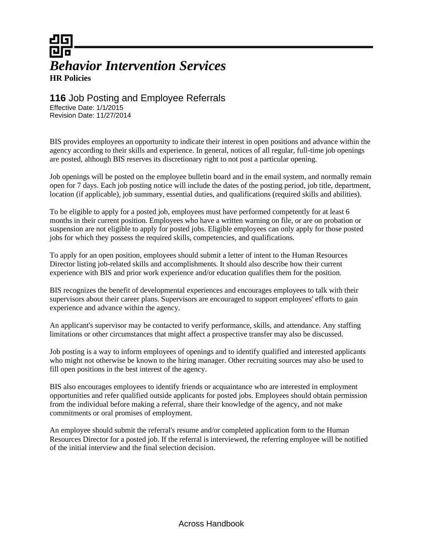### **116** Job Posting and Employee Referrals

Effective Date: 1/1/2015 Revision Date: 11/27/2014

BIS provides employees an opportunity to indicate their interest in open positions and advance within the agency according to their skills and experience. In general, notices of all regular, full-time job openings are posted, although BIS reserves its discretionary right to not post a particular opening.

Job openings will be posted on the employee bulletin board and in the email system, and normally remain open for 7 days. Each job posting notice will include the dates of the posting period, job title, department, location (if applicable), job summary, essential duties, and qualifications (required skills and abilities).

To be eligible to apply for a posted job, employees must have performed competently for at least 6 months in their current position. Employees who have a written warning on file, or are on probation or suspension are not eligible to apply for posted jobs. Eligible employees can only apply for those posted jobs for which they possess the required skills, competencies, and qualifications.

To apply for an open position, employees should submit a letter of intent to the Human Resources Director listing job-related skills and accomplishments. It should also describe how their current experience with BIS and prior work experience and/or education qualifies them for the position.

BIS recognizes the benefit of developmental experiences and encourages employees to talk with their supervisors about their career plans. Supervisors are encouraged to support employees' efforts to gain experience and advance within the agency.

An applicant's supervisor may be contacted to verify performance, skills, and attendance. Any staffing limitations or other circumstances that might affect a prospective transfer may also be discussed.

Job posting is a way to inform employees of openings and to identify qualified and interested applicants who might not otherwise be known to the hiring manager. Other recruiting sources may also be used to fill open positions in the best interest of the agency.

BIS also encourages employees to identify friends or acquaintance who are interested in employment opportunities and refer qualified outside applicants for posted jobs. Employees should obtain permission from the individual before making a referral, share their knowledge of the agency, and not make commitments or oral promises of employment.

An employee should submit the referral's resume and/or completed application form to the Human Resources Director for a posted job. If the referral is interviewed, the referring employee will be notified of the initial interview and the final selection decision.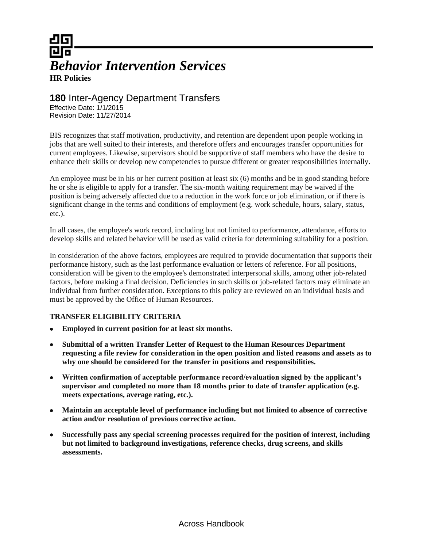### **180** Inter-Agency Department Transfers

Effective Date: 1/1/2015 Revision Date: 11/27/2014

BIS recognizes that staff motivation, productivity, and retention are dependent upon people working in jobs that are well suited to their interests, and therefore offers and encourages transfer opportunities for current employees. Likewise, supervisors should be supportive of staff members who have the desire to enhance their skills or develop new competencies to pursue different or greater responsibilities internally.

An employee must be in his or her current position at least six (6) months and be in good standing before he or she is eligible to apply for a transfer. The six-month waiting requirement may be waived if the position is being adversely affected due to a reduction in the work force or job elimination, or if there is significant change in the terms and conditions of employment (e.g. work schedule, hours, salary, status, etc.).

In all cases, the employee's work record, including but not limited to performance, attendance, efforts to develop skills and related behavior will be used as valid criteria for determining suitability for a position.

In consideration of the above factors, employees are required to provide documentation that supports their performance history, such as the last performance evaluation or letters of reference. For all positions, consideration will be given to the employee's demonstrated interpersonal skills, among other job-related factors, before making a final decision. Deficiencies in such skills or job-related factors may eliminate an individual from further consideration. Exceptions to this policy are reviewed on an individual basis and must be approved by the Office of Human Resources.

### **TRANSFER ELIGIBILITY CRITERIA**

- **Employed in current position for at least six months.**
- **Submittal of a written Transfer Letter of Request to the Human Resources Department requesting a file review for consideration in the open position and listed reasons and assets as to why one should be considered for the transfer in positions and responsibilities.**
- **Written confirmation of acceptable performance record/evaluation signed by the applicant's supervisor and completed no more than 18 months prior to date of transfer application (e.g. meets expectations, average rating, etc.).**
- **Maintain an acceptable level of performance including but not limited to absence of corrective action and/or resolution of previous corrective action.**
- **Successfully pass any special screening processes required for the position of interest, including but not limited to background investigations, reference checks, drug screens, and skills assessments.**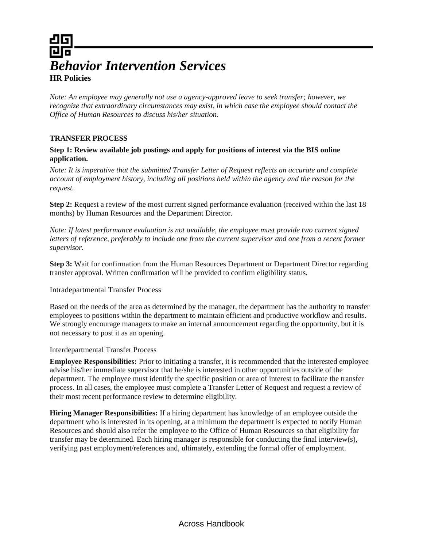*Note: An employee may generally not use a agency-approved leave to seek transfer; however, we recognize that extraordinary circumstances may exist, in which case the employee should contact the Office of Human Resources to discuss his/her situation.*

### **TRANSFER PROCESS**

#### **Step 1: Review available job postings and apply for positions of interest via the BIS online application.**

*Note: It is imperative that the submitted Transfer Letter of Request reflects an accurate and complete account of employment history, including all positions held within the agency and the reason for the request.* 

**Step 2:** Request a review of the most current signed performance evaluation (received within the last 18 months) by Human Resources and the Department Director.

*Note: If latest performance evaluation is not available, the employee must provide two current signed letters of reference, preferably to include one from the current supervisor and one from a recent former supervisor.*

**Step 3:** Wait for confirmation from the Human Resources Department or Department Director regarding transfer approval. Written confirmation will be provided to confirm eligibility status.

Intradepartmental Transfer Process

Based on the needs of the area as determined by the manager, the department has the authority to transfer employees to positions within the department to maintain efficient and productive workflow and results. We strongly encourage managers to make an internal announcement regarding the opportunity, but it is not necessary to post it as an opening.

#### Interdepartmental Transfer Process

**Employee Responsibilities:** Prior to initiating a transfer, it is recommended that the interested employee advise his/her immediate supervisor that he/she is interested in other opportunities outside of the department. The employee must identify the specific position or area of interest to facilitate the transfer process. In all cases, the employee must complete a Transfer Letter of Request and request a review of their most recent performance review to determine eligibility.

**Hiring Manager Responsibilities:** If a hiring department has knowledge of an employee outside the department who is interested in its opening, at a minimum the department is expected to notify Human Resources and should also refer the employee to the Office of Human Resources so that eligibility for transfer may be determined. Each hiring manager is responsible for conducting the final interview(s), verifying past employment/references and, ultimately, extending the formal offer of employment.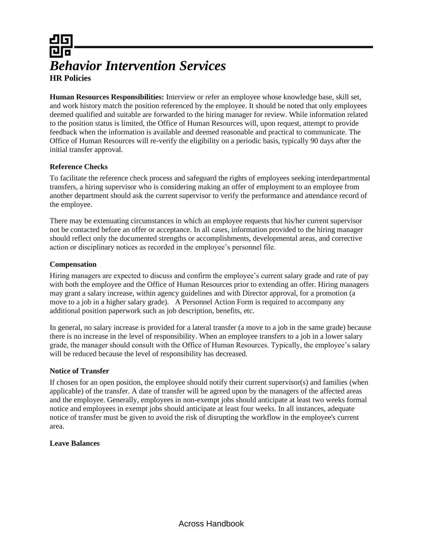**Human Resources Responsibilities:** Interview or refer an employee whose knowledge base, skill set, and work history match the position referenced by the employee. It should be noted that only employees deemed qualified and suitable are forwarded to the hiring manager for review. While information related to the position status is limited, the Office of Human Resources will, upon request, attempt to provide feedback when the information is available and deemed reasonable and practical to communicate. The Office of Human Resources will re-verify the eligibility on a periodic basis, typically 90 days after the initial transfer approval.

### **Reference Checks**

To facilitate the reference check process and safeguard the rights of employees seeking interdepartmental transfers, a hiring supervisor who is considering making an offer of employment to an employee from another department should ask the current supervisor to verify the performance and attendance record of the employee.

There may be extenuating circumstances in which an employee requests that his/her current supervisor not be contacted before an offer or acceptance. In all cases, information provided to the hiring manager should reflect only the documented strengths or accomplishments, developmental areas, and corrective action or disciplinary notices as recorded in the employee's personnel file.

### **Compensation**

Hiring managers are expected to discuss and confirm the employee's current salary grade and rate of pay with both the employee and the Office of Human Resources prior to extending an offer. Hiring managers may grant a salary increase, within agency guidelines and with Director approval, for a promotion (a move to a job in a higher salary grade). A Personnel Action Form is required to accompany any additional position paperwork such as job description, benefits, etc.

In general, no salary increase is provided for a lateral transfer (a move to a job in the same grade) because there is no increase in the level of responsibility. When an employee transfers to a job in a lower salary grade, the manager should consult with the Office of Human Resources. Typically, the employee's salary will be reduced because the level of responsibility has decreased.

### **Notice of Transfer**

If chosen for an open position, the employee should notify their current supervisor(s) and families (when applicable) of the transfer. A date of transfer will be agreed upon by the managers of the affected areas and the employee. Generally, employees in non-exempt jobs should anticipate at least two weeks formal notice and employees in exempt jobs should anticipate at least four weeks. In all instances, adequate notice of transfer must be given to avoid the risk of disrupting the workflow in the employee's current area.

#### **Leave Balances**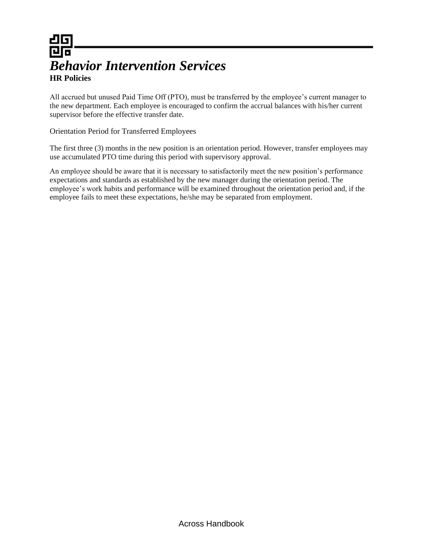All accrued but unused Paid Time Off (PTO), must be transferred by the employee's current manager to the new department. Each employee is encouraged to confirm the accrual balances with his/her current supervisor before the effective transfer date.

Orientation Period for Transferred Employees

The first three (3) months in the new position is an orientation period. However, transfer employees may use accumulated PTO time during this period with supervisory approval.

An employee should be aware that it is necessary to satisfactorily meet the new position's performance expectations and standards as established by the new manager during the orientation period. The employee's work habits and performance will be examined throughout the orientation period and, if the employee fails to meet these expectations, he/she may be separated from employment.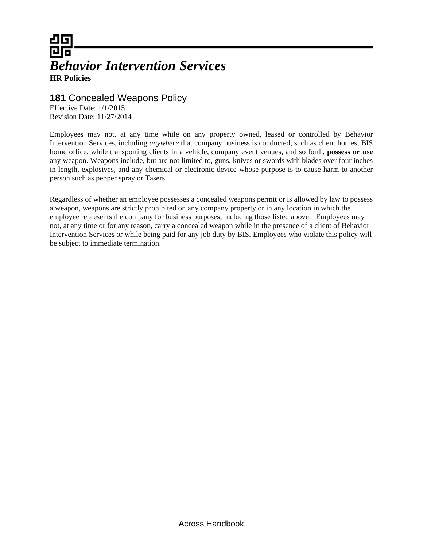### **181** Concealed Weapons Policy

Effective Date: 1/1/2015 Revision Date: 11/27/2014

Employees may not, at any time while on any property owned, leased or controlled by Behavior Intervention Services, including *anywhere* that company business is conducted, such as client homes, BIS home office, while transporting clients in a vehicle, company event venues, and so forth, **possess or use** any weapon. Weapons include, but are not limited to, guns, knives or swords with blades over four inches in length, explosives, and any chemical or electronic device whose purpose is to cause harm to another person such as pepper spray or Tasers.

Regardless of whether an employee possesses a concealed weapons permit or is allowed by law to possess a weapon, weapons are strictly prohibited on any company property or in any location in which the employee represents the company for business purposes, including those listed above. Employees may not, at any time or for any reason, carry a concealed weapon while in the presence of a client of Behavior Intervention Services or while being paid for any job duty by BIS. Employees who violate this policy will be subject to immediate termination.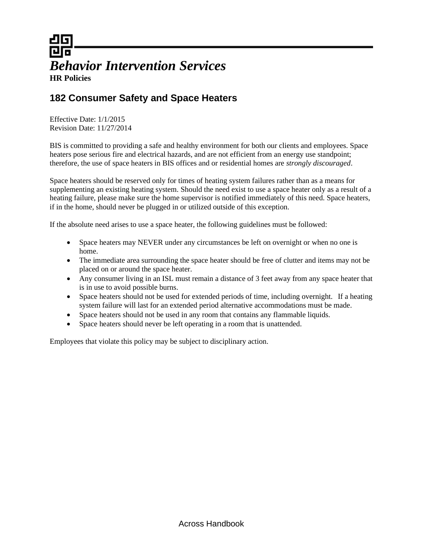### **182 Consumer Safety and Space Heaters**

Effective Date: 1/1/2015 Revision Date: 11/27/2014

BIS is committed to providing a safe and healthy environment for both our clients and employees. Space heaters pose serious fire and electrical hazards, and are not efficient from an energy use standpoint; therefore, the use of space heaters in BIS offices and or residential homes are *strongly discouraged*.

Space heaters should be reserved only for times of heating system failures rather than as a means for supplementing an existing heating system. Should the need exist to use a space heater only as a result of a heating failure, please make sure the home supervisor is notified immediately of this need. Space heaters, if in the home, should never be plugged in or utilized outside of this exception.

If the absolute need arises to use a space heater, the following guidelines must be followed:

- Space heaters may NEVER under any circumstances be left on overnight or when no one is home.
- The immediate area surrounding the space heater should be free of clutter and items may not be placed on or around the space heater.
- Any consumer living in an ISL must remain a distance of 3 feet away from any space heater that is in use to avoid possible burns.
- Space heaters should not be used for extended periods of time, including overnight. If a heating system failure will last for an extended period alternative accommodations must be made.
- Space heaters should not be used in any room that contains any flammable liquids.
- Space heaters should never be left operating in a room that is unattended.

Employees that violate this policy may be subject to disciplinary action.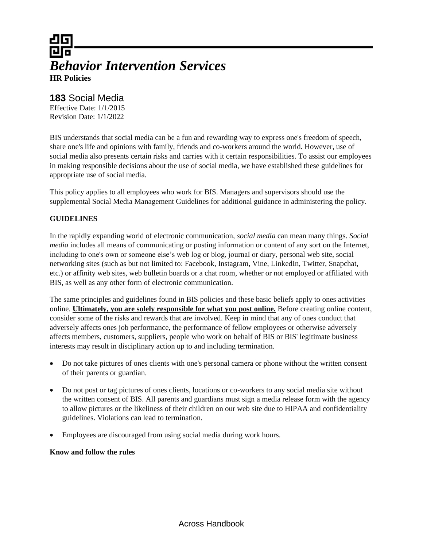### **183** Social Media

Effective Date: 1/1/2015 Revision Date: 1/1/2022

BIS understands that social media can be a fun and rewarding way to express one's freedom of speech, share one's life and opinions with family, friends and co-workers around the world. However, use of social media also presents certain risks and carries with it certain responsibilities. To assist our employees in making responsible decisions about the use of social media, we have established these guidelines for appropriate use of social media.

This policy applies to all employees who work for BIS. Managers and supervisors should use the supplemental Social Media Management Guidelines for additional guidance in administering the policy.

### **GUIDELINES**

In the rapidly expanding world of electronic communication, *social media* can mean many things. *Social media* includes all means of communicating or posting information or content of any sort on the Internet, including to one's own or someone else's web log or blog, journal or diary, personal web site, social networking sites (such as but not limited to: Facebook, Instagram, Vine, LinkedIn, Twitter, Snapchat, etc.) or affinity web sites, web bulletin boards or a chat room, whether or not employed or affiliated with BIS, as well as any other form of electronic communication.

The same principles and guidelines found in BIS policies and these basic beliefs apply to ones activities online. **Ultimately, you are solely responsible for what you post online.** Before creating online content, consider some of the risks and rewards that are involved. Keep in mind that any of ones conduct that adversely affects ones job performance, the performance of fellow employees or otherwise adversely affects members, customers, suppliers, people who work on behalf of BIS or BIS' legitimate business interests may result in disciplinary action up to and including termination.

- Do not take pictures of ones clients with one's personal camera or phone without the written consent of their parents or guardian.
- Do not post or tag pictures of ones clients, locations or co-workers to any social media site without the written consent of BIS. All parents and guardians must sign a media release form with the agency to allow pictures or the likeliness of their children on our web site due to HIPAA and confidentiality guidelines. Violations can lead to termination.
- Employees are discouraged from using social media during work hours.

#### **Know and follow the rules**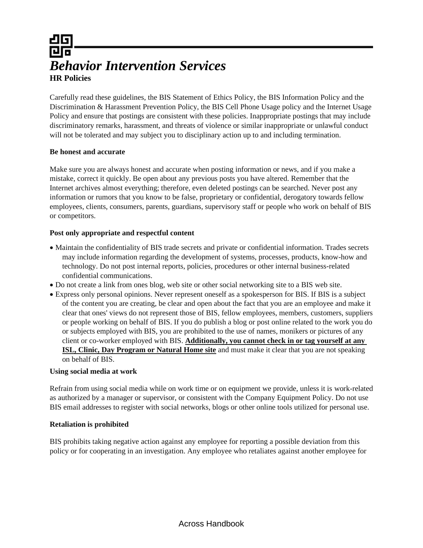Carefully read these guidelines, the BIS Statement of Ethics Policy, the BIS Information Policy and the Discrimination & Harassment Prevention Policy, the BIS Cell Phone Usage policy and the Internet Usage Policy and ensure that postings are consistent with these policies. Inappropriate postings that may include discriminatory remarks, harassment, and threats of violence or similar inappropriate or unlawful conduct will not be tolerated and may subject you to disciplinary action up to and including termination.

### **Be honest and accurate**

Make sure you are always honest and accurate when posting information or news, and if you make a mistake, correct it quickly. Be open about any previous posts you have altered. Remember that the Internet archives almost everything; therefore, even deleted postings can be searched. Never post any information or rumors that you know to be false, proprietary or confidential, derogatory towards fellow employees, clients, consumers, parents, guardians, supervisory staff or people who work on behalf of BIS or competitors.

### **Post only appropriate and respectful content**

- Maintain the confidentiality of BIS trade secrets and private or confidential information. Trades secrets may include information regarding the development of systems, processes, products, know-how and technology. Do not post internal reports, policies, procedures or other internal business-related confidential communications.
- Do not create a link from ones blog, web site or other social networking site to a BIS web site.
- Express only personal opinions. Never represent oneself as a spokesperson for BIS. If BIS is a subject of the content you are creating, be clear and open about the fact that you are an employee and make it clear that ones' views do not represent those of BIS, fellow employees, members, customers, suppliers or people working on behalf of BIS. If you do publish a blog or post online related to the work you do or subjects employed with BIS, you are prohibited to the use of names, monikers or pictures of any client or co-worker employed with BIS. **Additionally, you cannot check in or tag yourself at any ISL, Clinic, Day Program or Natural Home site** and must make it clear that you are not speaking on behalf of BIS.

#### **Using social media at work**

Refrain from using social media while on work time or on equipment we provide, unless it is work-related as authorized by a manager or supervisor, or consistent with the Company Equipment Policy. Do not use BIS email addresses to register with social networks, blogs or other online tools utilized for personal use.

#### **Retaliation is prohibited**

BIS prohibits taking negative action against any employee for reporting a possible deviation from this policy or for cooperating in an investigation. Any employee who retaliates against another employee for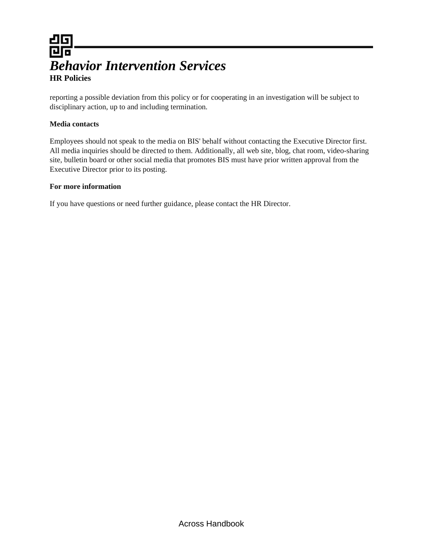reporting a possible deviation from this policy or for cooperating in an investigation will be subject to disciplinary action, up to and including termination.

### **Media contacts**

Employees should not speak to the media on BIS' behalf without contacting the Executive Director first. All media inquiries should be directed to them. Additionally, all web site, blog, chat room, video-sharing site, bulletin board or other social media that promotes BIS must have prior written approval from the Executive Director prior to its posting.

### **For more information**

If you have questions or need further guidance, please contact the HR Director.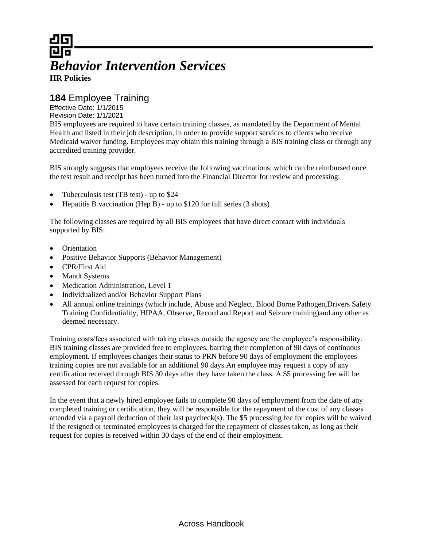### **184** Employee Training

Effective Date: 1/1/2015 Revision Date: 1/1/2021

BIS employees are required to have certain training classes, as mandated by the Department of Mental Health and listed in their job description, in order to provide support services to clients who receive Medicaid waiver funding. Employees may obtain this training through a BIS training class or through any accredited training provider.

BIS strongly suggests that employees receive the following vaccinations, which can be reimbursed once the test result and receipt has been turned into the Financial Director for review and processing:

- Tuberculosis test (TB test) up to \$24
- Hepatitis B vaccination (Hep B) up to \$120 for full series (3 shots)

The following classes are required by all BIS employees that have direct contact with individuals supported by BIS:

- **Orientation**
- Positive Behavior Supports (Behavior Management)
- CPR/First Aid
- Mandt Systems
- Medication Administration, Level 1
- Individualized and/or Behavior Support Plans
- All annual online trainings (which include, Abuse and Neglect, Blood Borne Pathogen,Drivers Safety Training Confidentiality, HIPAA, Observe, Record and Report and Seizure training)and any other as deemed necessary.

Training costs/fees associated with taking classes outside the agency are the employee's responsibility. BIS training classes are provided free to employees, barring their completion of 90 days of continuous employment. If employees changes their status to PRN before 90 days of employment the employees training copies are not available for an additional 90 days.An employee may request a copy of any certification received through BIS 30 days after they have taken the class. A \$5 processing fee will be assessed for each request for copies.

In the event that a newly hired employee fails to complete 90 days of employment from the date of any completed training or certification, they will be responsible for the repayment of the cost of any classes attended via a payroll deduction of their last paycheck(s). The \$5 processing fee for copies will be waived if the resigned or terminated employees is charged for the repayment of classes taken, as long as their request for copies is received within 30 days of the end of their employment.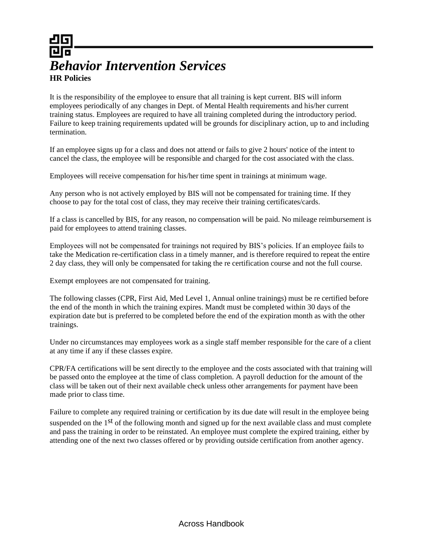It is the responsibility of the employee to ensure that all training is kept current. BIS will inform employees periodically of any changes in Dept. of Mental Health requirements and his/her current training status. Employees are required to have all training completed during the introductory period. Failure to keep training requirements updated will be grounds for disciplinary action, up to and including termination.

If an employee signs up for a class and does not attend or fails to give 2 hours' notice of the intent to cancel the class, the employee will be responsible and charged for the cost associated with the class.

Employees will receive compensation for his/her time spent in trainings at minimum wage.

Any person who is not actively employed by BIS will not be compensated for training time. If they choose to pay for the total cost of class, they may receive their training certificates/cards.

If a class is cancelled by BIS, for any reason, no compensation will be paid. No mileage reimbursement is paid for employees to attend training classes.

Employees will not be compensated for trainings not required by BIS's policies. If an employee fails to take the Medication re-certification class in a timely manner, and is therefore required to repeat the entire 2 day class, they will only be compensated for taking the re certification course and not the full course.

Exempt employees are not compensated for training.

The following classes (CPR, First Aid, Med Level 1, Annual online trainings) must be re certified before the end of the month in which the training expires. Mandt must be completed within 30 days of the expiration date but is preferred to be completed before the end of the expiration month as with the other trainings.

Under no circumstances may employees work as a single staff member responsible for the care of a client at any time if any if these classes expire.

CPR/FA certifications will be sent directly to the employee and the costs associated with that training will be passed onto the employee at the time of class completion. A payroll deduction for the amount of the class will be taken out of their next available check unless other arrangements for payment have been made prior to class time.

Failure to complete any required training or certification by its due date will result in the employee being suspended on the 1<sup>st</sup> of the following month and signed up for the next available class and must complete and pass the training in order to be reinstated. An employee must complete the expired training, either by attending one of the next two classes offered or by providing outside certification from another agency.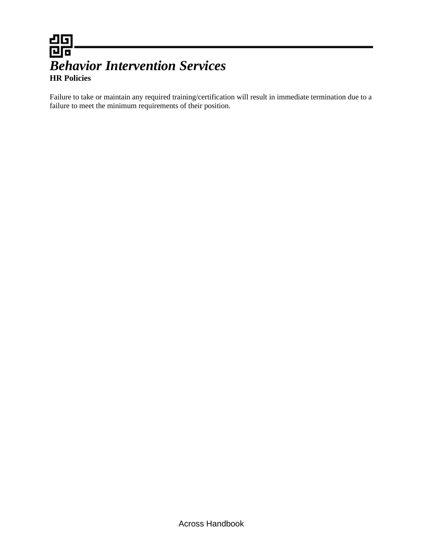Failure to take or maintain any required training/certification will result in immediate termination due to a failure to meet the minimum requirements of their position.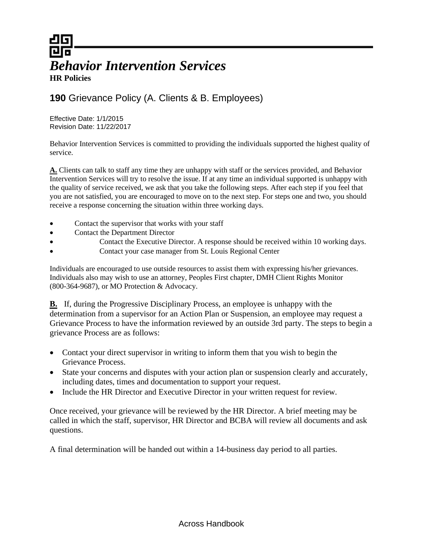**190** Grievance Policy (A. Clients & B. Employees)

Effective Date: 1/1/2015 Revision Date: 11/22/2017

Behavior Intervention Services is committed to providing the individuals supported the highest quality of service.

**A.** Clients can talk to staff any time they are unhappy with staff or the services provided, and Behavior Intervention Services will try to resolve the issue. If at any time an individual supported is unhappy with the quality of service received, we ask that you take the following steps. After each step if you feel that you are not satisfied, you are encouraged to move on to the next step. For steps one and two, you should receive a response concerning the situation within three working days.

- Contact the supervisor that works with your staff
- Contact the Department Director
- Contact the Executive Director. A response should be received within 10 working days.
- Contact your case manager from St. Louis Regional Center

Individuals are encouraged to use outside resources to assist them with expressing his/her grievances. Individuals also may wish to use an attorney, Peoples First chapter, DMH Client Rights Monitor (800-364-9687), or MO Protection & Advocacy.

**B.** If, during the Progressive Disciplinary Process, an employee is unhappy with the determination from a supervisor for an Action Plan or Suspension, an employee may request a Grievance Process to have the information reviewed by an outside 3rd party. The steps to begin a grievance Process are as follows:

- Contact your direct supervisor in writing to inform them that you wish to begin the Grievance Process.
- State your concerns and disputes with your action plan or suspension clearly and accurately, including dates, times and documentation to support your request.
- Include the HR Director and Executive Director in your written request for review.

Once received, your grievance will be reviewed by the HR Director. A brief meeting may be called in which the staff, supervisor, HR Director and BCBA will review all documents and ask questions.

A final determination will be handed out within a 14-business day period to all parties.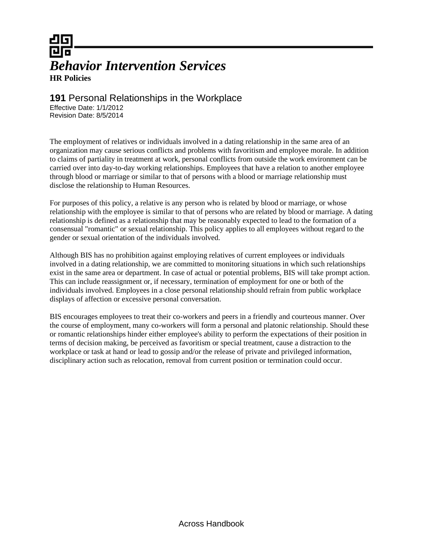### **191** Personal Relationships in the Workplace

Effective Date: 1/1/2012 Revision Date: 8/5/2014

The employment of relatives or individuals involved in a dating relationship in the same area of an organization may cause serious conflicts and problems with favoritism and employee morale. In addition to claims of partiality in treatment at work, personal conflicts from outside the work environment can be carried over into day-to-day working relationships. Employees that have a relation to another employee through blood or marriage or similar to that of persons with a blood or marriage relationship must disclose the relationship to Human Resources.

For purposes of this policy, a relative is any person who is related by blood or marriage, or whose relationship with the employee is similar to that of persons who are related by blood or marriage. A dating relationship is defined as a relationship that may be reasonably expected to lead to the formation of a consensual "romantic" or sexual relationship. This policy applies to all employees without regard to the gender or sexual orientation of the individuals involved.

Although BIS has no prohibition against employing relatives of current employees or individuals involved in a dating relationship, we are committed to monitoring situations in which such relationships exist in the same area or department. In case of actual or potential problems, BIS will take prompt action. This can include reassignment or, if necessary, termination of employment for one or both of the individuals involved. Employees in a close personal relationship should refrain from public workplace displays of affection or excessive personal conversation.

BIS encourages employees to treat their co-workers and peers in a friendly and courteous manner. Over the course of employment, many co-workers will form a personal and platonic relationship. Should these or romantic relationships hinder either employee's ability to perform the expectations of their position in terms of decision making, be perceived as favoritism or special treatment, cause a distraction to the workplace or task at hand or lead to gossip and/or the release of private and privileged information, disciplinary action such as relocation, removal from current position or termination could occur.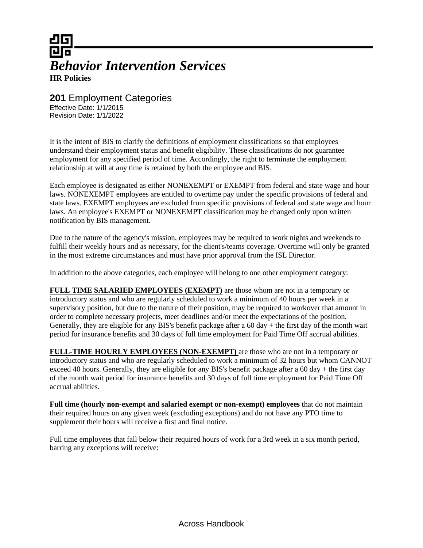**201** Employment Categories

Effective Date: 1/1/2015 Revision Date: 1/1/2022

It is the intent of BIS to clarify the definitions of employment classifications so that employees understand their employment status and benefit eligibility. These classifications do not guarantee employment for any specified period of time. Accordingly, the right to terminate the employment relationship at will at any time is retained by both the employee and BIS.

Each employee is designated as either NONEXEMPT or EXEMPT from federal and state wage and hour laws. NONEXEMPT employees are entitled to overtime pay under the specific provisions of federal and state laws. EXEMPT employees are excluded from specific provisions of federal and state wage and hour laws. An employee's EXEMPT or NONEXEMPT classification may be changed only upon written notification by BIS management.

Due to the nature of the agency's mission, employees may be required to work nights and weekends to fulfill their weekly hours and as necessary, for the client's/teams coverage. Overtime will only be granted in the most extreme circumstances and must have prior approval from the ISL Director.

In addition to the above categories, each employee will belong to one other employment category:

**FULL TIME SALARIED EMPLOYEES (EXEMPT)** are those whom are not in a temporary or introductory status and who are regularly scheduled to work a minimum of 40 hours per week in a supervisory position, but due to the nature of their position, may be required to workover that amount in order to complete necessary projects, meet deadlines and/or meet the expectations of the position. Generally, they are eligible for any BIS's benefit package after a 60 day + the first day of the month wait period for insurance benefits and 30 days of full time employment for Paid Time Off accrual abilities.

**FULL-TIME HOURLY EMPLOYEES (NON-EXEMPT)** are those who are not in a temporary or introductory status and who are regularly scheduled to work a minimum of 32 hours but whom CANNOT exceed 40 hours. Generally, they are eligible for any BIS's benefit package after a 60 day + the first day of the month wait period for insurance benefits and 30 days of full time employment for Paid Time Off accrual abilities.

**Full time (hourly non-exempt and salaried exempt or non-exempt) employees** that do not maintain their required hours on any given week (excluding exceptions) and do not have any PTO time to supplement their hours will receive a first and final notice.

Full time employees that fall below their required hours of work for a 3rd week in a six month period, barring any exceptions will receive: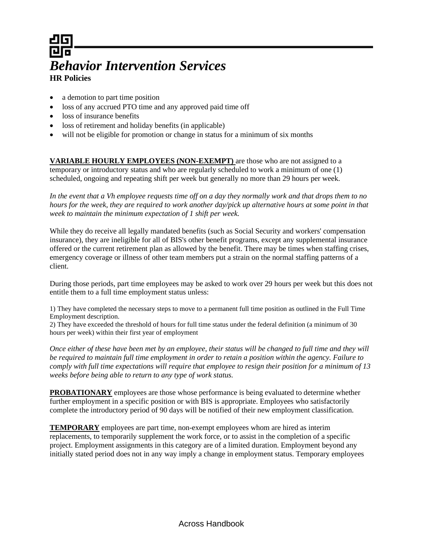- a demotion to part time position
- loss of any accrued PTO time and any approved paid time off
- loss of insurance benefits
- loss of retirement and holiday benefits (in applicable)
- will not be eligible for promotion or change in status for a minimum of six months

**VARIABLE HOURLY EMPLOYEES (NON-EXEMPT)** are those who are not assigned to a temporary or introductory status and who are regularly scheduled to work a minimum of one (1) scheduled, ongoing and repeating shift per week but generally no more than 29 hours per week.

*In the event that a Vh employee requests time off on a day they normally work and that drops them to no hours for the week, they are required to work another day/pick up alternative hours at some point in that week to maintain the minimum expectation of 1 shift per week.* 

While they do receive all legally mandated benefits (such as Social Security and workers' compensation insurance), they are ineligible for all of BIS's other benefit programs, except any supplemental insurance offered or the current retirement plan as allowed by the benefit. There may be times when staffing crises, emergency coverage or illness of other team members put a strain on the normal staffing patterns of a client.

During those periods, part time employees may be asked to work over 29 hours per week but this does not entitle them to a full time employment status unless:

1) They have completed the necessary steps to move to a permanent full time position as outlined in the Full Time Employment description.

2) They have exceeded the threshold of hours for full time status under the federal definition (a minimum of 30 hours per week) within their first year of employment

*Once either of these have been met by an employee, their status will be changed to full time and they will be required to maintain full time employment in order to retain a position within the agency. Failure to comply with full time expectations will require that employee to resign their position for a minimum of 13 weeks before being able to return to any type of work status.* 

**PROBATIONARY** employees are those whose performance is being evaluated to determine whether further employment in a specific position or with BIS is appropriate. Employees who satisfactorily complete the introductory period of 90 days will be notified of their new employment classification.

**TEMPORARY** employees are part time, non-exempt employees whom are hired as interim replacements, to temporarily supplement the work force, or to assist in the completion of a specific project. Employment assignments in this category are of a limited duration. Employment beyond any initially stated period does not in any way imply a change in employment status. Temporary employees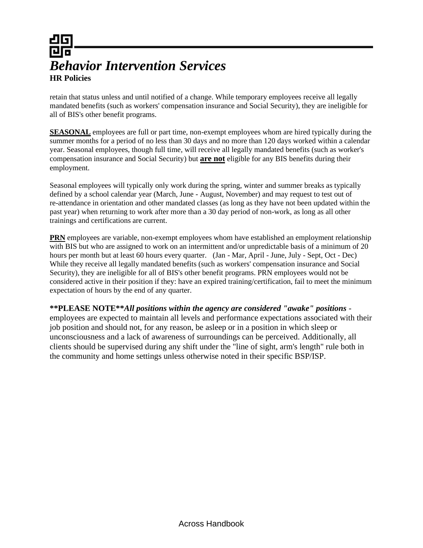retain that status unless and until notified of a change. While temporary employees receive all legally mandated benefits (such as workers' compensation insurance and Social Security), they are ineligible for all of BIS's other benefit programs.

**SEASONAL** employees are full or part time, non-exempt employees whom are hired typically during the summer months for a period of no less than 30 days and no more than 120 days worked within a calendar year. Seasonal employees, though full time, will receive all legally mandated benefits (such as worker's compensation insurance and Social Security) but **are not** eligible for any BIS benefits during their employment.

Seasonal employees will typically only work during the spring, winter and summer breaks as typically defined by a school calendar year (March, June - August, November) and may request to test out of re-attendance in orientation and other mandated classes (as long as they have not been updated within the past year) when returning to work after more than a 30 day period of non-work, as long as all other trainings and certifications are current.

**PRN** employees are variable, non-exempt employees whom have established an employment relationship with BIS but who are assigned to work on an intermittent and/or unpredictable basis of a minimum of 20 hours per month but at least 60 hours every quarter. (Jan - Mar, April - June, July - Sept, Oct - Dec) While they receive all legally mandated benefits (such as workers' compensation insurance and Social Security), they are ineligible for all of BIS's other benefit programs. PRN employees would not be considered active in their position if they: have an expired training/certification, fail to meet the minimum expectation of hours by the end of any quarter.

**\*\*PLEASE NOTE\*\****All positions within the agency are considered "awake" positions*  employees are expected to maintain all levels and performance expectations associated with their job position and should not, for any reason, be asleep or in a position in which sleep or unconsciousness and a lack of awareness of surroundings can be perceived. Additionally, all clients should be supervised during any shift under the "line of sight, arm's length" rule both in the community and home settings unless otherwise noted in their specific BSP/ISP.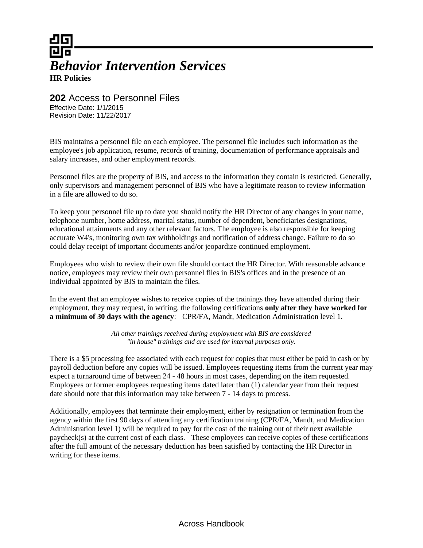### **202** Access to Personnel Files

Effective Date: 1/1/2015 Revision Date: 11/22/2017

BIS maintains a personnel file on each employee. The personnel file includes such information as the employee's job application, resume, records of training, documentation of performance appraisals and salary increases, and other employment records.

Personnel files are the property of BIS, and access to the information they contain is restricted. Generally, only supervisors and management personnel of BIS who have a legitimate reason to review information in a file are allowed to do so.

To keep your personnel file up to date you should notify the HR Director of any changes in your name, telephone number, home address, marital status, number of dependent, beneficiaries designations, educational attainments and any other relevant factors. The employee is also responsible for keeping accurate W4's, monitoring own tax withholdings and notification of address change. Failure to do so could delay receipt of important documents and/or jeopardize continued employment.

Employees who wish to review their own file should contact the HR Director. With reasonable advance notice, employees may review their own personnel files in BIS's offices and in the presence of an individual appointed by BIS to maintain the files.

In the event that an employee wishes to receive copies of the trainings they have attended during their employment, they may request, in writing, the following certifications **only after they have worked for a minimum of 30 days with the agency**: CPR/FA, Mandt, Medication Administration level 1.

> *All other trainings received during employment with BIS are considered "in house" trainings and are used for internal purposes only.*

There is a \$5 processing fee associated with each request for copies that must either be paid in cash or by payroll deduction before any copies will be issued. Employees requesting items from the current year may expect a turnaround time of between 24 - 48 hours in most cases, depending on the item requested. Employees or former employees requesting items dated later than (1) calendar year from their request date should note that this information may take between 7 - 14 days to process.

Additionally, employees that terminate their employment, either by resignation or termination from the agency within the first 90 days of attending any certification training (CPR/FA, Mandt, and Medication Administration level 1) will be required to pay for the cost of the training out of their next available paycheck(s) at the current cost of each class. These employees can receive copies of these certifications after the full amount of the necessary deduction has been satisfied by contacting the HR Director in writing for these items.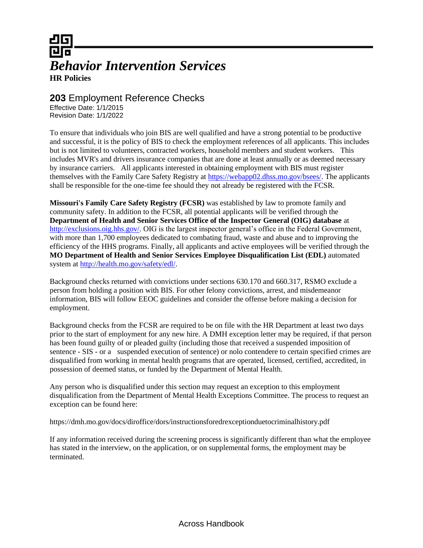#### **203** Employment Reference Checks

Effective Date: 1/1/2015 Revision Date: 1/1/2022

To ensure that individuals who join BIS are well qualified and have a strong potential to be productive and successful, it is the policy of BIS to check the employment references of all applicants. This includes but is not limited to volunteers, contracted workers, household members and student workers. This includes MVR's and drivers insurance companies that are done at least annually or as deemed necessary by insurance carriers. All applicants interested in obtaining employment with BIS must register themselves with the Family Care Safety Registry at https://webapp02.dhss.mo.gov/bsees/. The applicants shall be responsible for the one-time fee should they not already be registered with the FCSR.

**Missouri's Family Care Safety Registry (FCSR)** was established by law to promote family and community safety. In addition to the FCSR, all potential applicants will be verified through the **Department of Health and Senior Services Office of the Inspector General (OIG) database** at http://exclusions.oig.hhs.gov/. OIG is the largest inspector general's office in the Federal Government, with more than 1,700 employees dedicated to combating fraud, waste and abuse and to improving the efficiency of the HHS programs. Finally, all applicants and active employees will be verified through the **MO Department of Health and Senior Services Employee Disqualification List (EDL)** automated system at http://health.mo.gov/safety/edl/.

Background checks returned with convictions under sections 630.170 and 660.317, RSMO exclude a person from holding a position with BIS. For other felony convictions, arrest, and misdemeanor information, BIS will follow EEOC guidelines and consider the offense before making a decision for employment.

Background checks from the FCSR are required to be on file with the HR Department at least two days prior to the start of employment for any new hire. A DMH exception letter may be required, if that person has been found guilty of or pleaded guilty (including those that received a suspended imposition of sentence - SIS - or a suspended execution of sentence) or nolo contendere to certain specified crimes are disqualified from working in mental health programs that are operated, licensed, certified, accredited, in possession of deemed status, or funded by the Department of Mental Health.

Any person who is disqualified under this section may request an exception to this employment disqualification from the Department of Mental Health Exceptions Committee. The process to request an exception can be found here:

https://dmh.mo.gov/docs/diroffice/dors/instructionsforedrexceptionduetocriminalhistory.pdf

If any information received during the screening process is significantly different than what the employee has stated in the interview, on the application, or on supplemental forms, the employment may be terminated.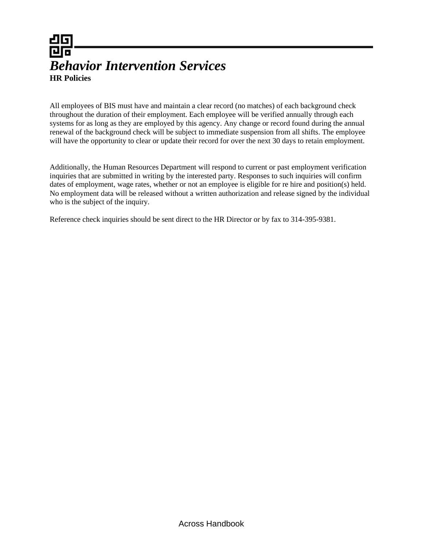All employees of BIS must have and maintain a clear record (no matches) of each background check throughout the duration of their employment. Each employee will be verified annually through each systems for as long as they are employed by this agency. Any change or record found during the annual renewal of the background check will be subject to immediate suspension from all shifts. The employee will have the opportunity to clear or update their record for over the next 30 days to retain employment.

Additionally, the Human Resources Department will respond to current or past employment verification inquiries that are submitted in writing by the interested party. Responses to such inquiries will confirm dates of employment, wage rates, whether or not an employee is eligible for re hire and position(s) held. No employment data will be released without a written authorization and release signed by the individual who is the subject of the inquiry.

Reference check inquiries should be sent direct to the HR Director or by fax to 314-395-9381.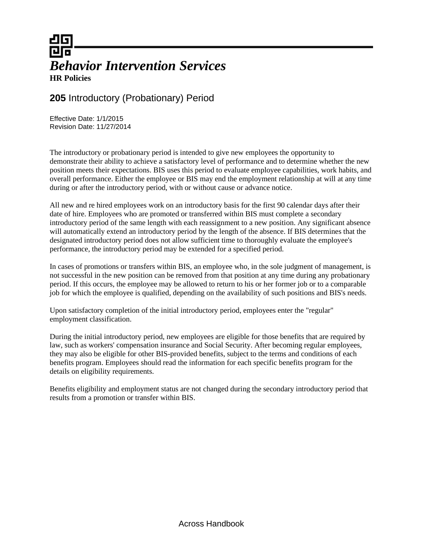**205** Introductory (Probationary) Period

Effective Date: 1/1/2015 Revision Date: 11/27/2014

The introductory or probationary period is intended to give new employees the opportunity to demonstrate their ability to achieve a satisfactory level of performance and to determine whether the new position meets their expectations. BIS uses this period to evaluate employee capabilities, work habits, and overall performance. Either the employee or BIS may end the employment relationship at will at any time during or after the introductory period, with or without cause or advance notice.

All new and re hired employees work on an introductory basis for the first 90 calendar days after their date of hire. Employees who are promoted or transferred within BIS must complete a secondary introductory period of the same length with each reassignment to a new position. Any significant absence will automatically extend an introductory period by the length of the absence. If BIS determines that the designated introductory period does not allow sufficient time to thoroughly evaluate the employee's performance, the introductory period may be extended for a specified period.

In cases of promotions or transfers within BIS, an employee who, in the sole judgment of management, is not successful in the new position can be removed from that position at any time during any probationary period. If this occurs, the employee may be allowed to return to his or her former job or to a comparable job for which the employee is qualified, depending on the availability of such positions and BIS's needs.

Upon satisfactory completion of the initial introductory period, employees enter the "regular" employment classification.

During the initial introductory period, new employees are eligible for those benefits that are required by law, such as workers' compensation insurance and Social Security. After becoming regular employees, they may also be eligible for other BIS-provided benefits, subject to the terms and conditions of each benefits program. Employees should read the information for each specific benefits program for the details on eligibility requirements.

Benefits eligibility and employment status are not changed during the secondary introductory period that results from a promotion or transfer within BIS.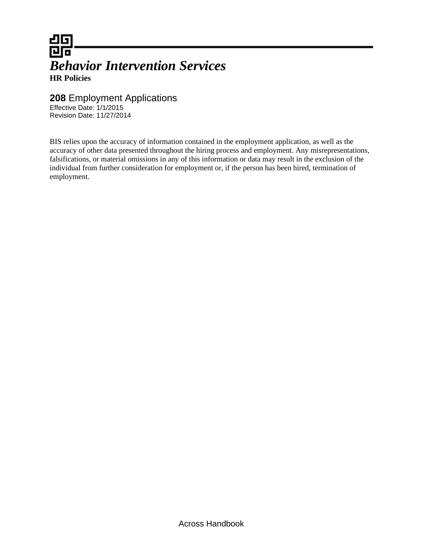#### **208** Employment Applications

Effective Date: 1/1/2015 Revision Date: 11/27/2014

BIS relies upon the accuracy of information contained in the employment application, as well as the accuracy of other data presented throughout the hiring process and employment. Any misrepresentations, falsifications, or material omissions in any of this information or data may result in the exclusion of the individual from further consideration for employment or, if the person has been hired, termination of employment.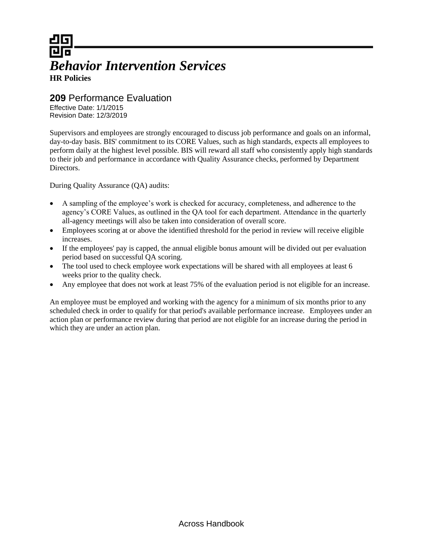#### **209** Performance Evaluation

Effective Date: 1/1/2015 Revision Date: 12/3/2019

Supervisors and employees are strongly encouraged to discuss job performance and goals on an informal, day-to-day basis. BIS' commitment to its CORE Values, such as high standards, expects all employees to perform daily at the highest level possible. BIS will reward all staff who consistently apply high standards to their job and performance in accordance with Quality Assurance checks, performed by Department Directors.

During Quality Assurance (QA) audits:

- A sampling of the employee's work is checked for accuracy, completeness, and adherence to the agency's CORE Values, as outlined in the QA tool for each department. Attendance in the quarterly all-agency meetings will also be taken into consideration of overall score.
- Employees scoring at or above the identified threshold for the period in review will receive eligible increases.
- If the employees' pay is capped, the annual eligible bonus amount will be divided out per evaluation period based on successful QA scoring.
- The tool used to check employee work expectations will be shared with all employees at least 6 weeks prior to the quality check.
- Any employee that does not work at least 75% of the evaluation period is not eligible for an increase.

An employee must be employed and working with the agency for a minimum of six months prior to any scheduled check in order to qualify for that period's available performance increase. Employees under an action plan or performance review during that period are not eligible for an increase during the period in which they are under an action plan.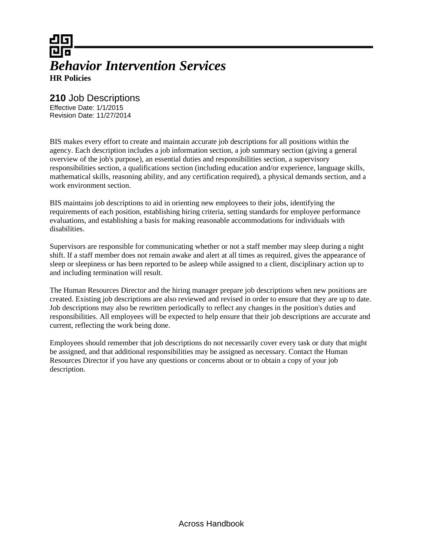#### **210** Job Descriptions

Effective Date: 1/1/2015 Revision Date: 11/27/2014

BIS makes every effort to create and maintain accurate job descriptions for all positions within the agency. Each description includes a job information section, a job summary section (giving a general overview of the job's purpose), an essential duties and responsibilities section, a supervisory responsibilities section, a qualifications section (including education and/or experience, language skills, mathematical skills, reasoning ability, and any certification required), a physical demands section, and a work environment section.

BIS maintains job descriptions to aid in orienting new employees to their jobs, identifying the requirements of each position, establishing hiring criteria, setting standards for employee performance evaluations, and establishing a basis for making reasonable accommodations for individuals with disabilities.

Supervisors are responsible for communicating whether or not a staff member may sleep during a night shift. If a staff member does not remain awake and alert at all times as required, gives the appearance of sleep or sleepiness or has been reported to be asleep while assigned to a client, disciplinary action up to and including termination will result.

The Human Resources Director and the hiring manager prepare job descriptions when new positions are created. Existing job descriptions are also reviewed and revised in order to ensure that they are up to date. Job descriptions may also be rewritten periodically to reflect any changes in the position's duties and responsibilities. All employees will be expected to help ensure that their job descriptions are accurate and current, reflecting the work being done.

Employees should remember that job descriptions do not necessarily cover every task or duty that might be assigned, and that additional responsibilities may be assigned as necessary. Contact the Human Resources Director if you have any questions or concerns about or to obtain a copy of your job description.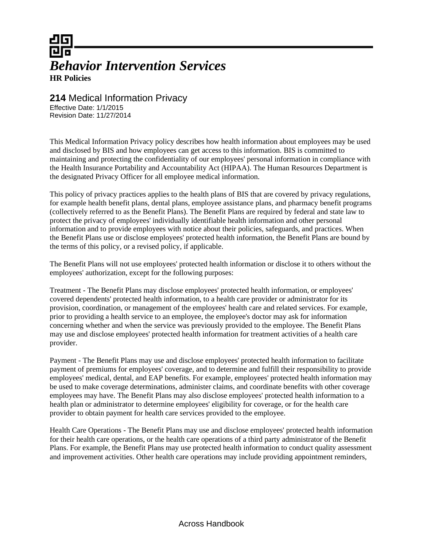#### **214** Medical Information Privacy

Effective Date: 1/1/2015 Revision Date: 11/27/2014

This Medical Information Privacy policy describes how health information about employees may be used and disclosed by BIS and how employees can get access to this information. BIS is committed to maintaining and protecting the confidentiality of our employees' personal information in compliance with the Health Insurance Portability and Accountability Act (HIPAA). The Human Resources Department is the designated Privacy Officer for all employee medical information.

This policy of privacy practices applies to the health plans of BIS that are covered by privacy regulations, for example health benefit plans, dental plans, employee assistance plans, and pharmacy benefit programs (collectively referred to as the Benefit Plans). The Benefit Plans are required by federal and state law to protect the privacy of employees' individually identifiable health information and other personal information and to provide employees with notice about their policies, safeguards, and practices. When the Benefit Plans use or disclose employees' protected health information, the Benefit Plans are bound by the terms of this policy, or a revised policy, if applicable.

The Benefit Plans will not use employees' protected health information or disclose it to others without the employees' authorization, except for the following purposes:

Treatment - The Benefit Plans may disclose employees' protected health information, or employees' covered dependents' protected health information, to a health care provider or administrator for its provision, coordination, or management of the employees' health care and related services. For example, prior to providing a health service to an employee, the employee's doctor may ask for information concerning whether and when the service was previously provided to the employee. The Benefit Plans may use and disclose employees' protected health information for treatment activities of a health care provider.

Payment - The Benefit Plans may use and disclose employees' protected health information to facilitate payment of premiums for employees' coverage, and to determine and fulfill their responsibility to provide employees' medical, dental, and EAP benefits. For example, employees' protected health information may be used to make coverage determinations, administer claims, and coordinate benefits with other coverage employees may have. The Benefit Plans may also disclose employees' protected health information to a health plan or administrator to determine employees' eligibility for coverage, or for the health care provider to obtain payment for health care services provided to the employee.

Health Care Operations - The Benefit Plans may use and disclose employees' protected health information for their health care operations, or the health care operations of a third party administrator of the Benefit Plans. For example, the Benefit Plans may use protected health information to conduct quality assessment and improvement activities. Other health care operations may include providing appointment reminders,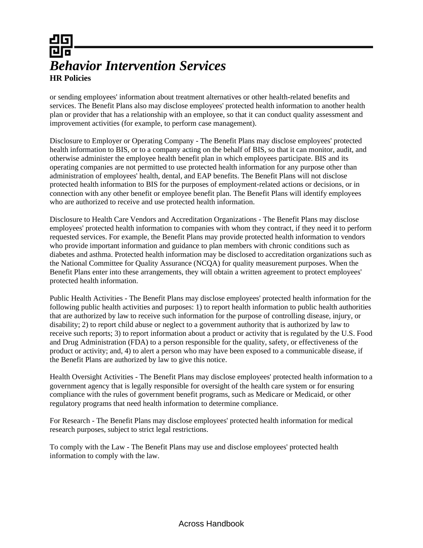or sending employees' information about treatment alternatives or other health-related benefits and services. The Benefit Plans also may disclose employees' protected health information to another health plan or provider that has a relationship with an employee, so that it can conduct quality assessment and improvement activities (for example, to perform case management).

Disclosure to Employer or Operating Company - The Benefit Plans may disclose employees' protected health information to BIS, or to a company acting on the behalf of BIS, so that it can monitor, audit, and otherwise administer the employee health benefit plan in which employees participate. BIS and its operating companies are not permitted to use protected health information for any purpose other than administration of employees' health, dental, and EAP benefits. The Benefit Plans will not disclose protected health information to BIS for the purposes of employment-related actions or decisions, or in connection with any other benefit or employee benefit plan. The Benefit Plans will identify employees who are authorized to receive and use protected health information.

Disclosure to Health Care Vendors and Accreditation Organizations - The Benefit Plans may disclose employees' protected health information to companies with whom they contract, if they need it to perform requested services. For example, the Benefit Plans may provide protected health information to vendors who provide important information and guidance to plan members with chronic conditions such as diabetes and asthma. Protected health information may be disclosed to accreditation organizations such as the National Committee for Quality Assurance (NCQA) for quality measurement purposes. When the Benefit Plans enter into these arrangements, they will obtain a written agreement to protect employees' protected health information.

Public Health Activities - The Benefit Plans may disclose employees' protected health information for the following public health activities and purposes: 1) to report health information to public health authorities that are authorized by law to receive such information for the purpose of controlling disease, injury, or disability; 2) to report child abuse or neglect to a government authority that is authorized by law to receive such reports; 3) to report information about a product or activity that is regulated by the U.S. Food and Drug Administration (FDA) to a person responsible for the quality, safety, or effectiveness of the product or activity; and, 4) to alert a person who may have been exposed to a communicable disease, if the Benefit Plans are authorized by law to give this notice.

Health Oversight Activities - The Benefit Plans may disclose employees' protected health information to a government agency that is legally responsible for oversight of the health care system or for ensuring compliance with the rules of government benefit programs, such as Medicare or Medicaid, or other regulatory programs that need health information to determine compliance.

For Research - The Benefit Plans may disclose employees' protected health information for medical research purposes, subject to strict legal restrictions.

To comply with the Law - The Benefit Plans may use and disclose employees' protected health information to comply with the law.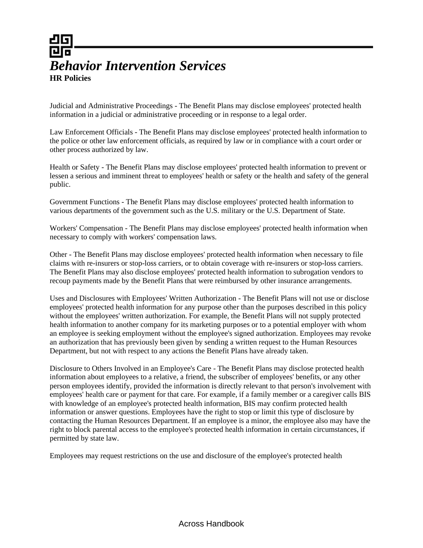Judicial and Administrative Proceedings - The Benefit Plans may disclose employees' protected health information in a judicial or administrative proceeding or in response to a legal order.

Law Enforcement Officials - The Benefit Plans may disclose employees' protected health information to the police or other law enforcement officials, as required by law or in compliance with a court order or other process authorized by law.

Health or Safety - The Benefit Plans may disclose employees' protected health information to prevent or lessen a serious and imminent threat to employees' health or safety or the health and safety of the general public.

Government Functions - The Benefit Plans may disclose employees' protected health information to various departments of the government such as the U.S. military or the U.S. Department of State.

Workers' Compensation - The Benefit Plans may disclose employees' protected health information when necessary to comply with workers' compensation laws.

Other - The Benefit Plans may disclose employees' protected health information when necessary to file claims with re-insurers or stop-loss carriers, or to obtain coverage with re-insurers or stop-loss carriers. The Benefit Plans may also disclose employees' protected health information to subrogation vendors to recoup payments made by the Benefit Plans that were reimbursed by other insurance arrangements.

Uses and Disclosures with Employees' Written Authorization - The Benefit Plans will not use or disclose employees' protected health information for any purpose other than the purposes described in this policy without the employees' written authorization. For example, the Benefit Plans will not supply protected health information to another company for its marketing purposes or to a potential employer with whom an employee is seeking employment without the employee's signed authorization. Employees may revoke an authorization that has previously been given by sending a written request to the Human Resources Department, but not with respect to any actions the Benefit Plans have already taken.

Disclosure to Others Involved in an Employee's Care - The Benefit Plans may disclose protected health information about employees to a relative, a friend, the subscriber of employees' benefits, or any other person employees identify, provided the information is directly relevant to that person's involvement with employees' health care or payment for that care. For example, if a family member or a caregiver calls BIS with knowledge of an employee's protected health information, BIS may confirm protected health information or answer questions. Employees have the right to stop or limit this type of disclosure by contacting the Human Resources Department. If an employee is a minor, the employee also may have the right to block parental access to the employee's protected health information in certain circumstances, if permitted by state law.

Employees may request restrictions on the use and disclosure of the employee's protected health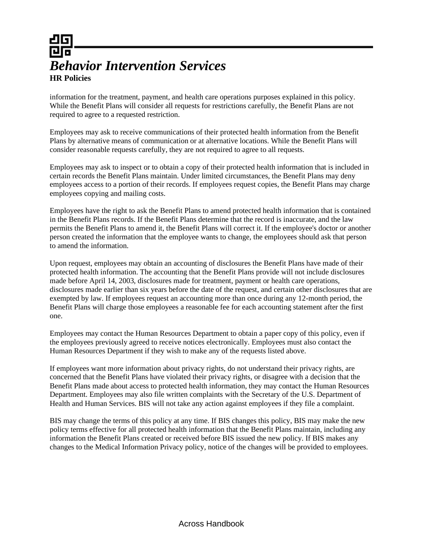information for the treatment, payment, and health care operations purposes explained in this policy. While the Benefit Plans will consider all requests for restrictions carefully, the Benefit Plans are not required to agree to a requested restriction.

Employees may ask to receive communications of their protected health information from the Benefit Plans by alternative means of communication or at alternative locations. While the Benefit Plans will consider reasonable requests carefully, they are not required to agree to all requests.

Employees may ask to inspect or to obtain a copy of their protected health information that is included in certain records the Benefit Plans maintain. Under limited circumstances, the Benefit Plans may deny employees access to a portion of their records. If employees request copies, the Benefit Plans may charge employees copying and mailing costs.

Employees have the right to ask the Benefit Plans to amend protected health information that is contained in the Benefit Plans records. If the Benefit Plans determine that the record is inaccurate, and the law permits the Benefit Plans to amend it, the Benefit Plans will correct it. If the employee's doctor or another person created the information that the employee wants to change, the employees should ask that person to amend the information.

Upon request, employees may obtain an accounting of disclosures the Benefit Plans have made of their protected health information. The accounting that the Benefit Plans provide will not include disclosures made before April 14, 2003, disclosures made for treatment, payment or health care operations, disclosures made earlier than six years before the date of the request, and certain other disclosures that are exempted by law. If employees request an accounting more than once during any 12-month period, the Benefit Plans will charge those employees a reasonable fee for each accounting statement after the first one.

Employees may contact the Human Resources Department to obtain a paper copy of this policy, even if the employees previously agreed to receive notices electronically. Employees must also contact the Human Resources Department if they wish to make any of the requests listed above.

If employees want more information about privacy rights, do not understand their privacy rights, are concerned that the Benefit Plans have violated their privacy rights, or disagree with a decision that the Benefit Plans made about access to protected health information, they may contact the Human Resources Department. Employees may also file written complaints with the Secretary of the U.S. Department of Health and Human Services. BIS will not take any action against employees if they file a complaint.

BIS may change the terms of this policy at any time. If BIS changes this policy, BIS may make the new policy terms effective for all protected health information that the Benefit Plans maintain, including any information the Benefit Plans created or received before BIS issued the new policy. If BIS makes any changes to the Medical Information Privacy policy, notice of the changes will be provided to employees.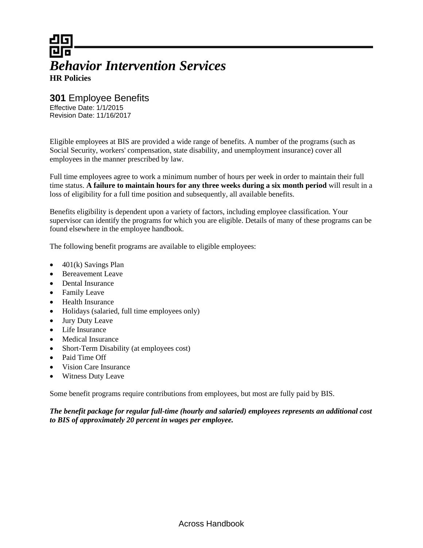#### **301** Employee Benefits

Effective Date: 1/1/2015 Revision Date: 11/16/2017

Eligible employees at BIS are provided a wide range of benefits. A number of the programs (such as Social Security, workers' compensation, state disability, and unemployment insurance) cover all employees in the manner prescribed by law.

Full time employees agree to work a minimum number of hours per week in order to maintain their full time status. **A failure to maintain hours for any three weeks during a six month period** will result in a loss of eligibility for a full time position and subsequently, all available benefits.

Benefits eligibility is dependent upon a variety of factors, including employee classification. Your supervisor can identify the programs for which you are eligible. Details of many of these programs can be found elsewhere in the employee handbook.

The following benefit programs are available to eligible employees:

- 401(k) Savings Plan
- Bereavement Leave
- Dental Insurance
- Family Leave
- Health Insurance
- Holidays (salaried, full time employees only)
- Jury Duty Leave
- Life Insurance
- Medical Insurance
- Short-Term Disability (at employees cost)
- Paid Time Off
- Vision Care Insurance
- Witness Duty Leave

Some benefit programs require contributions from employees, but most are fully paid by BIS.

*The benefit package for regular full-time (hourly and salaried) employees represents an additional cost to BIS of approximately 20 percent in wages per employee.*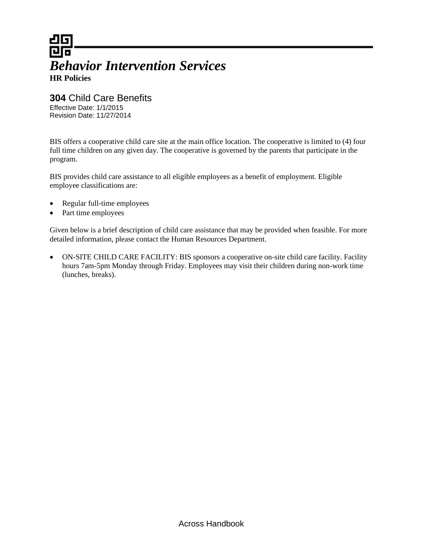#### **304** Child Care Benefits

Effective Date: 1/1/2015 Revision Date: 11/27/2014

BIS offers a cooperative child care site at the main office location. The cooperative is limited to (4) four full time children on any given day. The cooperative is governed by the parents that participate in the program.

BIS provides child care assistance to all eligible employees as a benefit of employment. Eligible employee classifications are:

- Regular full-time employees
- Part time employees

Given below is a brief description of child care assistance that may be provided when feasible. For more detailed information, please contact the Human Resources Department.

• ON-SITE CHILD CARE FACILITY: BIS sponsors a cooperative on-site child care facility. Facility hours 7am-5pm Monday through Friday. Employees may visit their children during non-work time (lunches, breaks).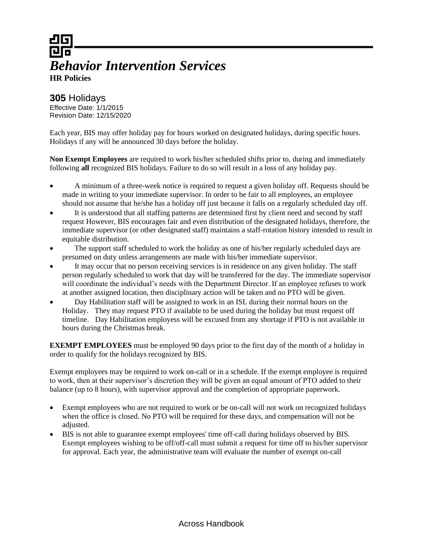#### **305** Holidays

Effective Date: 1/1/2015 Revision Date: 12/15/2020

Each year, BIS may offer holiday pay for hours worked on designated holidays, during specific hours. Holidays if any will be announced 30 days before the holiday.

**Non Exempt Employees** are required to work his/her scheduled shifts prior to, during and immediately following **all** recognized BIS holidays. Failure to do so will result in a loss of any holiday pay.

- A minimum of a three-week notice is required to request a given holiday off. Requests should be made in writing to your immediate supervisor. In order to be fair to all employees, an employee should not assume that he/she has a holiday off just because it falls on a regularly scheduled day off.
- It is understood that all staffing patterns are determined first by client need and second by staff request However, BIS encourages fair and even distribution of the designated holidays, therefore, the immediate supervisor (or other designated staff) maintains a staff-rotation history intended to result in equitable distribution.
- The support staff scheduled to work the holiday as one of his/her regularly scheduled days are presumed on duty unless arrangements are made with his/her immediate supervisor.
- It may occur that no person receiving services is in residence on any given holiday. The staff person regularly scheduled to work that day will be transferred for the day. The immediate supervisor will coordinate the individual's needs with the Department Director. If an employee refuses to work at another assigned location, then disciplinary action will be taken and no PTO will be given.
- Day Habilitation staff will be assigned to work in an ISL during their normal hours on the Holiday. They may request PTO if available to be used during the holiday but must request off timeline. Day Habilitation employess will be excused from any shortage if PTO is not available in hours during the Christmas break.

**EXEMPT EMPLOYEES** must be employed 90 days prior to the first day of the month of a holiday in order to qualify for the holidays recognized by BIS.

Exempt employees may be required to work on-call or in a schedule. If the exempt employee is required to work, then at their supervisor's discretion they will be given an equal amount of PTO added to their balance (up to 8 hours), with supervisor approval and the completion of appropriate paperwork.

- Exempt employees who are not required to work or be on-call will not work on recognized holidays when the office is closed. No PTO will be required for these days, and compensation will not be adjusted.
- BIS is not able to guarantee exempt employees' time off-call during holidays observed by BIS. Exempt employees wishing to be off/off-call must submit a request for time off to his/her supervisor for approval. Each year, the administrative team will evaluate the number of exempt on-call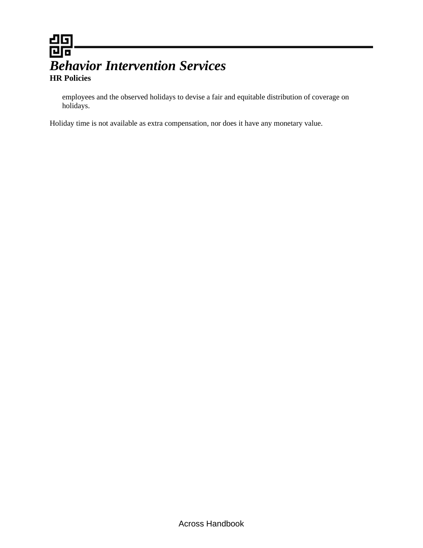employees and the observed holidays to devise a fair and equitable distribution of coverage on holidays.

Holiday time is not available as extra compensation, nor does it have any monetary value.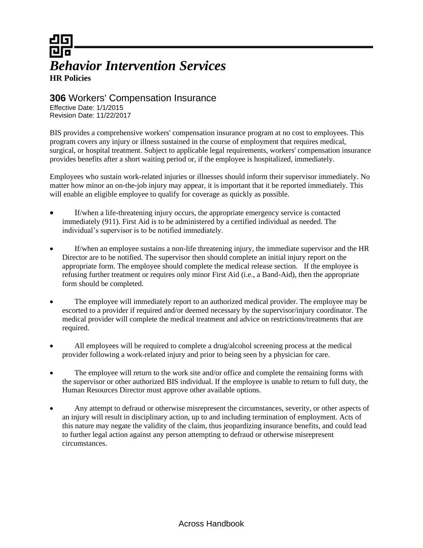#### **306** Workers' Compensation Insurance

Effective Date: 1/1/2015 Revision Date: 11/22/2017

BIS provides a comprehensive workers' compensation insurance program at no cost to employees. This program covers any injury or illness sustained in the course of employment that requires medical, surgical, or hospital treatment. Subject to applicable legal requirements, workers' compensation insurance provides benefits after a short waiting period or, if the employee is hospitalized, immediately.

Employees who sustain work-related injuries or illnesses should inform their supervisor immediately. No matter how minor an on-the-job injury may appear, it is important that it be reported immediately. This will enable an eligible employee to qualify for coverage as quickly as possible.

- If/when a life-threatening injury occurs, the appropriate emergency service is contacted immediately (911). First Aid is to be administered by a certified individual as needed. The individual's supervisor is to be notified immediately.
- If/when an employee sustains a non-life threatening injury, the immediate supervisor and the HR Director are to be notified. The supervisor then should complete an initial injury report on the appropriate form. The employee should complete the medical release section. If the employee is refusing further treatment or requires only minor First Aid (i.e., a Band-Aid), then the appropriate form should be completed.
- The employee will immediately report to an authorized medical provider. The employee may be escorted to a provider if required and/or deemed necessary by the supervisor/injury coordinator. The medical provider will complete the medical treatment and advice on restrictions/treatments that are required.
- All employees will be required to complete a drug/alcohol screening process at the medical provider following a work-related injury and prior to being seen by a physician for care.
- The employee will return to the work site and/or office and complete the remaining forms with the supervisor or other authorized BIS individual. If the employee is unable to return to full duty, the Human Resources Director must approve other available options.
- Any attempt to defraud or otherwise misrepresent the circumstances, severity, or other aspects of an injury will result in disciplinary action, up to and including termination of employment. Acts of this nature may negate the validity of the claim, thus jeopardizing insurance benefits, and could lead to further legal action against any person attempting to defraud or otherwise misrepresent circumstances.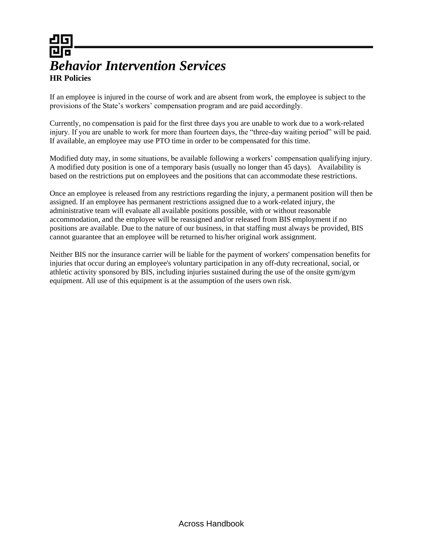If an employee is injured in the course of work and are absent from work, the employee is subject to the provisions of the State's workers' compensation program and are paid accordingly.

Currently, no compensation is paid for the first three days you are unable to work due to a work-related injury. If you are unable to work for more than fourteen days, the "three-day waiting period" will be paid. If available, an employee may use PTO time in order to be compensated for this time.

Modified duty may, in some situations, be available following a workers' compensation qualifying injury. A modified duty position is one of a temporary basis (usually no longer than 45 days). Availability is based on the restrictions put on employees and the positions that can accommodate these restrictions.

Once an employee is released from any restrictions regarding the injury, a permanent position will then be assigned. If an employee has permanent restrictions assigned due to a work-related injury, the administrative team will evaluate all available positions possible, with or without reasonable accommodation, and the employee will be reassigned and/or released from BIS employment if no positions are available. Due to the nature of our business, in that staffing must always be provided, BIS cannot guarantee that an employee will be returned to his/her original work assignment.

Neither BIS nor the insurance carrier will be liable for the payment of workers' compensation benefits for injuries that occur during an employee's voluntary participation in any off-duty recreational, social, or athletic activity sponsored by BIS, including injuries sustained during the use of the onsite gym/gym equipment. All use of this equipment is at the assumption of the users own risk.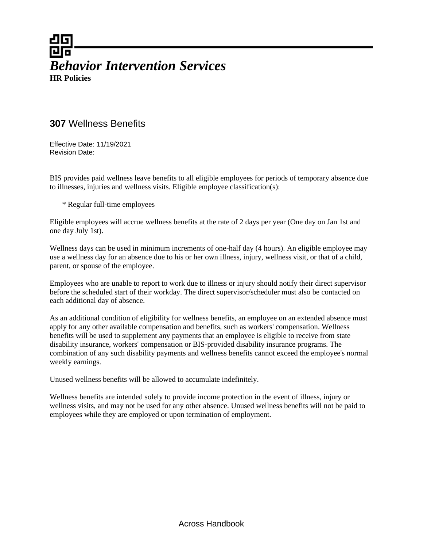### **307** Wellness Benefits

Effective Date: 11/19/2021 Revision Date:

BIS provides paid wellness leave benefits to all eligible employees for periods of temporary absence due to illnesses, injuries and wellness visits. Eligible employee classification(s):

\* Regular full-time employees

Eligible employees will accrue wellness benefits at the rate of 2 days per year (One day on Jan 1st and one day July 1st).

Wellness days can be used in minimum increments of one-half day (4 hours). An eligible employee may use a wellness day for an absence due to his or her own illness, injury, wellness visit, or that of a child, parent, or spouse of the employee.

Employees who are unable to report to work due to illness or injury should notify their direct supervisor before the scheduled start of their workday. The direct supervisor/scheduler must also be contacted on each additional day of absence.

As an additional condition of eligibility for wellness benefits, an employee on an extended absence must apply for any other available compensation and benefits, such as workers' compensation. Wellness benefits will be used to supplement any payments that an employee is eligible to receive from state disability insurance, workers' compensation or BIS-provided disability insurance programs. The combination of any such disability payments and wellness benefits cannot exceed the employee's normal weekly earnings.

Unused wellness benefits will be allowed to accumulate indefinitely.

Wellness benefits are intended solely to provide income protection in the event of illness, injury or wellness visits, and may not be used for any other absence. Unused wellness benefits will not be paid to employees while they are employed or upon termination of employment.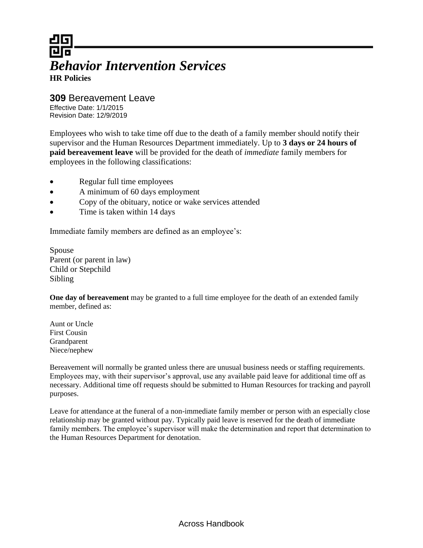**309** Bereavement Leave

Effective Date: 1/1/2015 Revision Date: 12/9/2019

Employees who wish to take time off due to the death of a family member should notify their supervisor and the Human Resources Department immediately. Up to **3 days or 24 hours of paid bereavement leave** will be provided for the death of *immediate* family members for employees in the following classifications:

- Regular full time employees
- A minimum of 60 days employment
- Copy of the obituary, notice or wake services attended
- Time is taken within 14 days

Immediate family members are defined as an employee's:

Spouse Parent (or parent in law) Child or Stepchild Sibling

**One day of bereavement** may be granted to a full time employee for the death of an extended family member, defined as:

Aunt or Uncle First Cousin Grandparent Niece/nephew

Bereavement will normally be granted unless there are unusual business needs or staffing requirements. Employees may, with their supervisor's approval, use any available paid leave for additional time off as necessary. Additional time off requests should be submitted to Human Resources for tracking and payroll purposes.

Leave for attendance at the funeral of a non-immediate family member or person with an especially close relationship may be granted without pay. Typically paid leave is reserved for the death of immediate family members. The employee's supervisor will make the determination and report that determination to the Human Resources Department for denotation.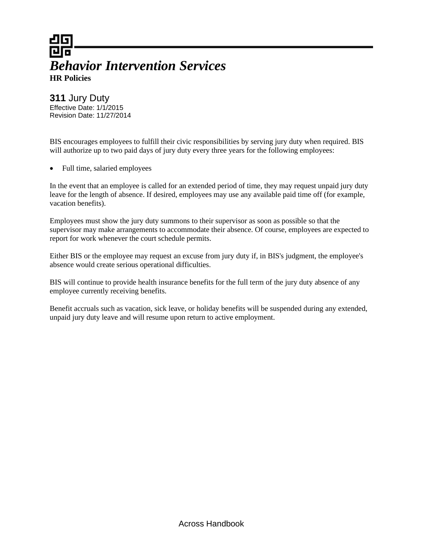**311** Jury Duty

Effective Date: 1/1/2015 Revision Date: 11/27/2014

BIS encourages employees to fulfill their civic responsibilities by serving jury duty when required. BIS will authorize up to two paid days of jury duty every three years for the following employees:

• Full time, salaried employees

In the event that an employee is called for an extended period of time, they may request unpaid jury duty leave for the length of absence. If desired, employees may use any available paid time off (for example, vacation benefits).

Employees must show the jury duty summons to their supervisor as soon as possible so that the supervisor may make arrangements to accommodate their absence. Of course, employees are expected to report for work whenever the court schedule permits.

Either BIS or the employee may request an excuse from jury duty if, in BIS's judgment, the employee's absence would create serious operational difficulties.

BIS will continue to provide health insurance benefits for the full term of the jury duty absence of any employee currently receiving benefits.

Benefit accruals such as vacation, sick leave, or holiday benefits will be suspended during any extended, unpaid jury duty leave and will resume upon return to active employment.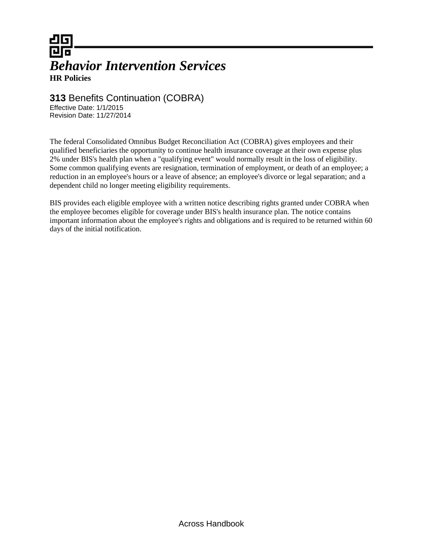### **313** Benefits Continuation (COBRA)

Effective Date: 1/1/2015 Revision Date: 11/27/2014

The federal Consolidated Omnibus Budget Reconciliation Act (COBRA) gives employees and their qualified beneficiaries the opportunity to continue health insurance coverage at their own expense plus 2% under BIS's health plan when a "qualifying event" would normally result in the loss of eligibility. Some common qualifying events are resignation, termination of employment, or death of an employee; a reduction in an employee's hours or a leave of absence; an employee's divorce or legal separation; and a dependent child no longer meeting eligibility requirements.

BIS provides each eligible employee with a written notice describing rights granted under COBRA when the employee becomes eligible for coverage under BIS's health insurance plan. The notice contains important information about the employee's rights and obligations and is required to be returned within 60 days of the initial notification.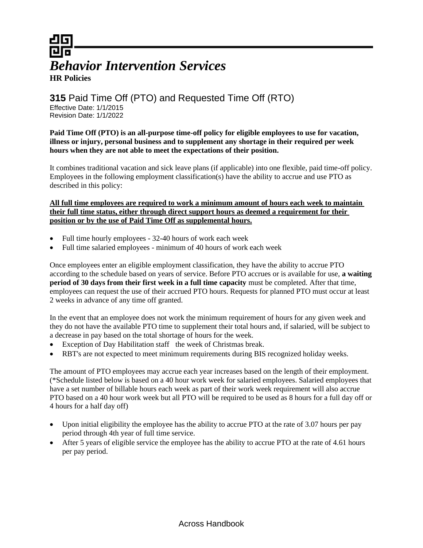**315** Paid Time Off (PTO) and Requested Time Off (RTO) Effective Date: 1/1/2015 Revision Date: 1/1/2022

**Paid Time Off (PTO) is an all-purpose time-off policy for eligible employees to use for vacation, illness or injury, personal business and to supplement any shortage in their required per week hours when they are not able to meet the expectations of their position.** 

It combines traditional vacation and sick leave plans (if applicable) into one flexible, paid time-off policy. Employees in the following employment classification(s) have the ability to accrue and use PTO as described in this policy:

#### **All full time employees are required to work a minimum amount of hours each week to maintain their full time status, either through direct support hours as deemed a requirement for their position or by the use of Paid Time Off as supplemental hours.**

- Full time hourly employees 32-40 hours of work each week
- Full time salaried employees minimum of 40 hours of work each week

Once employees enter an eligible employment classification, they have the ability to accrue PTO according to the schedule based on years of service. Before PTO accrues or is available for use, **a waiting period of 30 days from their first week in a full time capacity** must be completed. After that time, employees can request the use of their accrued PTO hours. Requests for planned PTO must occur at least 2 weeks in advance of any time off granted.

In the event that an employee does not work the minimum requirement of hours for any given week and they do not have the available PTO time to supplement their total hours and, if salaried, will be subject to a decrease in pay based on the total shortage of hours for the week.

- Exception of Day Habilitation staff the week of Christmas break.
- RBT's are not expected to meet minimum requirements during BIS recognized holiday weeks.

The amount of PTO employees may accrue each year increases based on the length of their employment. (\*Schedule listed below is based on a 40 hour work week for salaried employees. Salaried employees that have a set number of billable hours each week as part of their work week requirement will also accrue PTO based on a 40 hour work week but all PTO will be required to be used as 8 hours for a full day off or 4 hours for a half day off)

- Upon initial eligibility the employee has the ability to accrue PTO at the rate of 3.07 hours per pay period through 4th year of full time service.
- After 5 years of eligible service the employee has the ability to accrue PTO at the rate of 4.61 hours per pay period.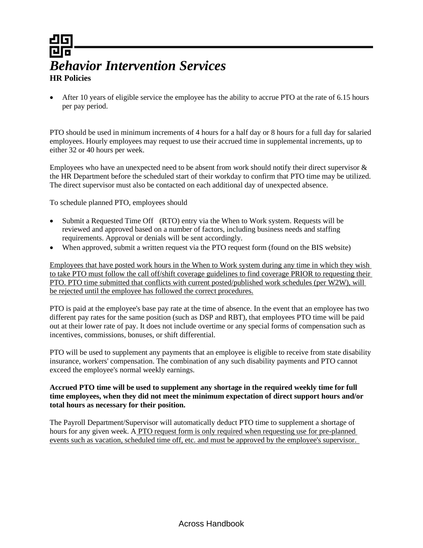After 10 years of eligible service the employee has the ability to accrue PTO at the rate of 6.15 hours per pay period.

PTO should be used in minimum increments of 4 hours for a half day or 8 hours for a full day for salaried employees. Hourly employees may request to use their accrued time in supplemental increments, up to either 32 or 40 hours per week.

Employees who have an unexpected need to be absent from work should notify their direct supervisor & the HR Department before the scheduled start of their workday to confirm that PTO time may be utilized. The direct supervisor must also be contacted on each additional day of unexpected absence.

To schedule planned PTO, employees should

- Submit a Requested Time Off (RTO) entry via the When to Work system. Requests will be reviewed and approved based on a number of factors, including business needs and staffing requirements. Approval or denials will be sent accordingly.
- When approved, submit a written request via the PTO request form (found on the BIS website)

Employees that have posted work hours in the When to Work system during any time in which they wish to take PTO must follow the call off/shift coverage guidelines to find coverage PRIOR to requesting their PTO. PTO time submitted that conflicts with current posted/published work schedules (per W2W), will be rejected until the employee has followed the correct procedures.

PTO is paid at the employee's base pay rate at the time of absence. In the event that an employee has two different pay rates for the same position (such as DSP and RBT), that employees PTO time will be paid out at their lower rate of pay. It does not include overtime or any special forms of compensation such as incentives, commissions, bonuses, or shift differential.

PTO will be used to supplement any payments that an employee is eligible to receive from state disability insurance, workers' compensation. The combination of any such disability payments and PTO cannot exceed the employee's normal weekly earnings.

#### **Accrued PTO time will be used to supplement any shortage in the required weekly time for full time employees, when they did not meet the minimum expectation of direct support hours and/or total hours as necessary for their position.**

The Payroll Department/Supervisor will automatically deduct PTO time to supplement a shortage of hours for any given week. A PTO request form is only required when requesting use for pre-planned events such as vacation, scheduled time off, etc. and must be approved by the employee's supervisor.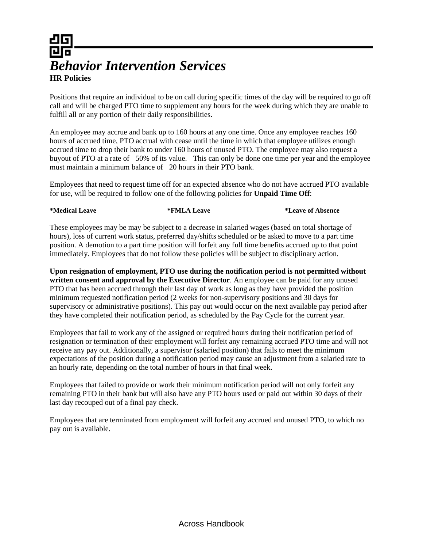Positions that require an individual to be on call during specific times of the day will be required to go off call and will be charged PTO time to supplement any hours for the week during which they are unable to fulfill all or any portion of their daily responsibilities.

An employee may accrue and bank up to 160 hours at any one time. Once any employee reaches 160 hours of accrued time, PTO accrual with cease until the time in which that employee utilizes enough accrued time to drop their bank to under 160 hours of unused PTO. The employee may also request a buyout of PTO at a rate of 50% of its value. This can only be done one time per year and the employee must maintain a minimum balance of 20 hours in their PTO bank.

Employees that need to request time off for an expected absence who do not have accrued PTO available for use, will be required to follow one of the following policies for **Unpaid Time Off**:

#### **\*Medical Leave \*FMLA Leave \*Leave of Absence**

These employees may be may be subject to a decrease in salaried wages (based on total shortage of hours), loss of current work status, preferred day/shifts scheduled or be asked to move to a part time position. A demotion to a part time position will forfeit any full time benefits accrued up to that point immediately. Employees that do not follow these policies will be subject to disciplinary action.

**Upon resignation of employment, PTO use during the notification period is not permitted without written consent and approval by the Executive Director**. An employee can be paid for any unused PTO that has been accrued through their last day of work as long as they have provided the position minimum requested notification period (2 weeks for non-supervisory positions and 30 days for supervisory or administrative positions). This pay out would occur on the next available pay period after they have completed their notification period, as scheduled by the Pay Cycle for the current year.

Employees that fail to work any of the assigned or required hours during their notification period of resignation or termination of their employment will forfeit any remaining accrued PTO time and will not receive any pay out. Additionally, a supervisor (salaried position) that fails to meet the minimum expectations of the position during a notification period may cause an adjustment from a salaried rate to an hourly rate, depending on the total number of hours in that final week.

Employees that failed to provide or work their minimum notification period will not only forfeit any remaining PTO in their bank but will also have any PTO hours used or paid out within 30 days of their last day recouped out of a final pay check.

Employees that are terminated from employment will forfeit any accrued and unused PTO, to which no pay out is available.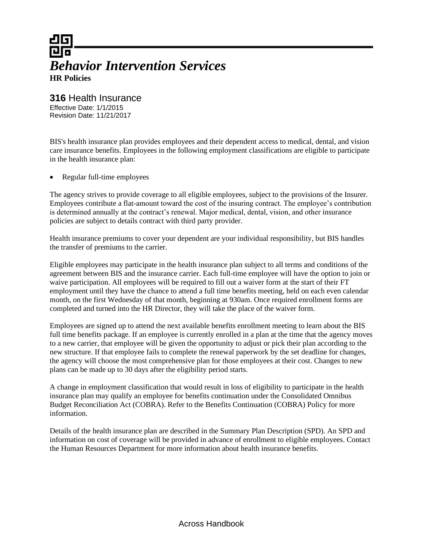#### **316** Health Insurance

Effective Date: 1/1/2015 Revision Date: 11/21/2017

BIS's health insurance plan provides employees and their dependent access to medical, dental, and vision care insurance benefits. Employees in the following employment classifications are eligible to participate in the health insurance plan:

• Regular full-time employees

The agency strives to provide coverage to all eligible employees, subject to the provisions of the Insurer. Employees contribute a flat-amount toward the cost of the insuring contract. The employee's contribution is determined annually at the contract's renewal. Major medical, dental, vision, and other insurance policies are subject to details contract with third party provider.

Health insurance premiums to cover your dependent are your individual responsibility, but BIS handles the transfer of premiums to the carrier.

Eligible employees may participate in the health insurance plan subject to all terms and conditions of the agreement between BIS and the insurance carrier. Each full-time employee will have the option to join or waive participation. All employees will be required to fill out a waiver form at the start of their FT employment until they have the chance to attend a full time benefits meeting, held on each even calendar month, on the first Wednesday of that month, beginning at 930am. Once required enrollment forms are completed and turned into the HR Director, they will take the place of the waiver form.

Employees are signed up to attend the next available benefits enrollment meeting to learn about the BIS full time benefits package. If an employee is currently enrolled in a plan at the time that the agency moves to a new carrier, that employee will be given the opportunity to adjust or pick their plan according to the new structure. If that employee fails to complete the renewal paperwork by the set deadline for changes, the agency will choose the most comprehensive plan for those employees at their cost. Changes to new plans can be made up to 30 days after the eligibility period starts.

A change in employment classification that would result in loss of eligibility to participate in the health insurance plan may qualify an employee for benefits continuation under the Consolidated Omnibus Budget Reconciliation Act (COBRA). Refer to the Benefits Continuation (COBRA) Policy for more information.

Details of the health insurance plan are described in the Summary Plan Description (SPD). An SPD and information on cost of coverage will be provided in advance of enrollment to eligible employees. Contact the Human Resources Department for more information about health insurance benefits.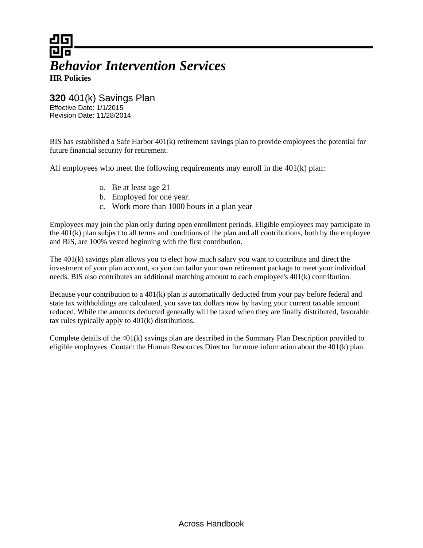**320** 401(k) Savings Plan Effective Date: 1/1/2015 Revision Date: 11/28/2014

BIS has established a Safe Harbor 401(k) retirement savings plan to provide employees the potential for future financial security for retirement.

All employees who meet the following requirements may enroll in the  $401(k)$  plan:

- a. Be at least age 21
- b. Employed for one year.
- c. Work more than 1000 hours in a plan year

Employees may join the plan only during open enrollment periods. Eligible employees may participate in the  $401(k)$  plan subject to all terms and conditions of the plan and all contributions, both by the employee and BIS, are 100% vested beginning with the first contribution.

The 401(k) savings plan allows you to elect how much salary you want to contribute and direct the investment of your plan account, so you can tailor your own retirement package to meet your individual needs. BIS also contributes an additional matching amount to each employee's 401(k) contribution.

Because your contribution to a 401(k) plan is automatically deducted from your pay before federal and state tax withholdings are calculated, you save tax dollars now by having your current taxable amount reduced. While the amounts deducted generally will be taxed when they are finally distributed, favorable tax rules typically apply to 401(k) distributions.

Complete details of the 401(k) savings plan are described in the Summary Plan Description provided to eligible employees. Contact the Human Resources Director for more information about the 401(k) plan.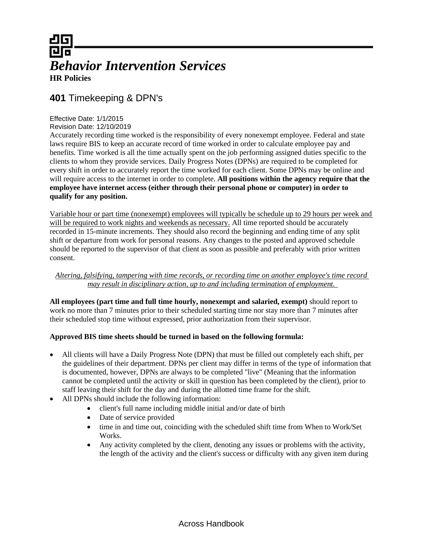### **401** Timekeeping & DPN's

Effective Date: 1/1/2015

Revision Date: 12/10/2019

Accurately recording time worked is the responsibility of every nonexempt employee. Federal and state laws require BIS to keep an accurate record of time worked in order to calculate employee pay and benefits. Time worked is all the time actually spent on the job performing assigned duties specific to the clients to whom they provide services. Daily Progress Notes (DPNs) are required to be completed for every shift in order to accurately report the time worked for each client. Some DPNs may be online and will require access to the internet in order to complete. **All positions within the agency require that the employee have internet access (either through their personal phone or computer) in order to qualify for any position.**

Variable hour or part time (nonexempt) employees will typically be schedule up to 29 hours per week and will be required to work nights and weekends as necessary. All time reported should be accurately recorded in 15-minute increments. They should also record the beginning and ending time of any split shift or departure from work for personal reasons. Any changes to the posted and approved schedule should be reported to the supervisor of that client as soon as possible and preferably with prior written consent.

#### *Altering, falsifying, tampering with time records, or recording time on another employee's time record may result in disciplinary action, up to and including termination of employment.*

**All employees (part time and full time hourly, nonexempt and salaried, exempt)** should report to work no more than 7 minutes prior to their scheduled starting time nor stay more than 7 minutes after their scheduled stop time without expressed, prior authorization from their supervisor.

#### **Approved BIS time sheets should be turned in based on the following formula:**

- All clients will have a Daily Progress Note (DPN) that must be filled out completely each shift, per the guidelines of their department. DPNs per client may differ in terms of the type of information that is documented, however, DPNs are always to be completed "live" (Meaning that the information cannot be completed until the activity or skill in question has been completed by the client), prior to staff leaving their shift for the day and during the allotted time frame for the shift.
- All DPNs should include the following information:
	- client's full name including middle initial and/or date of birth
		- Date of service provided
		- time in and time out, coinciding with the scheduled shift time from When to Work/Set Works.
		- Any activity completed by the client, denoting any issues or problems with the activity, the length of the activity and the client's success or difficulty with any given item during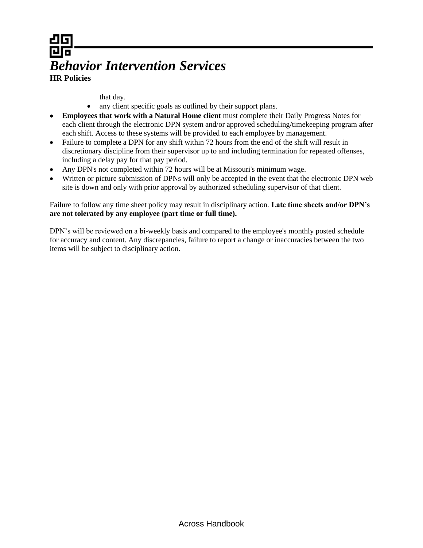that day.

- any client specific goals as outlined by their support plans.
- **Employees that work with a Natural Home client** must complete their Daily Progress Notes for each client through the electronic DPN system and/or approved scheduling/timekeeping program after each shift. Access to these systems will be provided to each employee by management.
- Failure to complete a DPN for any shift within 72 hours from the end of the shift will result in discretionary discipline from their supervisor up to and including termination for repeated offenses, including a delay pay for that pay period.
- Any DPN's not completed within 72 hours will be at Missouri's minimum wage.
- Written or picture submission of DPNs will only be accepted in the event that the electronic DPN web site is down and only with prior approval by authorized scheduling supervisor of that client.

#### Failure to follow any time sheet policy may result in disciplinary action. **Late time sheets and/or DPN's are not tolerated by any employee (part time or full time).**

DPN's will be reviewed on a bi-weekly basis and compared to the employee's monthly posted schedule for accuracy and content. Any discrepancies, failure to report a change or inaccuracies between the two items will be subject to disciplinary action.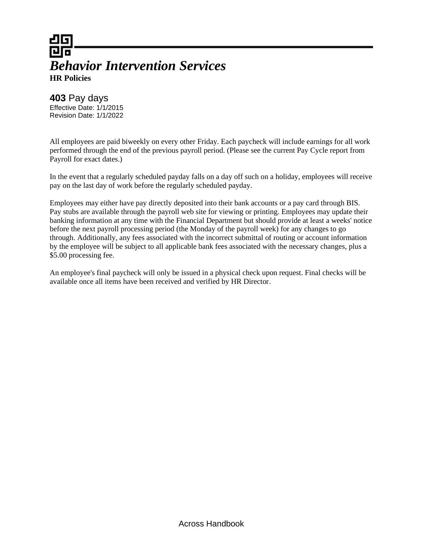#### **403** Pay days

Effective Date: 1/1/2015 Revision Date: 1/1/2022

All employees are paid biweekly on every other Friday. Each paycheck will include earnings for all work performed through the end of the previous payroll period. (Please see the current Pay Cycle report from Payroll for exact dates.)

In the event that a regularly scheduled payday falls on a day off such on a holiday, employees will receive pay on the last day of work before the regularly scheduled payday.

Employees may either have pay directly deposited into their bank accounts or a pay card through BIS. Pay stubs are available through the payroll web site for viewing or printing. Employees may update their banking information at any time with the Financial Department but should provide at least a weeks' notice before the next payroll processing period (the Monday of the payroll week) for any changes to go through. Additionally, any fees associated with the incorrect submittal of routing or account information by the employee will be subject to all applicable bank fees associated with the necessary changes, plus a \$5.00 processing fee.

An employee's final paycheck will only be issued in a physical check upon request. Final checks will be available once all items have been received and verified by HR Director.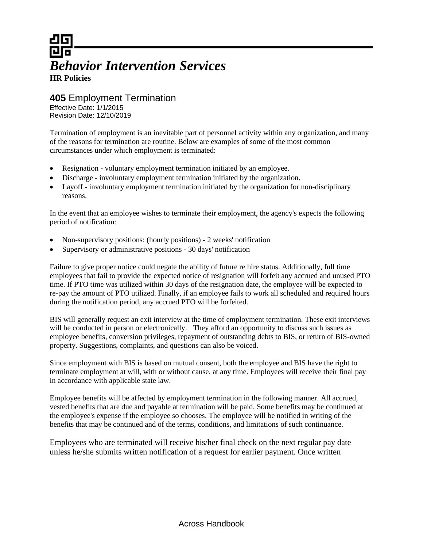#### **405** Employment Termination

Effective Date: 1/1/2015 Revision Date: 12/10/2019

Termination of employment is an inevitable part of personnel activity within any organization, and many of the reasons for termination are routine. Below are examples of some of the most common circumstances under which employment is terminated:

- Resignation voluntary employment termination initiated by an employee.
- Discharge involuntary employment termination initiated by the organization.
- Layoff involuntary employment termination initiated by the organization for non-disciplinary reasons.

In the event that an employee wishes to terminate their employment, the agency's expects the following period of notification:

- Non-supervisory positions: (hourly positions) 2 weeks' notification
- Supervisory or administrative positions 30 days' notification

Failure to give proper notice could negate the ability of future re hire status. Additionally, full time employees that fail to provide the expected notice of resignation will forfeit any accrued and unused PTO time. If PTO time was utilized within 30 days of the resignation date, the employee will be expected to re-pay the amount of PTO utilized. Finally, if an employee fails to work all scheduled and required hours during the notification period, any accrued PTO will be forfeited.

BIS will generally request an exit interview at the time of employment termination. These exit interviews will be conducted in person or electronically. They afford an opportunity to discuss such issues as employee benefits, conversion privileges, repayment of outstanding debts to BIS, or return of BIS-owned property. Suggestions, complaints, and questions can also be voiced.

Since employment with BIS is based on mutual consent, both the employee and BIS have the right to terminate employment at will, with or without cause, at any time. Employees will receive their final pay in accordance with applicable state law.

Employee benefits will be affected by employment termination in the following manner. All accrued, vested benefits that are due and payable at termination will be paid. Some benefits may be continued at the employee's expense if the employee so chooses. The employee will be notified in writing of the benefits that may be continued and of the terms, conditions, and limitations of such continuance.

Employees who are terminated will receive his/her final check on the next regular pay date unless he/she submits written notification of a request for earlier payment. Once written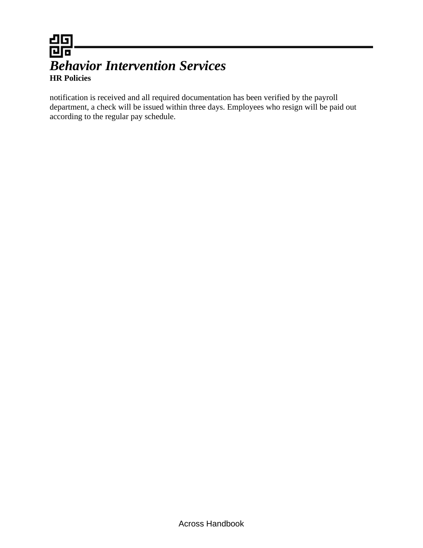notification is received and all required documentation has been verified by the payroll department, a check will be issued within three days. Employees who resign will be paid out according to the regular pay schedule.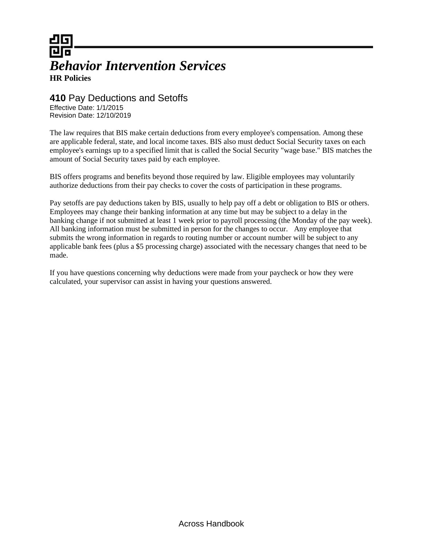#### **410** Pay Deductions and Setoffs

Effective Date: 1/1/2015 Revision Date: 12/10/2019

The law requires that BIS make certain deductions from every employee's compensation. Among these are applicable federal, state, and local income taxes. BIS also must deduct Social Security taxes on each employee's earnings up to a specified limit that is called the Social Security "wage base." BIS matches the amount of Social Security taxes paid by each employee.

BIS offers programs and benefits beyond those required by law. Eligible employees may voluntarily authorize deductions from their pay checks to cover the costs of participation in these programs.

Pay setoffs are pay deductions taken by BIS, usually to help pay off a debt or obligation to BIS or others. Employees may change their banking information at any time but may be subject to a delay in the banking change if not submitted at least 1 week prior to payroll processing (the Monday of the pay week). All banking information must be submitted in person for the changes to occur. Any employee that submits the wrong information in regards to routing number or account number will be subject to any applicable bank fees (plus a \$5 processing charge) associated with the necessary changes that need to be made.

If you have questions concerning why deductions were made from your paycheck or how they were calculated, your supervisor can assist in having your questions answered.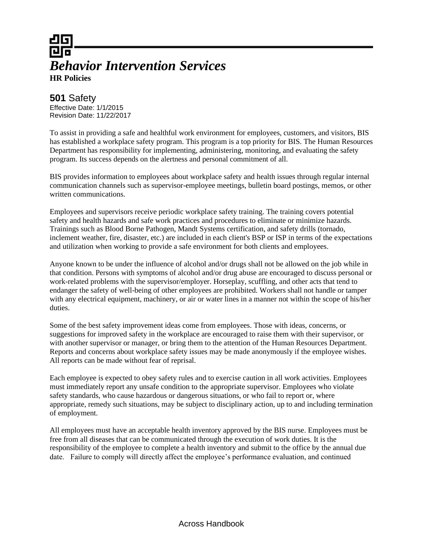#### **501** Safety

Effective Date: 1/1/2015 Revision Date: 11/22/2017

To assist in providing a safe and healthful work environment for employees, customers, and visitors, BIS has established a workplace safety program. This program is a top priority for BIS. The Human Resources Department has responsibility for implementing, administering, monitoring, and evaluating the safety program. Its success depends on the alertness and personal commitment of all.

BIS provides information to employees about workplace safety and health issues through regular internal communication channels such as supervisor-employee meetings, bulletin board postings, memos, or other written communications.

Employees and supervisors receive periodic workplace safety training. The training covers potential safety and health hazards and safe work practices and procedures to eliminate or minimize hazards. Trainings such as Blood Borne Pathogen, Mandt Systems certification, and safety drills (tornado, inclement weather, fire, disaster, etc.) are included in each client's BSP or ISP in terms of the expectations and utilization when working to provide a safe environment for both clients and employees.

Anyone known to be under the influence of alcohol and/or drugs shall not be allowed on the job while in that condition. Persons with symptoms of alcohol and/or drug abuse are encouraged to discuss personal or work-related problems with the supervisor/employer. Horseplay, scuffling, and other acts that tend to endanger the safety of well-being of other employees are prohibited. Workers shall not handle or tamper with any electrical equipment, machinery, or air or water lines in a manner not within the scope of his/her duties.

Some of the best safety improvement ideas come from employees. Those with ideas, concerns, or suggestions for improved safety in the workplace are encouraged to raise them with their supervisor, or with another supervisor or manager, or bring them to the attention of the Human Resources Department. Reports and concerns about workplace safety issues may be made anonymously if the employee wishes. All reports can be made without fear of reprisal.

Each employee is expected to obey safety rules and to exercise caution in all work activities. Employees must immediately report any unsafe condition to the appropriate supervisor. Employees who violate safety standards, who cause hazardous or dangerous situations, or who fail to report or, where appropriate, remedy such situations, may be subject to disciplinary action, up to and including termination of employment.

All employees must have an acceptable health inventory approved by the BIS nurse. Employees must be free from all diseases that can be communicated through the execution of work duties. It is the responsibility of the employee to complete a health inventory and submit to the office by the annual due date. Failure to comply will directly affect the employee's performance evaluation, and continued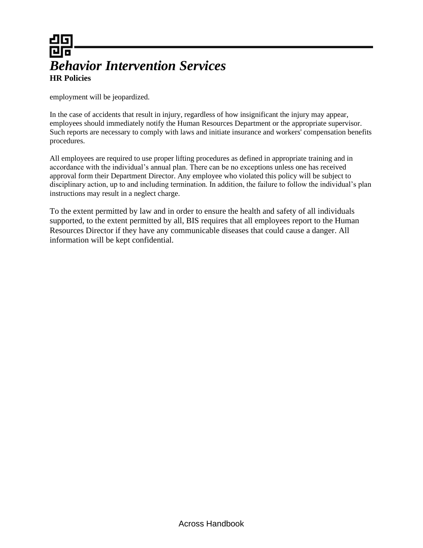employment will be jeopardized.

In the case of accidents that result in injury, regardless of how insignificant the injury may appear, employees should immediately notify the Human Resources Department or the appropriate supervisor. Such reports are necessary to comply with laws and initiate insurance and workers' compensation benefits procedures.

All employees are required to use proper lifting procedures as defined in appropriate training and in accordance with the individual's annual plan. There can be no exceptions unless one has received approval form their Department Director. Any employee who violated this policy will be subject to disciplinary action, up to and including termination. In addition, the failure to follow the individual's plan instructions may result in a neglect charge.

To the extent permitted by law and in order to ensure the health and safety of all individuals supported, to the extent permitted by all, BIS requires that all employees report to the Human Resources Director if they have any communicable diseases that could cause a danger. All information will be kept confidential.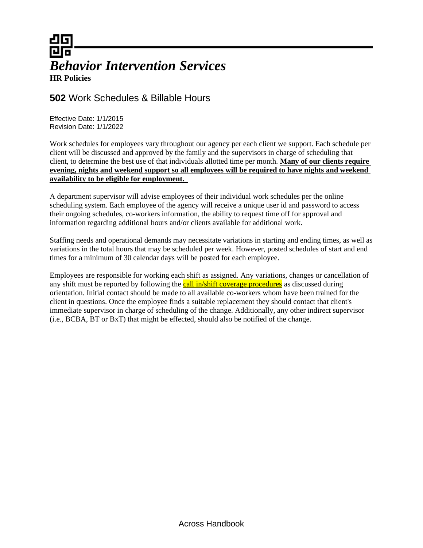### **502** Work Schedules & Billable Hours

Effective Date: 1/1/2015 Revision Date: 1/1/2022

Work schedules for employees vary throughout our agency per each client we support. Each schedule per client will be discussed and approved by the family and the supervisors in charge of scheduling that client, to determine the best use of that individuals allotted time per month. **Many of our clients require evening, nights and weekend support so all employees will be required to have nights and weekend availability to be eligible for employment.** 

A department supervisor will advise employees of their individual work schedules per the online scheduling system. Each employee of the agency will receive a unique user id and password to access their ongoing schedules, co-workers information, the ability to request time off for approval and information regarding additional hours and/or clients available for additional work.

Staffing needs and operational demands may necessitate variations in starting and ending times, as well as variations in the total hours that may be scheduled per week. However, posted schedules of start and end times for a minimum of 30 calendar days will be posted for each employee.

Employees are responsible for working each shift as assigned. Any variations, changes or cancellation of any shift must be reported by following the call in/shift coverage procedures as discussed during orientation. Initial contact should be made to all available co-workers whom have been trained for the client in questions. Once the employee finds a suitable replacement they should contact that client's immediate supervisor in charge of scheduling of the change. Additionally, any other indirect supervisor (i.e., BCBA, BT or BxT) that might be effected, should also be notified of the change.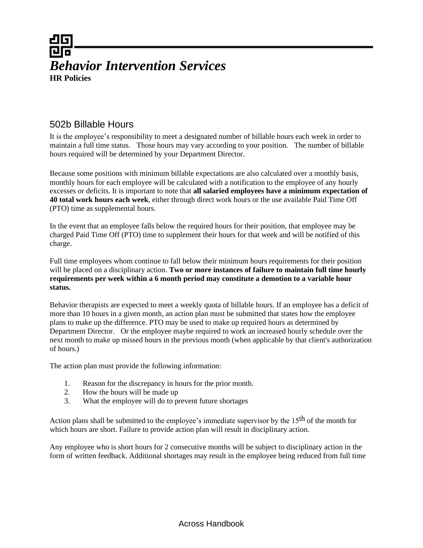### 502b Billable Hours

It is the employee's responsibility to meet a designated number of billable hours each week in order to maintain a full time status. Those hours may vary according to your position. The number of billable hours required will be determined by your Department Director.

Because some positions with minimum billable expectations are also calculated over a monthly basis, monthly hours for each employee will be calculated with a notification to the employee of any hourly excesses or deficits. It is important to note that **all salaried employees have a minimum expectation of 40 total work hours each week**, either through direct work hours or the use available Paid Time Off (PTO) time as supplemental hours.

In the event that an employee falls below the required hours for their position, that employee may be charged Paid Time Off (PTO) time to supplement their hours for that week and will be notified of this charge.

Full time employees whom continue to fall below their minimum hours requirements for their position will be placed on a disciplinary action. **Two or more instances of failure to maintain full time hourly requirements per week within a 6 month period may constitute a demotion to a variable hour status.**

Behavior therapists are expected to meet a weekly quota of billable hours. If an employee has a deficit of more than 10 hours in a given month, an action plan must be submitted that states how the employee plans to make up the difference. PTO may be used to make up required hours as determined by Department Director. Or the employee maybe required to work an increased hourly schedule over the next month to make up missed hours in the previous month (when applicable by that client's authorization of hours.)

The action plan must provide the following information:

- 1. Reason for the discrepancy in hours for the prior month.
- 2. How the hours will be made up
- 3. What the employee will do to prevent future shortages

Action plans shall be submitted to the employee's immediate supervisor by the  $15<sup>th</sup>$  of the month for which hours are short. Failure to provide action plan will result in disciplinary action.

Any employee who is short hours for 2 consecutive months will be subject to disciplinary action in the form of written feedback. Additional shortages may result in the employee being reduced from full time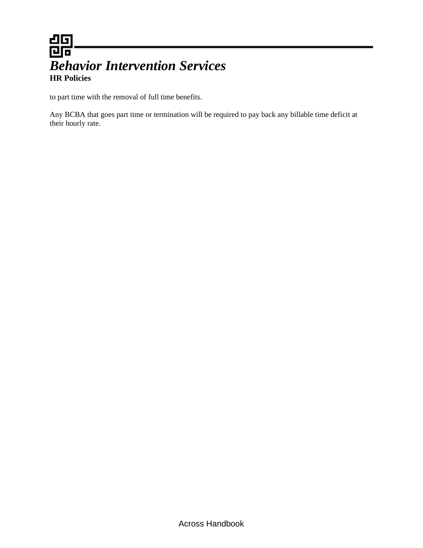to part time with the removal of full time benefits.

Any BCBA that goes part time or termination will be required to pay back any billable time deficit at their hourly rate.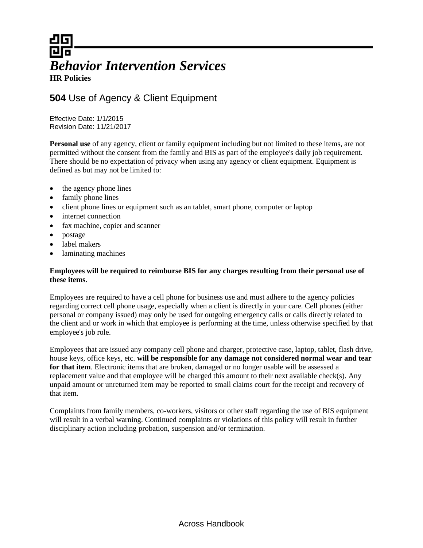## **504** Use of Agency & Client Equipment

Effective Date: 1/1/2015 Revision Date: 11/21/2017

**Personal use** of any agency, client or family equipment including but not limited to these items, are not permitted without the consent from the family and BIS as part of the employee's daily job requirement. There should be no expectation of privacy when using any agency or client equipment. Equipment is defined as but may not be limited to:

- the agency phone lines
- family phone lines
- client phone lines or equipment such as an tablet, smart phone, computer or laptop
- internet connection
- fax machine, copier and scanner
- postage
- label makers
- laminating machines

#### **Employees will be required to reimburse BIS for any charges resulting from their personal use of these items**.

Employees are required to have a cell phone for business use and must adhere to the agency policies regarding correct cell phone usage, especially when a client is directly in your care. Cell phones (either personal or company issued) may only be used for outgoing emergency calls or calls directly related to the client and or work in which that employee is performing at the time, unless otherwise specified by that employee's job role.

Employees that are issued any company cell phone and charger, protective case, laptop, tablet, flash drive, house keys, office keys, etc. **will be responsible for any damage not considered normal wear and tear for that item**. Electronic items that are broken, damaged or no longer usable will be assessed a replacement value and that employee will be charged this amount to their next available check(s). Any unpaid amount or unreturned item may be reported to small claims court for the receipt and recovery of that item.

Complaints from family members, co-workers, visitors or other staff regarding the use of BIS equipment will result in a verbal warning. Continued complaints or violations of this policy will result in further disciplinary action including probation, suspension and/or termination.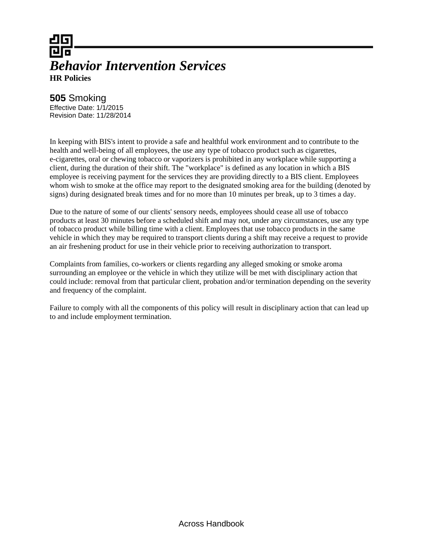## **505** Smoking

Effective Date: 1/1/2015 Revision Date: 11/28/2014

In keeping with BIS's intent to provide a safe and healthful work environment and to contribute to the health and well-being of all employees, the use any type of tobacco product such as cigarettes, e-cigarettes, oral or chewing tobacco or vaporizers is prohibited in any workplace while supporting a client, during the duration of their shift. The "workplace" is defined as any location in which a BIS employee is receiving payment for the services they are providing directly to a BIS client. Employees whom wish to smoke at the office may report to the designated smoking area for the building (denoted by signs) during designated break times and for no more than 10 minutes per break, up to 3 times a day.

Due to the nature of some of our clients' sensory needs, employees should cease all use of tobacco products at least 30 minutes before a scheduled shift and may not, under any circumstances, use any type of tobacco product while billing time with a client. Employees that use tobacco products in the same vehicle in which they may be required to transport clients during a shift may receive a request to provide an air freshening product for use in their vehicle prior to receiving authorization to transport.

Complaints from families, co-workers or clients regarding any alleged smoking or smoke aroma surrounding an employee or the vehicle in which they utilize will be met with disciplinary action that could include: removal from that particular client, probation and/or termination depending on the severity and frequency of the complaint.

Failure to comply with all the components of this policy will result in disciplinary action that can lead up to and include employment termination.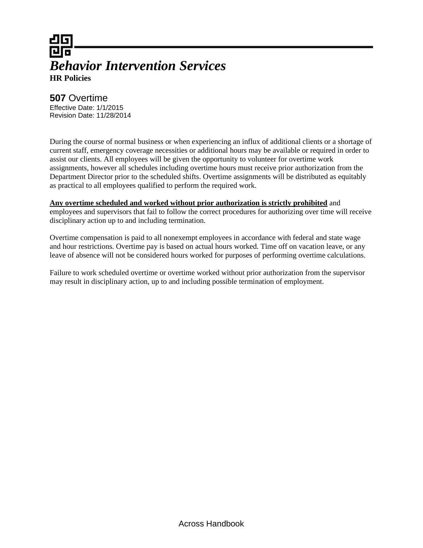#### **507** Overtime

Effective Date: 1/1/2015 Revision Date: 11/28/2014

During the course of normal business or when experiencing an influx of additional clients or a shortage of current staff, emergency coverage necessities or additional hours may be available or required in order to assist our clients. All employees will be given the opportunity to volunteer for overtime work assignments, however all schedules including overtime hours must receive prior authorization from the Department Director prior to the scheduled shifts. Overtime assignments will be distributed as equitably as practical to all employees qualified to perform the required work.

#### **Any overtime scheduled and worked without prior authorization is strictly prohibited** and

employees and supervisors that fail to follow the correct procedures for authorizing over time will receive disciplinary action up to and including termination.

Overtime compensation is paid to all nonexempt employees in accordance with federal and state wage and hour restrictions. Overtime pay is based on actual hours worked. Time off on vacation leave, or any leave of absence will not be considered hours worked for purposes of performing overtime calculations.

Failure to work scheduled overtime or overtime worked without prior authorization from the supervisor may result in disciplinary action, up to and including possible termination of employment.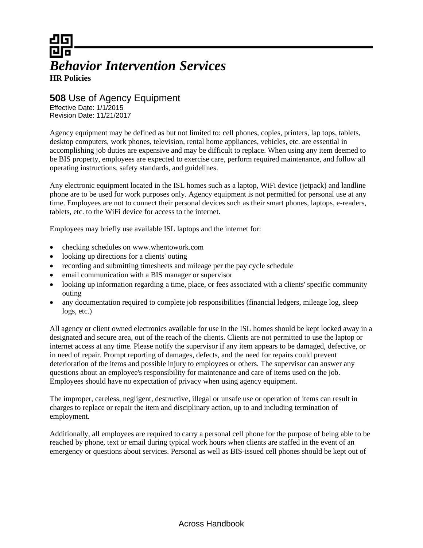## **508** Use of Agency Equipment

Effective Date: 1/1/2015 Revision Date: 11/21/2017

Agency equipment may be defined as but not limited to: cell phones, copies, printers, lap tops, tablets, desktop computers, work phones, television, rental home appliances, vehicles, etc. are essential in accomplishing job duties are expensive and may be difficult to replace. When using any item deemed to be BIS property, employees are expected to exercise care, perform required maintenance, and follow all operating instructions, safety standards, and guidelines.

Any electronic equipment located in the ISL homes such as a laptop, WiFi device (jetpack) and landline phone are to be used for work purposes only. Agency equipment is not permitted for personal use at any time. Employees are not to connect their personal devices such as their smart phones, laptops, e-readers, tablets, etc. to the WiFi device for access to the internet.

Employees may briefly use available ISL laptops and the internet for:

- checking schedules on www.whentowork.com
- looking up directions for a clients' outing
- recording and submitting timesheets and mileage per the pay cycle schedule
- email communication with a BIS manager or supervisor
- looking up information regarding a time, place, or fees associated with a clients' specific community outing
- any documentation required to complete job responsibilities (financial ledgers, mileage log, sleep logs, etc.)

All agency or client owned electronics available for use in the ISL homes should be kept locked away in a designated and secure area, out of the reach of the clients. Clients are not permitted to use the laptop or internet access at any time. Please notify the supervisor if any item appears to be damaged, defective, or in need of repair. Prompt reporting of damages, defects, and the need for repairs could prevent deterioration of the items and possible injury to employees or others. The supervisor can answer any questions about an employee's responsibility for maintenance and care of items used on the job. Employees should have no expectation of privacy when using agency equipment.

The improper, careless, negligent, destructive, illegal or unsafe use or operation of items can result in charges to replace or repair the item and disciplinary action, up to and including termination of employment.

Additionally, all employees are required to carry a personal cell phone for the purpose of being able to be reached by phone, text or email during typical work hours when clients are staffed in the event of an emergency or questions about services. Personal as well as BIS-issued cell phones should be kept out of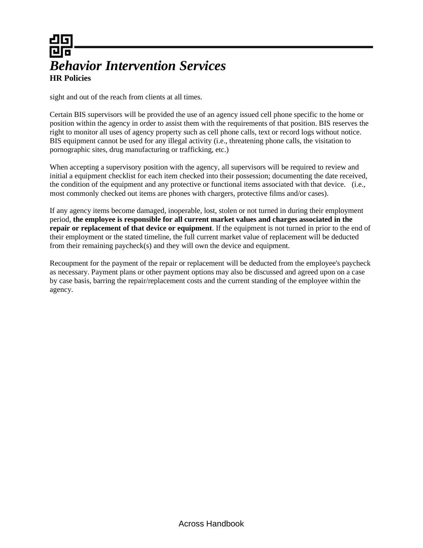sight and out of the reach from clients at all times.

Certain BIS supervisors will be provided the use of an agency issued cell phone specific to the home or position within the agency in order to assist them with the requirements of that position. BIS reserves the right to monitor all uses of agency property such as cell phone calls, text or record logs without notice. BIS equipment cannot be used for any illegal activity (i.e., threatening phone calls, the visitation to pornographic sites, drug manufacturing or trafficking, etc.)

When accepting a supervisory position with the agency, all supervisors will be required to review and initial a equipment checklist for each item checked into their possession; documenting the date received, the condition of the equipment and any protective or functional items associated with that device. (i.e., most commonly checked out items are phones with chargers, protective films and/or cases).

If any agency items become damaged, inoperable, lost, stolen or not turned in during their employment period, **the employee is responsible for all current market values and charges associated in the repair or replacement of that device or equipment**. If the equipment is not turned in prior to the end of their employment or the stated timeline, the full current market value of replacement will be deducted from their remaining paycheck(s) and they will own the device and equipment.

Recoupment for the payment of the repair or replacement will be deducted from the employee's paycheck as necessary. Payment plans or other payment options may also be discussed and agreed upon on a case by case basis, barring the repair/replacement costs and the current standing of the employee within the agency.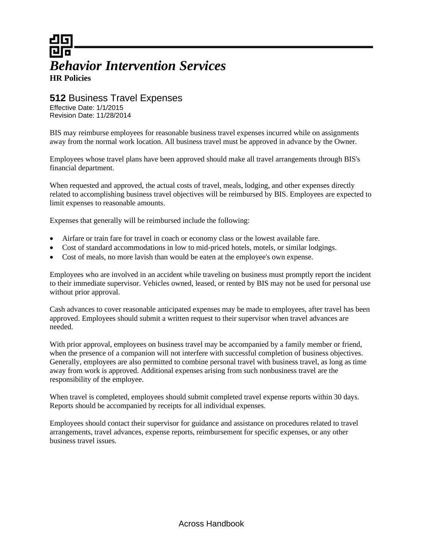## **512** Business Travel Expenses

Effective Date: 1/1/2015 Revision Date: 11/28/2014

BIS may reimburse employees for reasonable business travel expenses incurred while on assignments away from the normal work location. All business travel must be approved in advance by the Owner.

Employees whose travel plans have been approved should make all travel arrangements through BIS's financial department.

When requested and approved, the actual costs of travel, meals, lodging, and other expenses directly related to accomplishing business travel objectives will be reimbursed by BIS. Employees are expected to limit expenses to reasonable amounts.

Expenses that generally will be reimbursed include the following:

- Airfare or train fare for travel in coach or economy class or the lowest available fare.
- Cost of standard accommodations in low to mid-priced hotels, motels, or similar lodgings.
- Cost of meals, no more lavish than would be eaten at the employee's own expense.

Employees who are involved in an accident while traveling on business must promptly report the incident to their immediate supervisor. Vehicles owned, leased, or rented by BIS may not be used for personal use without prior approval.

Cash advances to cover reasonable anticipated expenses may be made to employees, after travel has been approved. Employees should submit a written request to their supervisor when travel advances are needed.

With prior approval, employees on business travel may be accompanied by a family member or friend, when the presence of a companion will not interfere with successful completion of business objectives. Generally, employees are also permitted to combine personal travel with business travel, as long as time away from work is approved. Additional expenses arising from such nonbusiness travel are the responsibility of the employee.

When travel is completed, employees should submit completed travel expense reports within 30 days. Reports should be accompanied by receipts for all individual expenses.

Employees should contact their supervisor for guidance and assistance on procedures related to travel arrangements, travel advances, expense reports, reimbursement for specific expenses, or any other business travel issues.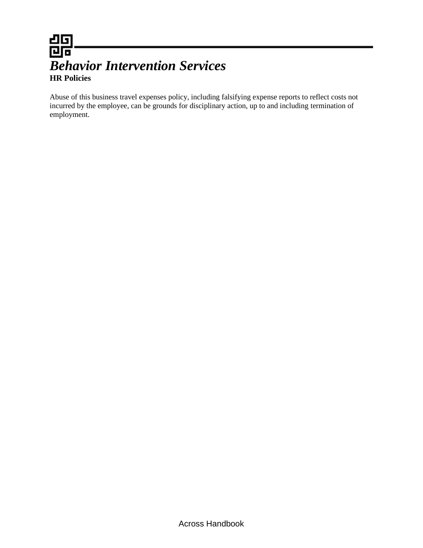Abuse of this business travel expenses policy, including falsifying expense reports to reflect costs not incurred by the employee, can be grounds for disciplinary action, up to and including termination of employment.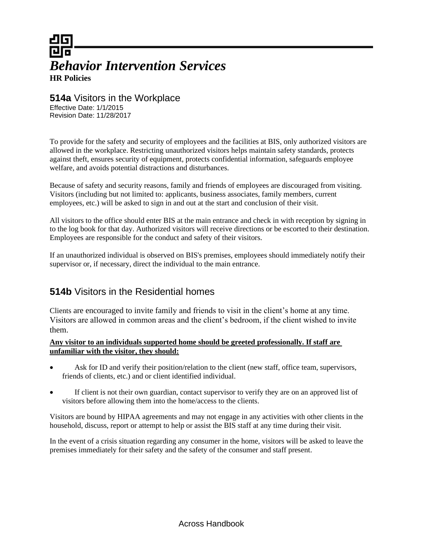#### **514a** Visitors in the Workplace

Effective Date: 1/1/2015 Revision Date: 11/28/2017

To provide for the safety and security of employees and the facilities at BIS, only authorized visitors are allowed in the workplace. Restricting unauthorized visitors helps maintain safety standards, protects against theft, ensures security of equipment, protects confidential information, safeguards employee welfare, and avoids potential distractions and disturbances.

Because of safety and security reasons, family and friends of employees are discouraged from visiting. Visitors (including but not limited to: applicants, business associates, family members, current employees, etc.) will be asked to sign in and out at the start and conclusion of their visit.

All visitors to the office should enter BIS at the main entrance and check in with reception by signing in to the log book for that day. Authorized visitors will receive directions or be escorted to their destination. Employees are responsible for the conduct and safety of their visitors.

If an unauthorized individual is observed on BIS's premises, employees should immediately notify their supervisor or, if necessary, direct the individual to the main entrance.

## **514b** Visitors in the Residential homes

Clients are encouraged to invite family and friends to visit in the client's home at any time. Visitors are allowed in common areas and the client's bedroom, if the client wished to invite them.

**Any visitor to an individuals supported home should be greeted professionally. If staff are unfamiliar with the visitor, they should:**

- Ask for ID and verify their position/relation to the client (new staff, office team, supervisors, friends of clients, etc.) and or client identified individual.
- If client is not their own guardian, contact supervisor to verify they are on an approved list of visitors before allowing them into the home/access to the clients.

Visitors are bound by HIPAA agreements and may not engage in any activities with other clients in the household, discuss, report or attempt to help or assist the BIS staff at any time during their visit.

In the event of a crisis situation regarding any consumer in the home, visitors will be asked to leave the premises immediately for their safety and the safety of the consumer and staff present.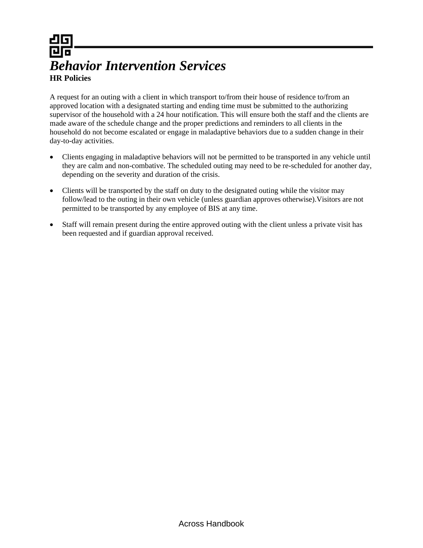A request for an outing with a client in which transport to/from their house of residence to/from an approved location with a designated starting and ending time must be submitted to the authorizing supervisor of the household with a 24 hour notification. This will ensure both the staff and the clients are made aware of the schedule change and the proper predictions and reminders to all clients in the household do not become escalated or engage in maladaptive behaviors due to a sudden change in their day-to-day activities.

- Clients engaging in maladaptive behaviors will not be permitted to be transported in any vehicle until they are calm and non-combative. The scheduled outing may need to be re-scheduled for another day, depending on the severity and duration of the crisis.
- Clients will be transported by the staff on duty to the designated outing while the visitor may follow/lead to the outing in their own vehicle (unless guardian approves otherwise).Visitors are not permitted to be transported by any employee of BIS at any time.
- Staff will remain present during the entire approved outing with the client unless a private visit has been requested and if guardian approval received.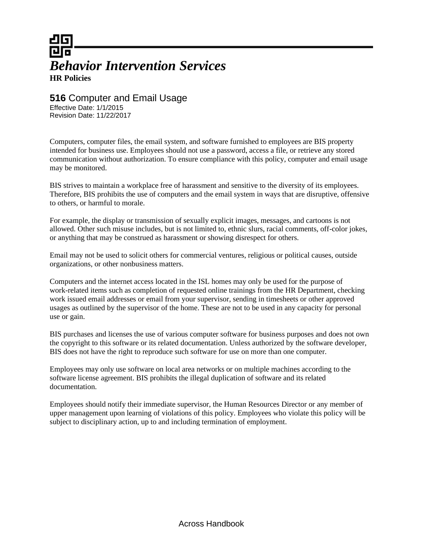#### **516** Computer and Email Usage

Effective Date: 1/1/2015 Revision Date: 11/22/2017

Computers, computer files, the email system, and software furnished to employees are BIS property intended for business use. Employees should not use a password, access a file, or retrieve any stored communication without authorization. To ensure compliance with this policy, computer and email usage may be monitored.

BIS strives to maintain a workplace free of harassment and sensitive to the diversity of its employees. Therefore, BIS prohibits the use of computers and the email system in ways that are disruptive, offensive to others, or harmful to morale.

For example, the display or transmission of sexually explicit images, messages, and cartoons is not allowed. Other such misuse includes, but is not limited to, ethnic slurs, racial comments, off-color jokes, or anything that may be construed as harassment or showing disrespect for others.

Email may not be used to solicit others for commercial ventures, religious or political causes, outside organizations, or other nonbusiness matters.

Computers and the internet access located in the ISL homes may only be used for the purpose of work-related items such as completion of requested online trainings from the HR Department, checking work issued email addresses or email from your supervisor, sending in timesheets or other approved usages as outlined by the supervisor of the home. These are not to be used in any capacity for personal use or gain.

BIS purchases and licenses the use of various computer software for business purposes and does not own the copyright to this software or its related documentation. Unless authorized by the software developer, BIS does not have the right to reproduce such software for use on more than one computer.

Employees may only use software on local area networks or on multiple machines according to the software license agreement. BIS prohibits the illegal duplication of software and its related documentation.

Employees should notify their immediate supervisor, the Human Resources Director or any member of upper management upon learning of violations of this policy. Employees who violate this policy will be subject to disciplinary action, up to and including termination of employment.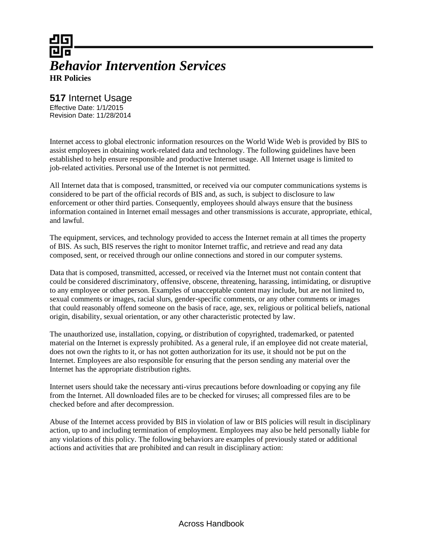## **517** Internet Usage

Effective Date: 1/1/2015 Revision Date: 11/28/2014

Internet access to global electronic information resources on the World Wide Web is provided by BIS to assist employees in obtaining work-related data and technology. The following guidelines have been established to help ensure responsible and productive Internet usage. All Internet usage is limited to job-related activities. Personal use of the Internet is not permitted.

All Internet data that is composed, transmitted, or received via our computer communications systems is considered to be part of the official records of BIS and, as such, is subject to disclosure to law enforcement or other third parties. Consequently, employees should always ensure that the business information contained in Internet email messages and other transmissions is accurate, appropriate, ethical, and lawful.

The equipment, services, and technology provided to access the Internet remain at all times the property of BIS. As such, BIS reserves the right to monitor Internet traffic, and retrieve and read any data composed, sent, or received through our online connections and stored in our computer systems.

Data that is composed, transmitted, accessed, or received via the Internet must not contain content that could be considered discriminatory, offensive, obscene, threatening, harassing, intimidating, or disruptive to any employee or other person. Examples of unacceptable content may include, but are not limited to, sexual comments or images, racial slurs, gender-specific comments, or any other comments or images that could reasonably offend someone on the basis of race, age, sex, religious or political beliefs, national origin, disability, sexual orientation, or any other characteristic protected by law.

The unauthorized use, installation, copying, or distribution of copyrighted, trademarked, or patented material on the Internet is expressly prohibited. As a general rule, if an employee did not create material, does not own the rights to it, or has not gotten authorization for its use, it should not be put on the Internet. Employees are also responsible for ensuring that the person sending any material over the Internet has the appropriate distribution rights.

Internet users should take the necessary anti-virus precautions before downloading or copying any file from the Internet. All downloaded files are to be checked for viruses; all compressed files are to be checked before and after decompression.

Abuse of the Internet access provided by BIS in violation of law or BIS policies will result in disciplinary action, up to and including termination of employment. Employees may also be held personally liable for any violations of this policy. The following behaviors are examples of previously stated or additional actions and activities that are prohibited and can result in disciplinary action: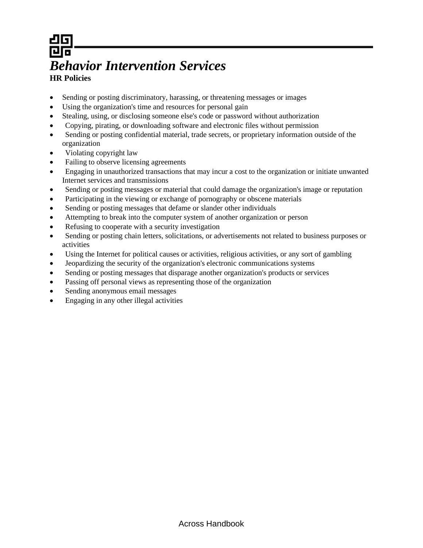- Sending or posting discriminatory, harassing, or threatening messages or images
- Using the organization's time and resources for personal gain
- Stealing, using, or disclosing someone else's code or password without authorization
- Copying, pirating, or downloading software and electronic files without permission
- Sending or posting confidential material, trade secrets, or proprietary information outside of the organization
- Violating copyright law
- Failing to observe licensing agreements
- Engaging in unauthorized transactions that may incur a cost to the organization or initiate unwanted Internet services and transmissions
- Sending or posting messages or material that could damage the organization's image or reputation
- Participating in the viewing or exchange of pornography or obscene materials
- Sending or posting messages that defame or slander other individuals
- Attempting to break into the computer system of another organization or person
- Refusing to cooperate with a security investigation
- Sending or posting chain letters, solicitations, or advertisements not related to business purposes or activities
- Using the Internet for political causes or activities, religious activities, or any sort of gambling
- Jeopardizing the security of the organization's electronic communications systems
- Sending or posting messages that disparage another organization's products or services
- Passing off personal views as representing those of the organization
- Sending anonymous email messages
- Engaging in any other illegal activities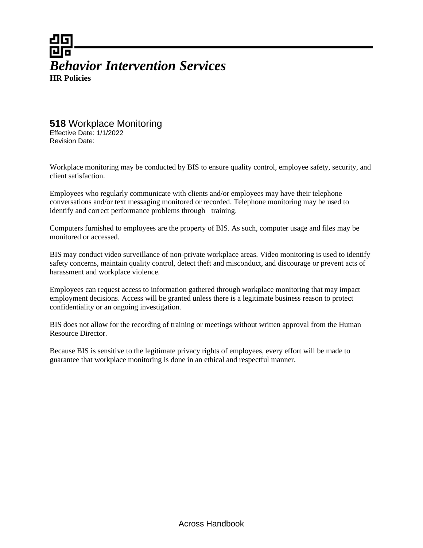### **518** Workplace Monitoring

Effective Date: 1/1/2022 Revision Date:

Workplace monitoring may be conducted by BIS to ensure quality control, employee safety, security, and client satisfaction.

Employees who regularly communicate with clients and/or employees may have their telephone conversations and/or text messaging monitored or recorded. Telephone monitoring may be used to identify and correct performance problems through training.

Computers furnished to employees are the property of BIS. As such, computer usage and files may be monitored or accessed.

BIS may conduct video surveillance of non-private workplace areas. Video monitoring is used to identify safety concerns, maintain quality control, detect theft and misconduct, and discourage or prevent acts of harassment and workplace violence.

Employees can request access to information gathered through workplace monitoring that may impact employment decisions. Access will be granted unless there is a legitimate business reason to protect confidentiality or an ongoing investigation.

BIS does not allow for the recording of training or meetings without written approval from the Human Resource Director.

Because BIS is sensitive to the legitimate privacy rights of employees, every effort will be made to guarantee that workplace monitoring is done in an ethical and respectful manner.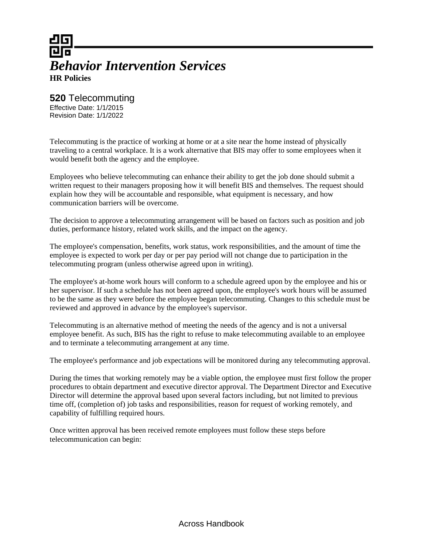#### **520** Telecommuting

Effective Date: 1/1/2015 Revision Date: 1/1/2022

Telecommuting is the practice of working at home or at a site near the home instead of physically traveling to a central workplace. It is a work alternative that BIS may offer to some employees when it would benefit both the agency and the employee.

Employees who believe telecommuting can enhance their ability to get the job done should submit a written request to their managers proposing how it will benefit BIS and themselves. The request should explain how they will be accountable and responsible, what equipment is necessary, and how communication barriers will be overcome.

The decision to approve a telecommuting arrangement will be based on factors such as position and job duties, performance history, related work skills, and the impact on the agency.

The employee's compensation, benefits, work status, work responsibilities, and the amount of time the employee is expected to work per day or per pay period will not change due to participation in the telecommuting program (unless otherwise agreed upon in writing).

The employee's at-home work hours will conform to a schedule agreed upon by the employee and his or her supervisor. If such a schedule has not been agreed upon, the employee's work hours will be assumed to be the same as they were before the employee began telecommuting. Changes to this schedule must be reviewed and approved in advance by the employee's supervisor.

Telecommuting is an alternative method of meeting the needs of the agency and is not a universal employee benefit. As such, BIS has the right to refuse to make telecommuting available to an employee and to terminate a telecommuting arrangement at any time.

The employee's performance and job expectations will be monitored during any telecommuting approval.

During the times that working remotely may be a viable option, the employee must first follow the proper procedures to obtain department and executive director approval. The Department Director and Executive Director will determine the approval based upon several factors including, but not limited to previous time off, (completion of) job tasks and responsibilities, reason for request of working remotely, and capability of fulfilling required hours.

Once written approval has been received remote employees must follow these steps before telecommunication can begin: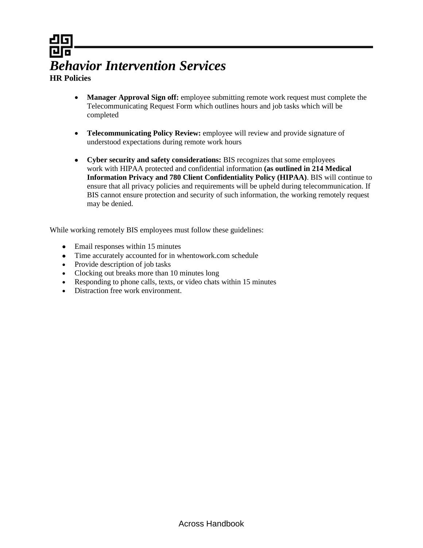- **Manager Approval Sign off:** employee submitting remote work request must complete the Telecommunicating Request Form which outlines hours and job tasks which will be completed
- **Telecommunicating Policy Review:** employee will review and provide signature of understood expectations during remote work hours
- **Cyber security and safety considerations:** BIS recognizes that some employees work with HIPAA protected and confidential information **(as outlined in 214 Medical Information Privacy and 780 Client Confidentiality Policy (HIPAA)**. BIS will continue to ensure that all privacy policies and requirements will be upheld during telecommunication. If BIS cannot ensure protection and security of such information, the working remotely request may be denied.

While working remotely BIS employees must follow these guidelines:

- Email responses within 15 minutes
- Time accurately accounted for in whentowork.com schedule
- Provide description of job tasks
- Clocking out breaks more than 10 minutes long
- Responding to phone calls, texts, or video chats within 15 minutes
- Distraction free work environment.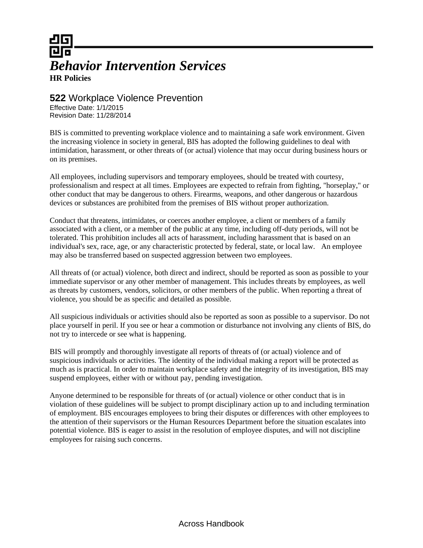#### **522** Workplace Violence Prevention

Effective Date: 1/1/2015 Revision Date: 11/28/2014

BIS is committed to preventing workplace violence and to maintaining a safe work environment. Given the increasing violence in society in general, BIS has adopted the following guidelines to deal with intimidation, harassment, or other threats of (or actual) violence that may occur during business hours or on its premises.

All employees, including supervisors and temporary employees, should be treated with courtesy, professionalism and respect at all times. Employees are expected to refrain from fighting, "horseplay," or other conduct that may be dangerous to others. Firearms, weapons, and other dangerous or hazardous devices or substances are prohibited from the premises of BIS without proper authorization.

Conduct that threatens, intimidates, or coerces another employee, a client or members of a family associated with a client, or a member of the public at any time, including off-duty periods, will not be tolerated. This prohibition includes all acts of harassment, including harassment that is based on an individual's sex, race, age, or any characteristic protected by federal, state, or local law. An employee may also be transferred based on suspected aggression between two employees.

All threats of (or actual) violence, both direct and indirect, should be reported as soon as possible to your immediate supervisor or any other member of management. This includes threats by employees, as well as threats by customers, vendors, solicitors, or other members of the public. When reporting a threat of violence, you should be as specific and detailed as possible.

All suspicious individuals or activities should also be reported as soon as possible to a supervisor. Do not place yourself in peril. If you see or hear a commotion or disturbance not involving any clients of BIS, do not try to intercede or see what is happening.

BIS will promptly and thoroughly investigate all reports of threats of (or actual) violence and of suspicious individuals or activities. The identity of the individual making a report will be protected as much as is practical. In order to maintain workplace safety and the integrity of its investigation, BIS may suspend employees, either with or without pay, pending investigation.

Anyone determined to be responsible for threats of (or actual) violence or other conduct that is in violation of these guidelines will be subject to prompt disciplinary action up to and including termination of employment. BIS encourages employees to bring their disputes or differences with other employees to the attention of their supervisors or the Human Resources Department before the situation escalates into potential violence. BIS is eager to assist in the resolution of employee disputes, and will not discipline employees for raising such concerns.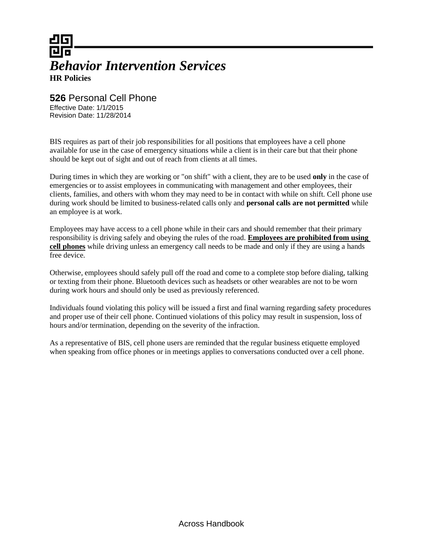### **526** Personal Cell Phone

Effective Date: 1/1/2015 Revision Date: 11/28/2014

BIS requires as part of their job responsibilities for all positions that employees have a cell phone available for use in the case of emergency situations while a client is in their care but that their phone should be kept out of sight and out of reach from clients at all times.

During times in which they are working or "on shift" with a client, they are to be used **only** in the case of emergencies or to assist employees in communicating with management and other employees, their clients, families, and others with whom they may need to be in contact with while on shift. Cell phone use during work should be limited to business-related calls only and **personal calls are not permitted** while an employee is at work.

Employees may have access to a cell phone while in their cars and should remember that their primary responsibility is driving safely and obeying the rules of the road. **Employees are prohibited from using cell phones** while driving unless an emergency call needs to be made and only if they are using a hands free device.

Otherwise, employees should safely pull off the road and come to a complete stop before dialing, talking or texting from their phone. Bluetooth devices such as headsets or other wearables are not to be worn during work hours and should only be used as previously referenced.

Individuals found violating this policy will be issued a first and final warning regarding safety procedures and proper use of their cell phone. Continued violations of this policy may result in suspension, loss of hours and/or termination, depending on the severity of the infraction.

As a representative of BIS, cell phone users are reminded that the regular business etiquette employed when speaking from office phones or in meetings applies to conversations conducted over a cell phone.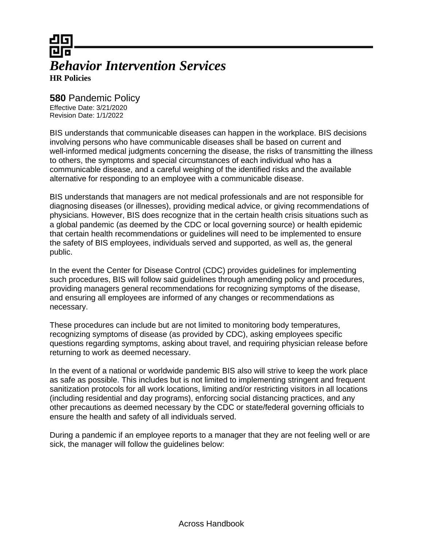**580** Pandemic Policy

Effective Date: 3/21/2020 Revision Date: 1/1/2022

BIS understands that communicable diseases can happen in the workplace. BIS decisions involving persons who have communicable diseases shall be based on current and well-informed medical judgments concerning the disease, the risks of transmitting the illness to others, the symptoms and special circumstances of each individual who has a communicable disease, and a careful weighing of the identified risks and the available alternative for responding to an employee with a communicable disease.

BIS understands that managers are not medical professionals and are not responsible for diagnosing diseases (or illnesses), providing medical advice, or giving recommendations of physicians. However, BIS does recognize that in the certain health crisis situations such as a global pandemic (as deemed by the CDC or local governing source) or health epidemic that certain health recommendations or guidelines will need to be implemented to ensure the safety of BIS employees, individuals served and supported, as well as, the general public.

In the event the Center for Disease Control (CDC) provides guidelines for implementing such procedures, BIS will follow said guidelines through amending policy and procedures, providing managers general recommendations for recognizing symptoms of the disease, and ensuring all employees are informed of any changes or recommendations as necessary.

These procedures can include but are not limited to monitoring body temperatures, recognizing symptoms of disease (as provided by CDC), asking employees specific questions regarding symptoms, asking about travel, and requiring physician release before returning to work as deemed necessary.

In the event of a national or worldwide pandemic BIS also will strive to keep the work place as safe as possible. This includes but is not limited to implementing stringent and frequent sanitization protocols for all work locations, limiting and/or restricting visitors in all locations (including residential and day programs), enforcing social distancing practices, and any other precautions as deemed necessary by the CDC or state/federal governing officials to ensure the health and safety of all individuals served.

During a pandemic if an employee reports to a manager that they are not feeling well or are sick, the manager will follow the guidelines below: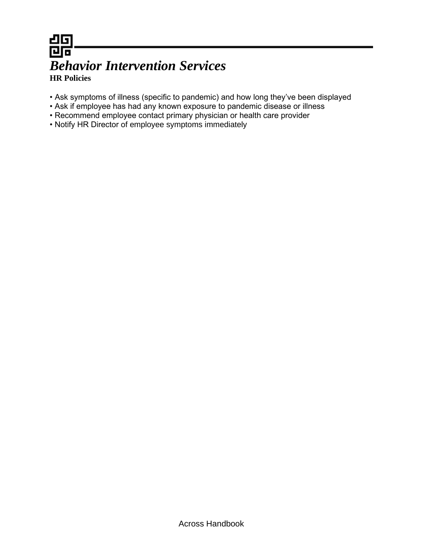- Ask symptoms of illness (specific to pandemic) and how long they've been displayed
- Ask if employee has had any known exposure to pandemic disease or illness
- Recommend employee contact primary physician or health care provider
- Notify HR Director of employee symptoms immediately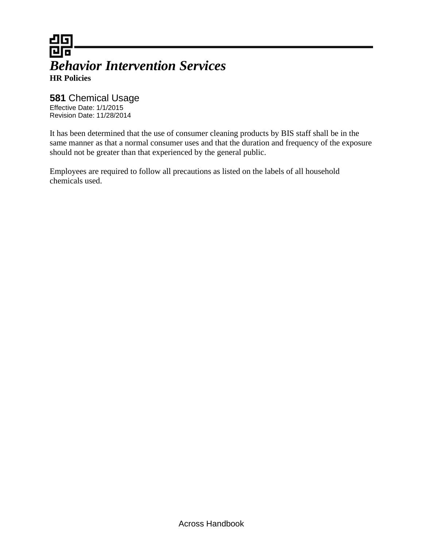## **581** Chemical Usage

Effective Date: 1/1/2015 Revision Date: 11/28/2014

It has been determined that the use of consumer cleaning products by BIS staff shall be in the same manner as that a normal consumer uses and that the duration and frequency of the exposure should not be greater than that experienced by the general public.

Employees are required to follow all precautions as listed on the labels of all household chemicals used.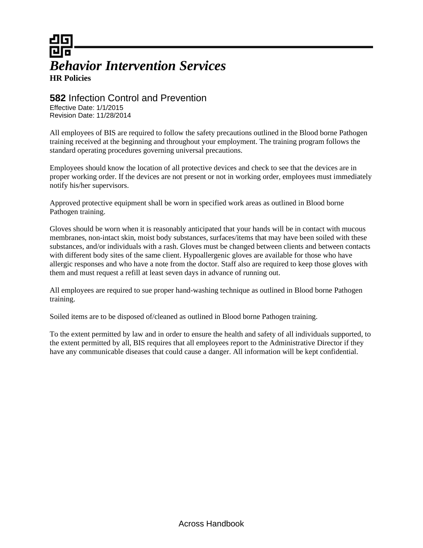### **582** Infection Control and Prevention

Effective Date: 1/1/2015 Revision Date: 11/28/2014

All employees of BIS are required to follow the safety precautions outlined in the Blood borne Pathogen training received at the beginning and throughout your employment. The training program follows the standard operating procedures governing universal precautions.

Employees should know the location of all protective devices and check to see that the devices are in proper working order. If the devices are not present or not in working order, employees must immediately notify his/her supervisors.

Approved protective equipment shall be worn in specified work areas as outlined in Blood borne Pathogen training.

Gloves should be worn when it is reasonably anticipated that your hands will be in contact with mucous membranes, non-intact skin, moist body substances, surfaces/items that may have been soiled with these substances, and/or individuals with a rash. Gloves must be changed between clients and between contacts with different body sites of the same client. Hypoallergenic gloves are available for those who have allergic responses and who have a note from the doctor. Staff also are required to keep those gloves with them and must request a refill at least seven days in advance of running out.

All employees are required to sue proper hand-washing technique as outlined in Blood borne Pathogen training.

Soiled items are to be disposed of/cleaned as outlined in Blood borne Pathogen training.

To the extent permitted by law and in order to ensure the health and safety of all individuals supported, to the extent permitted by all, BIS requires that all employees report to the Administrative Director if they have any communicable diseases that could cause a danger. All information will be kept confidential.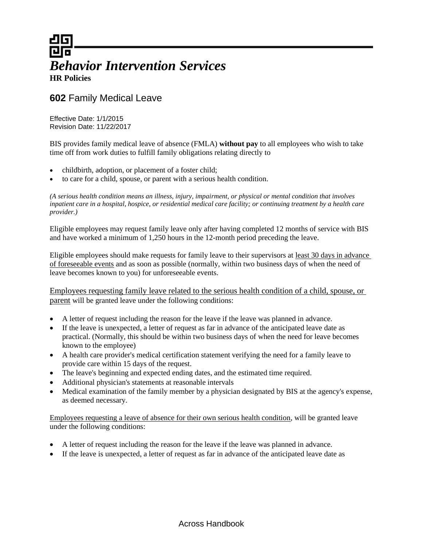## **602** Family Medical Leave

Effective Date: 1/1/2015 Revision Date: 11/22/2017

BIS provides family medical leave of absence (FMLA) **without pay** to all employees who wish to take time off from work duties to fulfill family obligations relating directly to

- childbirth, adoption, or placement of a foster child;
- to care for a child, spouse, or parent with a serious health condition.

*(A serious health condition means an illness, injury, impairment, or physical or mental condition that involves inpatient care in a hospital, hospice, or residential medical care facility; or continuing treatment by a health care provider.)*

Eligible employees may request family leave only after having completed 12 months of service with BIS and have worked a minimum of 1,250 hours in the 12-month period preceding the leave.

Eligible employees should make requests for family leave to their supervisors at least 30 days in advance of foreseeable events and as soon as possible (normally, within two business days of when the need of leave becomes known to you) for unforeseeable events.

Employees requesting family leave related to the serious health condition of a child, spouse, or parent will be granted leave under the following conditions:

- A letter of request including the reason for the leave if the leave was planned in advance.
- If the leave is unexpected, a letter of request as far in advance of the anticipated leave date as practical. (Normally, this should be within two business days of when the need for leave becomes known to the employee)
- A health care provider's medical certification statement verifying the need for a family leave to provide care within 15 days of the request.
- The leave's beginning and expected ending dates, and the estimated time required.
- Additional physician's statements at reasonable intervals
- Medical examination of the family member by a physician designated by BIS at the agency's expense, as deemed necessary.

Employees requesting a leave of absence for their own serious health condition, will be granted leave under the following conditions:

- A letter of request including the reason for the leave if the leave was planned in advance.
- If the leave is unexpected, a letter of request as far in advance of the anticipated leave date as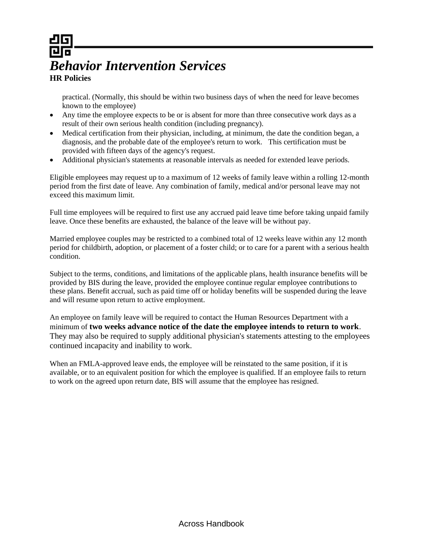practical. (Normally, this should be within two business days of when the need for leave becomes known to the employee)

- Any time the employee expects to be or is absent for more than three consecutive work days as a result of their own serious health condition (including pregnancy).
- Medical certification from their physician, including, at minimum, the date the condition began, a diagnosis, and the probable date of the employee's return to work. This certification must be provided with fifteen days of the agency's request.
- Additional physician's statements at reasonable intervals as needed for extended leave periods.

Eligible employees may request up to a maximum of 12 weeks of family leave within a rolling 12-month period from the first date of leave. Any combination of family, medical and/or personal leave may not exceed this maximum limit.

Full time employees will be required to first use any accrued paid leave time before taking unpaid family leave. Once these benefits are exhausted, the balance of the leave will be without pay.

Married employee couples may be restricted to a combined total of 12 weeks leave within any 12 month period for childbirth, adoption, or placement of a foster child; or to care for a parent with a serious health condition.

Subject to the terms, conditions, and limitations of the applicable plans, health insurance benefits will be provided by BIS during the leave, provided the employee continue regular employee contributions to these plans. Benefit accrual, such as paid time off or holiday benefits will be suspended during the leave and will resume upon return to active employment.

An employee on family leave will be required to contact the Human Resources Department with a minimum of **two weeks advance notice of the date the employee intends to return to work**. They may also be required to supply additional physician's statements attesting to the employees continued incapacity and inability to work.

When an FMLA-approved leave ends, the employee will be reinstated to the same position, if it is available, or to an equivalent position for which the employee is qualified. If an employee fails to return to work on the agreed upon return date, BIS will assume that the employee has resigned.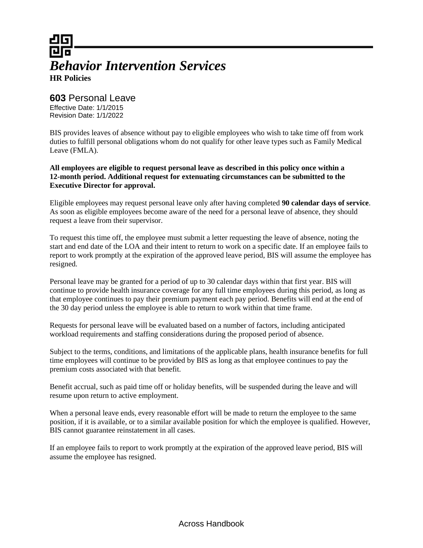#### **603** Personal Leave

Effective Date: 1/1/2015 Revision Date: 1/1/2022

BIS provides leaves of absence without pay to eligible employees who wish to take time off from work duties to fulfill personal obligations whom do not qualify for other leave types such as Family Medical Leave (FMLA).

**All employees are eligible to request personal leave as described in this policy once within a 12-month period. Additional request for extenuating circumstances can be submitted to the Executive Director for approval.**

Eligible employees may request personal leave only after having completed **90 calendar days of service**. As soon as eligible employees become aware of the need for a personal leave of absence, they should request a leave from their supervisor.

To request this time off, the employee must submit a letter requesting the leave of absence, noting the start and end date of the LOA and their intent to return to work on a specific date. If an employee fails to report to work promptly at the expiration of the approved leave period, BIS will assume the employee has resigned.

Personal leave may be granted for a period of up to 30 calendar days within that first year. BIS will continue to provide health insurance coverage for any full time employees during this period, as long as that employee continues to pay their premium payment each pay period. Benefits will end at the end of the 30 day period unless the employee is able to return to work within that time frame.

Requests for personal leave will be evaluated based on a number of factors, including anticipated workload requirements and staffing considerations during the proposed period of absence.

Subject to the terms, conditions, and limitations of the applicable plans, health insurance benefits for full time employees will continue to be provided by BIS as long as that employee continues to pay the premium costs associated with that benefit.

Benefit accrual, such as paid time off or holiday benefits, will be suspended during the leave and will resume upon return to active employment.

When a personal leave ends, every reasonable effort will be made to return the employee to the same position, if it is available, or to a similar available position for which the employee is qualified. However, BIS cannot guarantee reinstatement in all cases.

If an employee fails to report to work promptly at the expiration of the approved leave period, BIS will assume the employee has resigned.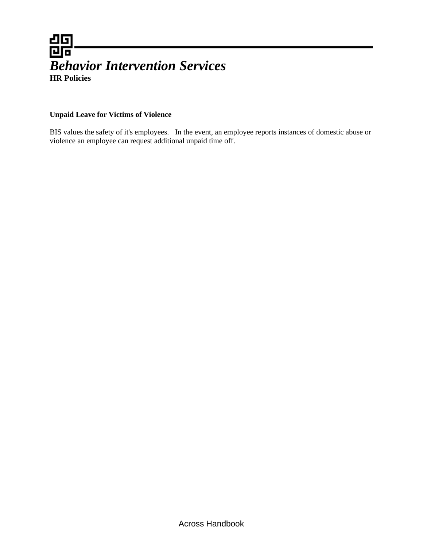#### **Unpaid Leave for Victims of Violence**

BIS values the safety of it's employees. In the event, an employee reports instances of domestic abuse or violence an employee can request additional unpaid time off.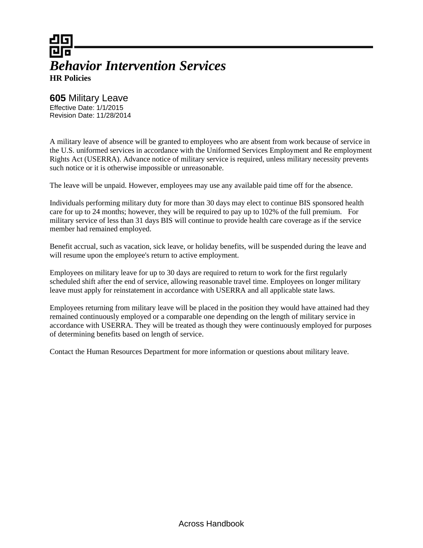## **605** Military Leave

Effective Date: 1/1/2015 Revision Date: 11/28/2014

A military leave of absence will be granted to employees who are absent from work because of service in the U.S. uniformed services in accordance with the Uniformed Services Employment and Re employment Rights Act (USERRA). Advance notice of military service is required, unless military necessity prevents such notice or it is otherwise impossible or unreasonable.

The leave will be unpaid. However, employees may use any available paid time off for the absence.

Individuals performing military duty for more than 30 days may elect to continue BIS sponsored health care for up to 24 months; however, they will be required to pay up to 102% of the full premium. For military service of less than 31 days BIS will continue to provide health care coverage as if the service member had remained employed.

Benefit accrual, such as vacation, sick leave, or holiday benefits, will be suspended during the leave and will resume upon the employee's return to active employment.

Employees on military leave for up to 30 days are required to return to work for the first regularly scheduled shift after the end of service, allowing reasonable travel time. Employees on longer military leave must apply for reinstatement in accordance with USERRA and all applicable state laws.

Employees returning from military leave will be placed in the position they would have attained had they remained continuously employed or a comparable one depending on the length of military service in accordance with USERRA. They will be treated as though they were continuously employed for purposes of determining benefits based on length of service.

Contact the Human Resources Department for more information or questions about military leave.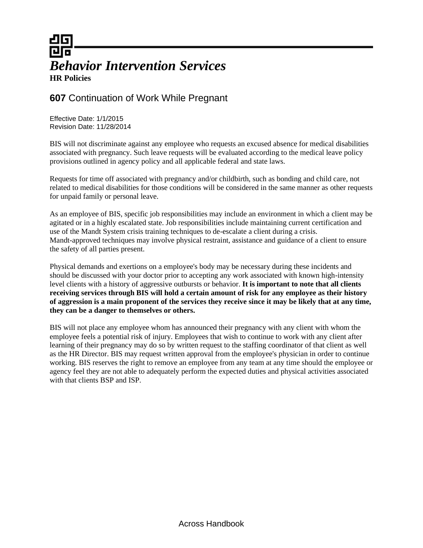## **607** Continuation of Work While Pregnant

Effective Date: 1/1/2015 Revision Date: 11/28/2014

BIS will not discriminate against any employee who requests an excused absence for medical disabilities associated with pregnancy. Such leave requests will be evaluated according to the medical leave policy provisions outlined in agency policy and all applicable federal and state laws.

Requests for time off associated with pregnancy and/or childbirth, such as bonding and child care, not related to medical disabilities for those conditions will be considered in the same manner as other requests for unpaid family or personal leave.

As an employee of BIS, specific job responsibilities may include an environment in which a client may be agitated or in a highly escalated state. Job responsibilities include maintaining current certification and use of the Mandt System crisis training techniques to de-escalate a client during a crisis. Mandt-approved techniques may involve physical restraint, assistance and guidance of a client to ensure the safety of all parties present.

Physical demands and exertions on a employee's body may be necessary during these incidents and should be discussed with your doctor prior to accepting any work associated with known high-intensity level clients with a history of aggressive outbursts or behavior. **It is important to note that all clients receiving services through BIS will hold a certain amount of risk for any employee as their history of aggression is a main proponent of the services they receive since it may be likely that at any time, they can be a danger to themselves or others.** 

BIS will not place any employee whom has announced their pregnancy with any client with whom the employee feels a potential risk of injury. Employees that wish to continue to work with any client after learning of their pregnancy may do so by written request to the staffing coordinator of that client as well as the HR Director. BIS may request written approval from the employee's physician in order to continue working. BIS reserves the right to remove an employee from any team at any time should the employee or agency feel they are not able to adequately perform the expected duties and physical activities associated with that clients BSP and ISP.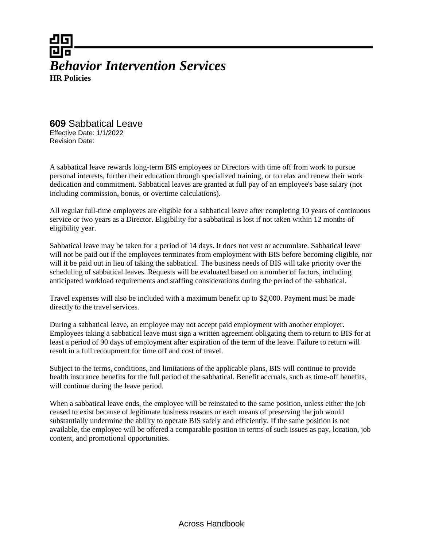**609** Sabbatical Leave Effective Date: 1/1/2022

Revision Date:

A sabbatical leave rewards long-term BIS employees or Directors with time off from work to pursue personal interests, further their education through specialized training, or to relax and renew their work dedication and commitment. Sabbatical leaves are granted at full pay of an employee's base salary (not including commission, bonus, or overtime calculations).

All regular full-time employees are eligible for a sabbatical leave after completing 10 years of continuous service or two years as a Director. Eligibility for a sabbatical is lost if not taken within 12 months of eligibility year.

Sabbatical leave may be taken for a period of 14 days. It does not vest or accumulate. Sabbatical leave will not be paid out if the employees terminates from employment with BIS before becoming eligible, nor will it be paid out in lieu of taking the sabbatical. The business needs of BIS will take priority over the scheduling of sabbatical leaves. Requests will be evaluated based on a number of factors, including anticipated workload requirements and staffing considerations during the period of the sabbatical.

Travel expenses will also be included with a maximum benefit up to \$2,000. Payment must be made directly to the travel services.

During a sabbatical leave, an employee may not accept paid employment with another employer. Employees taking a sabbatical leave must sign a written agreement obligating them to return to BIS for at least a period of 90 days of employment after expiration of the term of the leave. Failure to return will result in a full recoupment for time off and cost of travel.

Subject to the terms, conditions, and limitations of the applicable plans, BIS will continue to provide health insurance benefits for the full period of the sabbatical. Benefit accruals, such as time-off benefits, will continue during the leave period.

When a sabbatical leave ends, the employee will be reinstated to the same position, unless either the job ceased to exist because of legitimate business reasons or each means of preserving the job would substantially undermine the ability to operate BIS safely and efficiently. If the same position is not available, the employee will be offered a comparable position in terms of such issues as pay, location, job content, and promotional opportunities.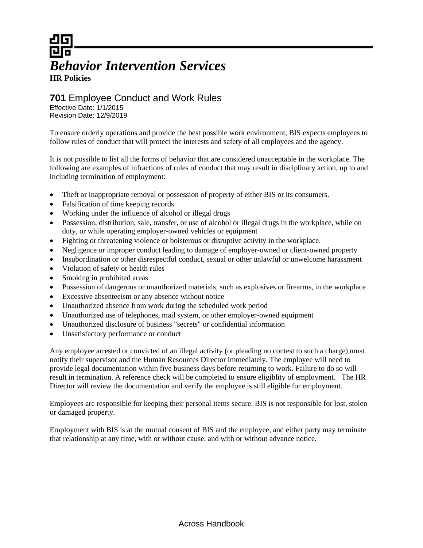## **701** Employee Conduct and Work Rules

Effective Date: 1/1/2015 Revision Date: 12/9/2019

To ensure orderly operations and provide the best possible work environment, BIS expects employees to follow rules of conduct that will protect the interests and safety of all employees and the agency.

It is not possible to list all the forms of behavior that are considered unacceptable in the workplace. The following are examples of infractions of rules of conduct that may result in disciplinary action, up to and including termination of employment:

- Theft or inappropriate removal or possession of property of either BIS or its consumers.
- Falsification of time keeping records
- Working under the influence of alcohol or illegal drugs
- Possession, distribution, sale, transfer, or use of alcohol or illegal drugs in the workplace, while on duty, or while operating employer-owned vehicles or equipment
- Fighting or threatening violence or boisterous or disruptive activity in the workplace.
- Negligence or improper conduct leading to damage of employer-owned or client-owned property
- Insubordination or other disrespectful conduct, sexual or other unlawful or unwelcome harassment
- Violation of safety or health rules
- Smoking in prohibited areas
- Possession of dangerous or unauthorized materials, such as explosives or firearms, in the workplace
- Excessive absenteeism or any absence without notice
- Unauthorized absence from work during the scheduled work period
- Unauthorized use of telephones, mail system, or other employer-owned equipment
- Unauthorized disclosure of business "secrets" or confidential information
- Unsatisfactory performance or conduct

Any employee arrested or convicted of an illegal activity (or pleading no contest to such a charge) must notify their supervisor and the Human Resources Director immediately. The employee will need to provide legal documentation within five business days before returning to work. Failure to do so will result in termination. A reference check will be completed to ensure eligiblity of employment. The HR Director will review the documentation and verify the employee is still eligible for employment.

Employees are responsible for keeping their personal items secure. BIS is not responsible for lost, stolen or damaged property.

Employment with BIS is at the mutual consent of BIS and the employee, and either party may terminate that relationship at any time, with or without cause, and with or without advance notice.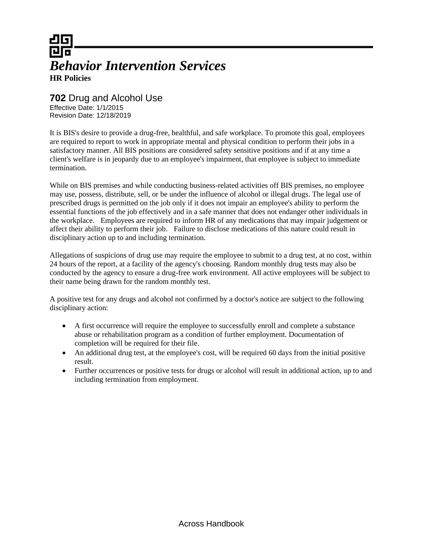### **702** Drug and Alcohol Use

Effective Date: 1/1/2015 Revision Date: 12/18/2019

It is BIS's desire to provide a drug-free, healthful, and safe workplace. To promote this goal, employees are required to report to work in appropriate mental and physical condition to perform their jobs in a satisfactory manner. All BIS positions are considered safety sensitive positions and if at any time a client's welfare is in jeopardy due to an employee's impairment, that employee is subject to immediate termination.

While on BIS premises and while conducting business-related activities off BIS premises, no employee may use, possess, distribute, sell, or be under the influence of alcohol or illegal drugs. The legal use of prescribed drugs is permitted on the job only if it does not impair an employee's ability to perform the essential functions of the job effectively and in a safe manner that does not endanger other individuals in the workplace. Employees are required to inform HR of any medications that may impair judgement or affect their ability to perform their job. Failure to disclose medications of this nature could result in disciplinary action up to and including termination.

Allegations of suspicions of drug use may require the employee to submit to a drug test, at no cost, within 24 hours of the report, at a facility of the agency's choosing. Random monthly drug tests may also be conducted by the agency to ensure a drug-free work environment. All active employees will be subject to their name being drawn for the random monthly test.

A positive test for any drugs and alcohol not confirmed by a doctor's notice are subject to the following disciplinary action:

- A first occurrence will require the employee to successfully enroll and complete a substance abuse or rehabilitation program as a condition of further employment. Documentation of completion will be required for their file.
- An additional drug test, at the employee's cost, will be required 60 days from the initial positive result.
- Further occurrences or positive tests for drugs or alcohol will result in additional action, up to and including termination from employment.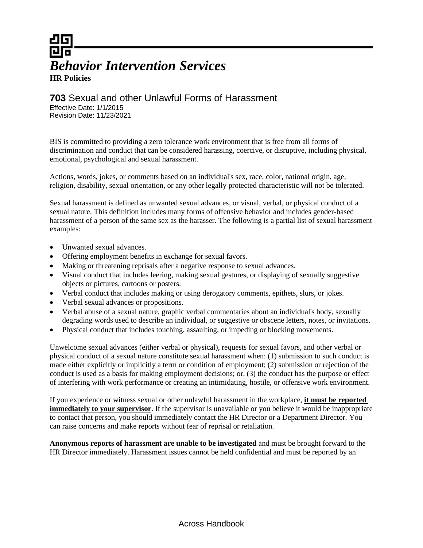## **703** Sexual and other Unlawful Forms of Harassment

Effective Date: 1/1/2015 Revision Date: 11/23/2021

BIS is committed to providing a zero tolerance work environment that is free from all forms of discrimination and conduct that can be considered harassing, coercive, or disruptive, including physical, emotional, psychological and sexual harassment.

Actions, words, jokes, or comments based on an individual's sex, race, color, national origin, age, religion, disability, sexual orientation, or any other legally protected characteristic will not be tolerated.

Sexual harassment is defined as unwanted sexual advances, or visual, verbal, or physical conduct of a sexual nature. This definition includes many forms of offensive behavior and includes gender-based harassment of a person of the same sex as the harasser. The following is a partial list of sexual harassment examples:

- Unwanted sexual advances.
- Offering employment benefits in exchange for sexual favors.
- Making or threatening reprisals after a negative response to sexual advances.
- Visual conduct that includes leering, making sexual gestures, or displaying of sexually suggestive objects or pictures, cartoons or posters.
- Verbal conduct that includes making or using derogatory comments, epithets, slurs, or jokes.
- Verbal sexual advances or propositions.
- Verbal abuse of a sexual nature, graphic verbal commentaries about an individual's body, sexually degrading words used to describe an individual, or suggestive or obscene letters, notes, or invitations.
- Physical conduct that includes touching, assaulting, or impeding or blocking movements.

Unwelcome sexual advances (either verbal or physical), requests for sexual favors, and other verbal or physical conduct of a sexual nature constitute sexual harassment when: (1) submission to such conduct is made either explicitly or implicitly a term or condition of employment; (2) submission or rejection of the conduct is used as a basis for making employment decisions; or, (3) the conduct has the purpose or effect of interfering with work performance or creating an intimidating, hostile, or offensive work environment.

If you experience or witness sexual or other unlawful harassment in the workplace, **it must be reported immediately to your supervisor**. If the supervisor is unavailable or you believe it would be inappropriate to contact that person, you should immediately contact the HR Director or a Department Director. You can raise concerns and make reports without fear of reprisal or retaliation.

**Anonymous reports of harassment are unable to be investigated** and must be brought forward to the HR Director immediately. Harassment issues cannot be held confidential and must be reported by an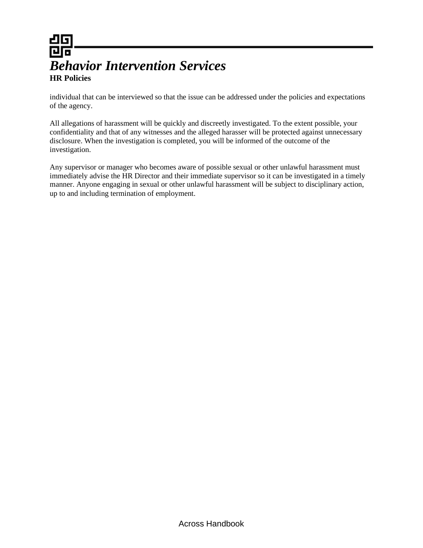individual that can be interviewed so that the issue can be addressed under the policies and expectations of the agency.

All allegations of harassment will be quickly and discreetly investigated. To the extent possible, your confidentiality and that of any witnesses and the alleged harasser will be protected against unnecessary disclosure. When the investigation is completed, you will be informed of the outcome of the investigation.

Any supervisor or manager who becomes aware of possible sexual or other unlawful harassment must immediately advise the HR Director and their immediate supervisor so it can be investigated in a timely manner. Anyone engaging in sexual or other unlawful harassment will be subject to disciplinary action, up to and including termination of employment.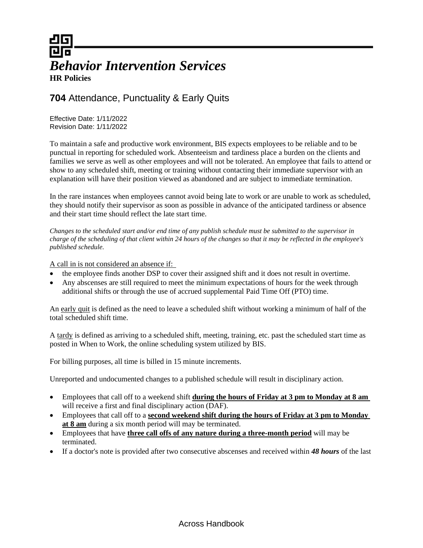## **704** Attendance, Punctuality & Early Quits

Effective Date: 1/11/2022 Revision Date: 1/11/2022

To maintain a safe and productive work environment, BIS expects employees to be reliable and to be punctual in reporting for scheduled work. Absenteeism and tardiness place a burden on the clients and families we serve as well as other employees and will not be tolerated. An employee that fails to attend or show to any scheduled shift, meeting or training without contacting their immediate supervisor with an explanation will have their position viewed as abandoned and are subject to immediate termination.

In the rare instances when employees cannot avoid being late to work or are unable to work as scheduled, they should notify their supervisor as soon as possible in advance of the anticipated tardiness or absence and their start time should reflect the late start time.

*Changes to the scheduled start and/or end time of any publish schedule must be submitted to the supervisor in charge of the scheduling of that client within 24 hours of the changes so that it may be reflected in the employee's published schedule.* 

A call in is not considered an absence if:

- the employee finds another DSP to cover their assigned shift and it does not result in overtime.
- Any abscenses are still required to meet the minimum expectations of hours for the week through additional shifts or through the use of accrued supplemental Paid Time Off (PTO) time.

An early quit is defined as the need to leave a scheduled shift without working a minimum of half of the total scheduled shift time.

A tardy is defined as arriving to a scheduled shift, meeting, training, etc. past the scheduled start time as posted in When to Work, the online scheduling system utilized by BIS.

For billing purposes, all time is billed in 15 minute increments.

Unreported and undocumented changes to a published schedule will result in disciplinary action.

- Employees that call off to a weekend shift **during the hours of Friday at 3 pm to Monday at 8 am**  will receive a first and final disciplinary action (DAF).
- Employees that call off to a **second weekend shift during the hours of Friday at 3 pm to Monday at 8 am** during a six month period will may be terminated.
- Employees that have **three call offs of any nature during a three-month period** will may be terminated.
- If a doctor's note is provided after two consecutive abscenses and received within *48 hours* of the last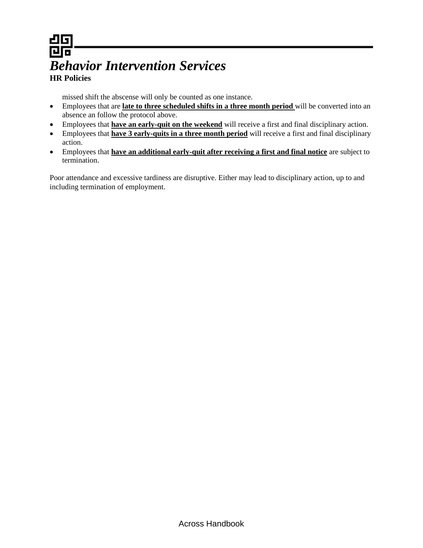missed shift the abscense will only be counted as one instance.

- Employees that are **late to three scheduled shifts in a three month period** will be converted into an absence an follow the protocol above.
- Employees that **have an early-quit on the weekend** will receive a first and final disciplinary action.
- Employees that **have 3 early-quits in a three month period** will receive a first and final disciplinary action.
- Employees that **have an additional early-quit after receiving a first and final notice** are subject to termination.

Poor attendance and excessive tardiness are disruptive. Either may lead to disciplinary action, up to and including termination of employment.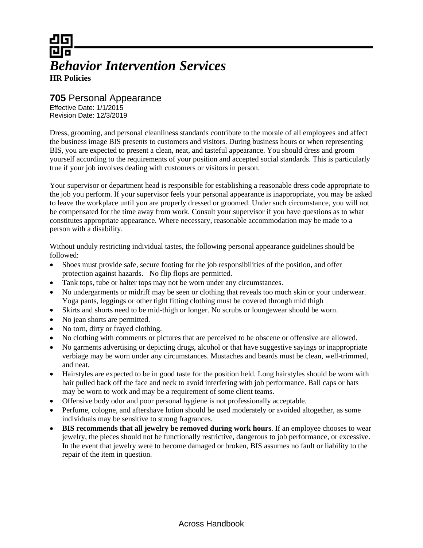#### **705** Personal Appearance

Effective Date: 1/1/2015 Revision Date: 12/3/2019

Dress, grooming, and personal cleanliness standards contribute to the morale of all employees and affect the business image BIS presents to customers and visitors. During business hours or when representing BIS, you are expected to present a clean, neat, and tasteful appearance. You should dress and groom yourself according to the requirements of your position and accepted social standards. This is particularly true if your job involves dealing with customers or visitors in person.

Your supervisor or department head is responsible for establishing a reasonable dress code appropriate to the job you perform. If your supervisor feels your personal appearance is inappropriate, you may be asked to leave the workplace until you are properly dressed or groomed. Under such circumstance, you will not be compensated for the time away from work. Consult your supervisor if you have questions as to what constitutes appropriate appearance. Where necessary, reasonable accommodation may be made to a person with a disability.

Without unduly restricting individual tastes, the following personal appearance guidelines should be followed:

- Shoes must provide safe, secure footing for the job responsibilities of the position, and offer protection against hazards. No flip flops are permitted.
- Tank tops, tube or halter tops may not be worn under any circumstances.
- No undergarments or midriff may be seen or clothing that reveals too much skin or your underwear. Yoga pants, leggings or other tight fitting clothing must be covered through mid thigh
- Skirts and shorts need to be mid-thigh or longer. No scrubs or loungewear should be worn.
- No jean shorts are permitted.
- No torn, dirty or frayed clothing.
- No clothing with comments or pictures that are perceived to be obscene or offensive are allowed.
- No garments advertising or depicting drugs, alcohol or that have suggestive sayings or inappropriate verbiage may be worn under any circumstances. Mustaches and beards must be clean, well-trimmed, and neat.
- Hairstyles are expected to be in good taste for the position held. Long hairstyles should be worn with hair pulled back off the face and neck to avoid interfering with job performance. Ball caps or hats may be worn to work and may be a requirement of some client teams.
- Offensive body odor and poor personal hygiene is not professionally acceptable.
- Perfume, cologne, and aftershave lotion should be used moderately or avoided altogether, as some individuals may be sensitive to strong fragrances.
- **BIS recommends that all jewelry be removed during work hours.** If an employee chooses to wear jewelry, the pieces should not be functionally restrictive, dangerous to job performance, or excessive. In the event that jewelry were to become damaged or broken, BIS assumes no fault or liability to the repair of the item in question.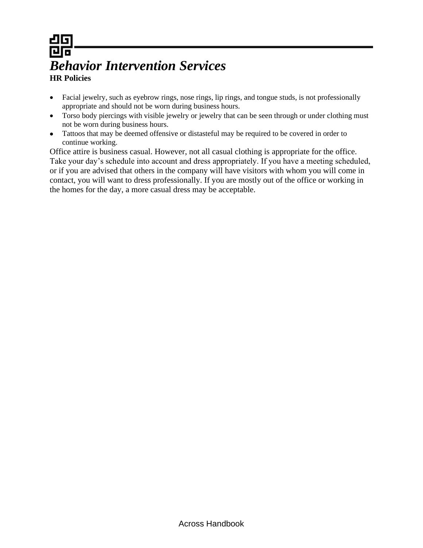- Facial jewelry, such as eyebrow rings, nose rings, lip rings, and tongue studs, is not professionally appropriate and should not be worn during business hours.
- Torso body piercings with visible jewelry or jewelry that can be seen through or under clothing must not be worn during business hours.
- Tattoos that may be deemed offensive or distasteful may be required to be covered in order to continue working.

Office attire is business casual. However, not all casual clothing is appropriate for the office. Take your day's schedule into account and dress appropriately. If you have a meeting scheduled, or if you are advised that others in the company will have visitors with whom you will come in contact, you will want to dress professionally. If you are mostly out of the office or working in the homes for the day, a more casual dress may be acceptable.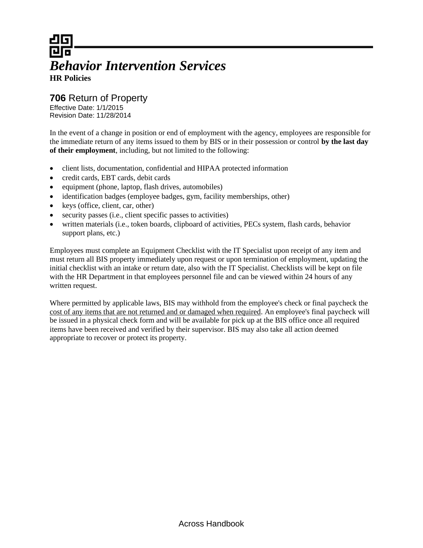#### **706** Return of Property

Effective Date: 1/1/2015 Revision Date: 11/28/2014

In the event of a change in position or end of employment with the agency, employees are responsible for the immediate return of any items issued to them by BIS or in their possession or control **by the last day of their employment**, including, but not limited to the following:

- client lists, documentation, confidential and HIPAA protected information
- credit cards, EBT cards, debit cards
- equipment (phone, laptop, flash drives, automobiles)
- identification badges (employee badges, gym, facility memberships, other)
- keys (office, client, car, other)
- security passes (i.e., client specific passes to activities)
- written materials (i.e., token boards, clipboard of activities, PECs system, flash cards, behavior support plans, etc.)

Employees must complete an Equipment Checklist with the IT Specialist upon receipt of any item and must return all BIS property immediately upon request or upon termination of employment, updating the initial checklist with an intake or return date, also with the IT Specialist. Checklists will be kept on file with the HR Department in that employees personnel file and can be viewed within 24 hours of any written request.

Where permitted by applicable laws, BIS may withhold from the employee's check or final paycheck the cost of any items that are not returned and or damaged when required. An employee's final paycheck will be issued in a physical check form and will be available for pick up at the BIS office once all required items have been received and verified by their supervisor. BIS may also take all action deemed appropriate to recover or protect its property.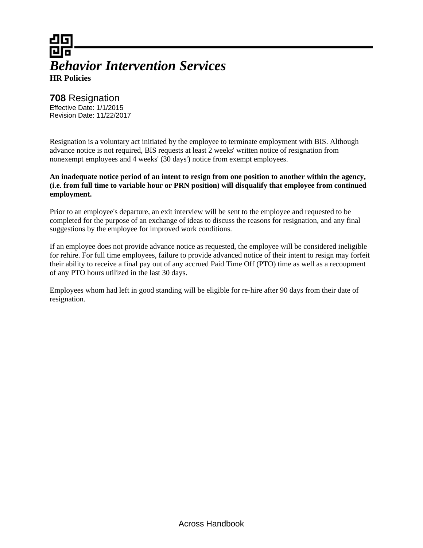#### **708** Resignation

Effective Date: 1/1/2015 Revision Date: 11/22/2017

Resignation is a voluntary act initiated by the employee to terminate employment with BIS. Although advance notice is not required, BIS requests at least 2 weeks' written notice of resignation from nonexempt employees and 4 weeks' (30 days') notice from exempt employees.

#### **An inadequate notice period of an intent to resign from one position to another within the agency, (i.e. from full time to variable hour or PRN position) will disqualify that employee from continued employment.**

Prior to an employee's departure, an exit interview will be sent to the employee and requested to be completed for the purpose of an exchange of ideas to discuss the reasons for resignation, and any final suggestions by the employee for improved work conditions.

If an employee does not provide advance notice as requested, the employee will be considered ineligible for rehire. For full time employees, failure to provide advanced notice of their intent to resign may forfeit their ability to receive a final pay out of any accrued Paid Time Off (PTO) time as well as a recoupment of any PTO hours utilized in the last 30 days.

Employees whom had left in good standing will be eligible for re-hire after 90 days from their date of resignation.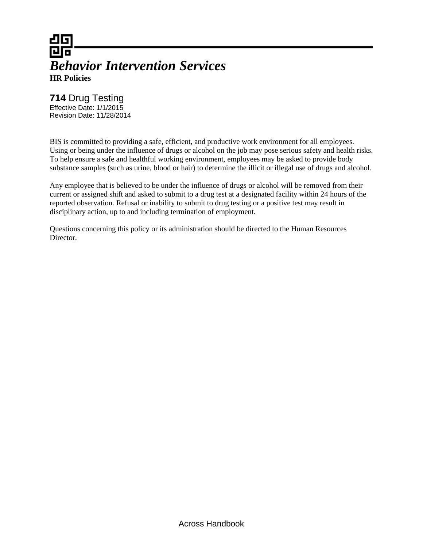### **714** Drug Testing

Effective Date: 1/1/2015 Revision Date: 11/28/2014

BIS is committed to providing a safe, efficient, and productive work environment for all employees. Using or being under the influence of drugs or alcohol on the job may pose serious safety and health risks. To help ensure a safe and healthful working environment, employees may be asked to provide body substance samples (such as urine, blood or hair) to determine the illicit or illegal use of drugs and alcohol.

Any employee that is believed to be under the influence of drugs or alcohol will be removed from their current or assigned shift and asked to submit to a drug test at a designated facility within 24 hours of the reported observation. Refusal or inability to submit to drug testing or a positive test may result in disciplinary action, up to and including termination of employment.

Questions concerning this policy or its administration should be directed to the Human Resources Director.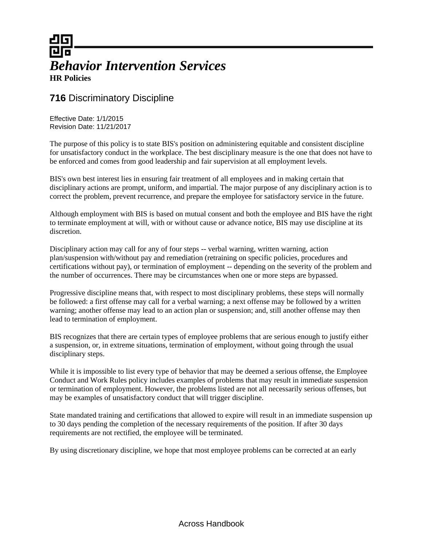### **716** Discriminatory Discipline

Effective Date: 1/1/2015 Revision Date: 11/21/2017

The purpose of this policy is to state BIS's position on administering equitable and consistent discipline for unsatisfactory conduct in the workplace. The best disciplinary measure is the one that does not have to be enforced and comes from good leadership and fair supervision at all employment levels.

BIS's own best interest lies in ensuring fair treatment of all employees and in making certain that disciplinary actions are prompt, uniform, and impartial. The major purpose of any disciplinary action is to correct the problem, prevent recurrence, and prepare the employee for satisfactory service in the future.

Although employment with BIS is based on mutual consent and both the employee and BIS have the right to terminate employment at will, with or without cause or advance notice, BIS may use discipline at its discretion.

Disciplinary action may call for any of four steps -- verbal warning, written warning, action plan/suspension with/without pay and remediation (retraining on specific policies, procedures and certifications without pay), or termination of employment -- depending on the severity of the problem and the number of occurrences. There may be circumstances when one or more steps are bypassed.

Progressive discipline means that, with respect to most disciplinary problems, these steps will normally be followed: a first offense may call for a verbal warning; a next offense may be followed by a written warning; another offense may lead to an action plan or suspension; and, still another offense may then lead to termination of employment.

BIS recognizes that there are certain types of employee problems that are serious enough to justify either a suspension, or, in extreme situations, termination of employment, without going through the usual disciplinary steps.

While it is impossible to list every type of behavior that may be deemed a serious offense, the Employee Conduct and Work Rules policy includes examples of problems that may result in immediate suspension or termination of employment. However, the problems listed are not all necessarily serious offenses, but may be examples of unsatisfactory conduct that will trigger discipline.

State mandated training and certifications that allowed to expire will result in an immediate suspension up to 30 days pending the completion of the necessary requirements of the position. If after 30 days requirements are not rectified, the employee will be terminated.

By using discretionary discipline, we hope that most employee problems can be corrected at an early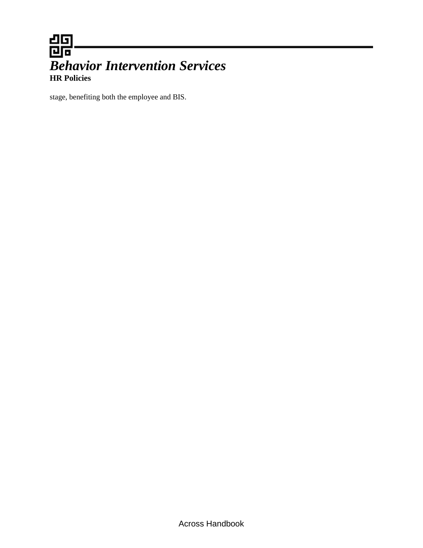stage, benefiting both the employee and BIS.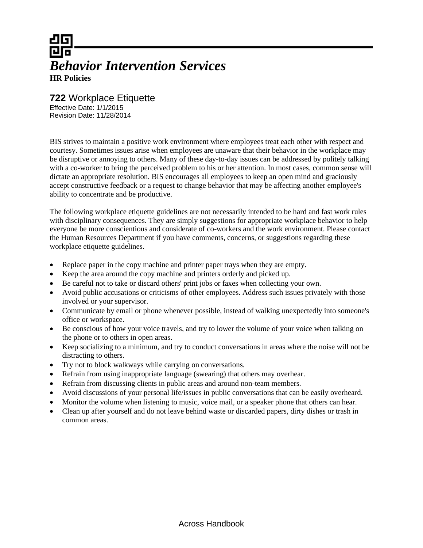#### **722** Workplace Etiquette

Effective Date: 1/1/2015 Revision Date: 11/28/2014

BIS strives to maintain a positive work environment where employees treat each other with respect and courtesy. Sometimes issues arise when employees are unaware that their behavior in the workplace may be disruptive or annoying to others. Many of these day-to-day issues can be addressed by politely talking with a co-worker to bring the perceived problem to his or her attention. In most cases, common sense will dictate an appropriate resolution. BIS encourages all employees to keep an open mind and graciously accept constructive feedback or a request to change behavior that may be affecting another employee's ability to concentrate and be productive.

The following workplace etiquette guidelines are not necessarily intended to be hard and fast work rules with disciplinary consequences. They are simply suggestions for appropriate workplace behavior to help everyone be more conscientious and considerate of co-workers and the work environment. Please contact the Human Resources Department if you have comments, concerns, or suggestions regarding these workplace etiquette guidelines.

- Replace paper in the copy machine and printer paper trays when they are empty.
- Keep the area around the copy machine and printers orderly and picked up.
- Be careful not to take or discard others' print jobs or faxes when collecting your own.
- Avoid public accusations or criticisms of other employees. Address such issues privately with those involved or your supervisor.
- Communicate by email or phone whenever possible, instead of walking unexpectedly into someone's office or workspace.
- Be conscious of how your voice travels, and try to lower the volume of your voice when talking on the phone or to others in open areas.
- Keep socializing to a minimum, and try to conduct conversations in areas where the noise will not be distracting to others.
- Try not to block walkways while carrying on conversations.
- Refrain from using inappropriate language (swearing) that others may overhear.
- Refrain from discussing clients in public areas and around non-team members.
- Avoid discussions of your personal life/issues in public conversations that can be easily overheard.
- Monitor the volume when listening to music, voice mail, or a speaker phone that others can hear.
- Clean up after yourself and do not leave behind waste or discarded papers, dirty dishes or trash in common areas.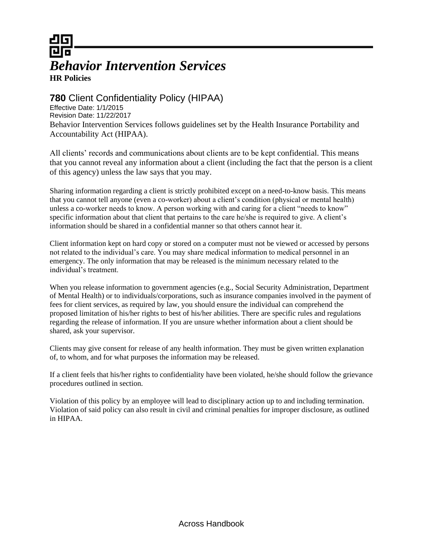#### **780** Client Confidentiality Policy (HIPAA)

Effective Date: 1/1/2015 Revision Date: 11/22/2017 Behavior Intervention Services follows guidelines set by the Health Insurance Portability and Accountability Act (HIPAA).

All clients' records and communications about clients are to be kept confidential. This means that you cannot reveal any information about a client (including the fact that the person is a client of this agency) unless the law says that you may.

Sharing information regarding a client is strictly prohibited except on a need-to-know basis. This means that you cannot tell anyone (even a co-worker) about a client's condition (physical or mental health) unless a co-worker needs to know. A person working with and caring for a client "needs to know" specific information about that client that pertains to the care he/she is required to give. A client's information should be shared in a confidential manner so that others cannot hear it.

Client information kept on hard copy or stored on a computer must not be viewed or accessed by persons not related to the individual's care. You may share medical information to medical personnel in an emergency. The only information that may be released is the minimum necessary related to the individual's treatment.

When you release information to government agencies (e.g., Social Security Administration, Department of Mental Health) or to individuals/corporations, such as insurance companies involved in the payment of fees for client services, as required by law, you should ensure the individual can comprehend the proposed limitation of his/her rights to best of his/her abilities. There are specific rules and regulations regarding the release of information. If you are unsure whether information about a client should be shared, ask your supervisor.

Clients may give consent for release of any health information. They must be given written explanation of, to whom, and for what purposes the information may be released.

If a client feels that his/her rights to confidentiality have been violated, he/she should follow the grievance procedures outlined in section.

Violation of this policy by an employee will lead to disciplinary action up to and including termination. Violation of said policy can also result in civil and criminal penalties for improper disclosure, as outlined in HIPAA.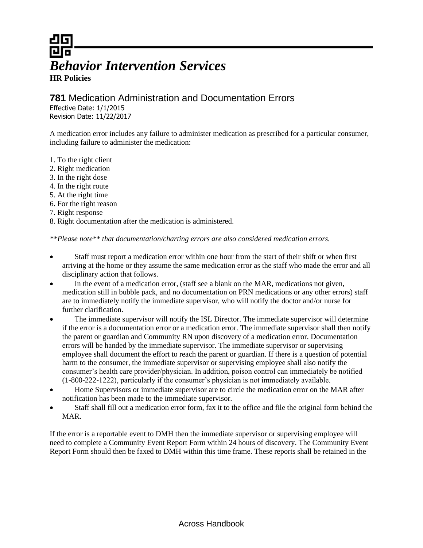**781** Medication Administration and Documentation Errors

Effective Date: 1/1/2015 Revision Date: 11/22/2017

A medication error includes any failure to administer medication as prescribed for a particular consumer, including failure to administer the medication:

- 1. To the right client
- 2. Right medication
- 3. In the right dose
- 4. In the right route
- 5. At the right time
- 6. For the right reason
- 7. Right response
- 8. Right documentation after the medication is administered.

*\*\*Please note\*\* that documentation/charting errors are also considered medication errors.*

- Staff must report a medication error within one hour from the start of their shift or when first arriving at the home or they assume the same medication error as the staff who made the error and all disciplinary action that follows.
- In the event of a medication error, (staff see a blank on the MAR, medications not given, medication still in bubble pack, and no documentation on PRN medications or any other errors) staff are to immediately notify the immediate supervisor, who will notify the doctor and/or nurse for further clarification.
- The immediate supervisor will notify the ISL Director. The immediate supervisor will determine if the error is a documentation error or a medication error. The immediate supervisor shall then notify the parent or guardian and Community RN upon discovery of a medication error. Documentation errors will be handed by the immediate supervisor. The immediate supervisor or supervising employee shall document the effort to reach the parent or guardian. If there is a question of potential harm to the consumer, the immediate supervisor or supervising employee shall also notify the consumer's health care provider/physician. In addition, poison control can immediately be notified (1-800-222-1222), particularly if the consumer's physician is not immediately available.
- Home Supervisors or immediate supervisor are to circle the medication error on the MAR after notification has been made to the immediate supervisor.
- Staff shall fill out a medication error form, fax it to the office and file the original form behind the MAR.

If the error is a reportable event to DMH then the immediate supervisor or supervising employee will need to complete a Community Event Report Form within 24 hours of discovery. The Community Event Report Form should then be faxed to DMH within this time frame. These reports shall be retained in the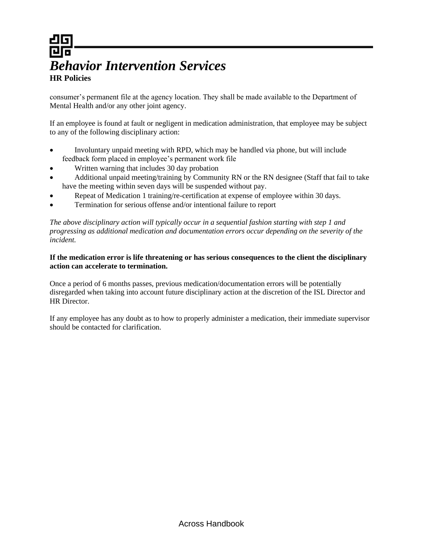consumer's permanent file at the agency location. They shall be made available to the Department of Mental Health and/or any other joint agency.

If an employee is found at fault or negligent in medication administration, that employee may be subject to any of the following disciplinary action:

- Involuntary unpaid meeting with RPD, which may be handled via phone, but will include feedback form placed in employee's permanent work file
- Written warning that includes 30 day probation
- Additional unpaid meeting/training by Community RN or the RN designee (Staff that fail to take have the meeting within seven days will be suspended without pay.
- Repeat of Medication 1 training/re-certification at expense of employee within 30 days.
- Termination for serious offense and/or intentional failure to report

*The above disciplinary action will typically occur in a sequential fashion starting with step 1 and progressing as additional medication and documentation errors occur depending on the severity of the incident.* 

#### **If the medication error is life threatening or has serious consequences to the client the disciplinary action can accelerate to termination.**

Once a period of 6 months passes, previous medication/documentation errors will be potentially disregarded when taking into account future disciplinary action at the discretion of the ISL Director and HR Director.

If any employee has any doubt as to how to properly administer a medication, their immediate supervisor should be contacted for clarification.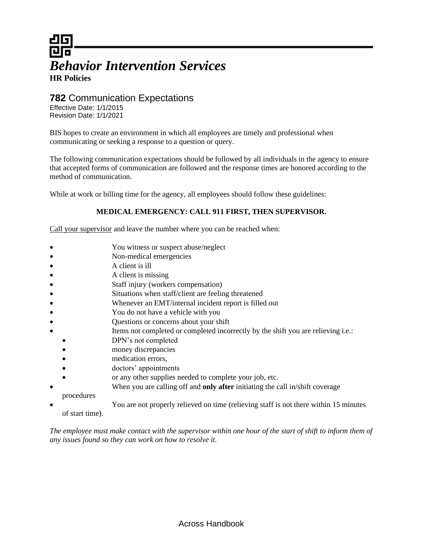#### **782** Communication Expectations

Effective Date: 1/1/2015 Revision Date: 1/1/2021

BIS hopes to create an environment in which all employees are timely and professional when communicating or seeking a response to a question or query.

The following communication expectations should be followed by all individuals in the agency to ensure that accepted forms of communication are followed and the response times are honored according to the method of communication.

While at work or billing time for the agency, all employees should follow these guidelines:

#### **MEDICAL EMERGENCY: CALL 911 FIRST, THEN SUPERVISOR.**

Call your supervisor and leave the number where you can be reached when:

- You witness or suspect abuse/neglect
- Non-medical emergencies
- A client is ill
- A client is missing
- Staff injury (workers compensation)
- Situations when staff/client are feeling threatened
- Whenever an EMT/internal incident report is filled out
- You do not have a vehicle with you
- Questions or concerns about your shift
- Items not completed or completed incorrectly by the shift you are relieving i.e.:
- DPN's not completed
- money discrepancies
- medication errors,
- doctors' appointments
- or any other supplies needed to complete your job, etc.
- When you are calling off and **only after** initiating the call in/shift coverage
- procedures • You are not properly relieved on time (relieving staff is not there within 15 minutes
	- of start time).

*The employee must make contact with the supervisor within one hour of the start of shift to inform them of any issues found so they can work on how to resolve it.*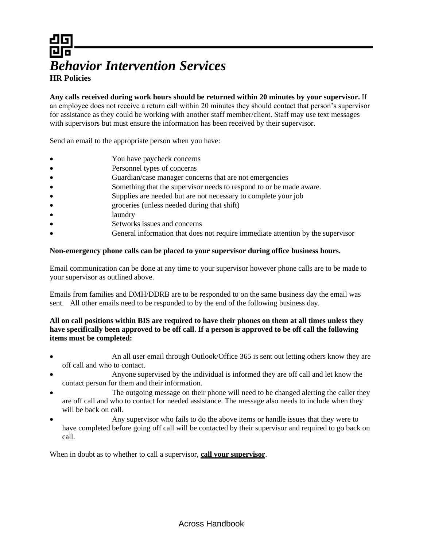#### **Any calls received during work hours should be returned within 20 minutes by your supervisor.** If

an employee does not receive a return call within 20 minutes they should contact that person's supervisor for assistance as they could be working with another staff member/client. Staff may use text messages with supervisors but must ensure the information has been received by their supervisor.

Send an email to the appropriate person when you have:

- You have paycheck concerns
- Personnel types of concerns
- Guardian/case manager concerns that are not emergencies
- Something that the supervisor needs to respond to or be made aware.
- Supplies are needed but are not necessary to complete your job
- groceries (unless needed during that shift)
- laundry
- Setworks issues and concerns
- General information that does not require immediate attention by the supervisor

#### **Non-emergency phone calls can be placed to your supervisor during office business hours.**

Email communication can be done at any time to your supervisor however phone calls are to be made to your supervisor as outlined above.

Emails from families and DMH/DDRB are to be responded to on the same business day the email was sent. All other emails need to be responded to by the end of the following business day.

#### **All on call positions within BIS are required to have their phones on them at all times unless they have specifically been approved to be off call. If a person is approved to be off call the following items must be completed:**

- An all user email through Outlook/Office 365 is sent out letting others know they are off call and who to contact.
- Anyone supervised by the individual is informed they are off call and let know the contact person for them and their information.
- The outgoing message on their phone will need to be changed alerting the caller they are off call and who to contact for needed assistance. The message also needs to include when they will be back on call.
- Any supervisor who fails to do the above items or handle issues that they were to have completed before going off call will be contacted by their supervisor and required to go back on call.

When in doubt as to whether to call a supervisor, **call your supervisor**.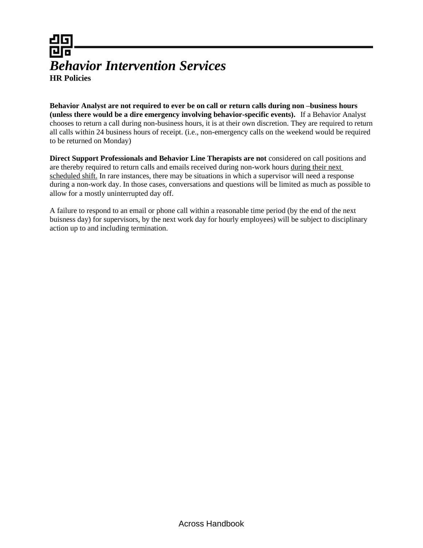**Behavior Analyst are not required to ever be on call or return calls during non –business hours (unless there would be a dire emergency involving behavior-specific events).** If a Behavior Analyst chooses to return a call during non-business hours, it is at their own discretion. They are required to return all calls within 24 business hours of receipt. (i.e., non-emergency calls on the weekend would be required to be returned on Monday)

**Direct Support Professionals and Behavior Line Therapists are not** considered on call positions and are thereby required to return calls and emails received during non-work hours during their next scheduled shift. In rare instances, there may be situations in which a supervisor will need a response during a non-work day. In those cases, conversations and questions will be limited as much as possible to allow for a mostly uninterrupted day off.

A failure to respond to an email or phone call within a reasonable time period (by the end of the next buisness day) for supervisors, by the next work day for hourly employees) will be subject to disciplinary action up to and including termination.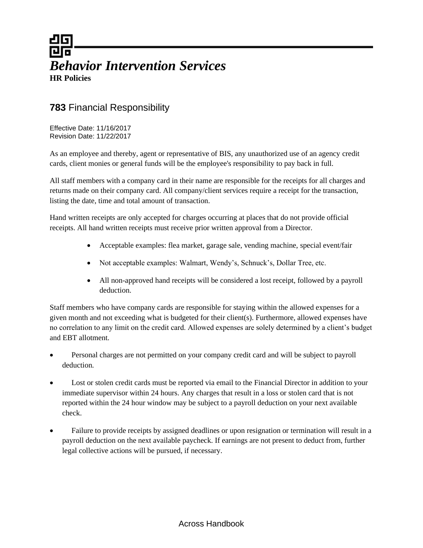### **783** Financial Responsibility

Effective Date: 11/16/2017 Revision Date: 11/22/2017

As an employee and thereby, agent or representative of BIS, any unauthorized use of an agency credit cards, client monies or general funds will be the employee's responsibility to pay back in full.

All staff members with a company card in their name are responsible for the receipts for all charges and returns made on their company card. All company/client services require a receipt for the transaction, listing the date, time and total amount of transaction.

Hand written receipts are only accepted for charges occurring at places that do not provide official receipts. All hand written receipts must receive prior written approval from a Director.

- Acceptable examples: flea market, garage sale, vending machine, special event/fair
- Not acceptable examples: Walmart, Wendy's, Schnuck's, Dollar Tree, etc.
- All non-approved hand receipts will be considered a lost receipt, followed by a payroll deduction.

Staff members who have company cards are responsible for staying within the allowed expenses for a given month and not exceeding what is budgeted for their client(s). Furthermore, allowed expenses have no correlation to any limit on the credit card. Allowed expenses are solely determined by a client's budget and EBT allotment.

- Personal charges are not permitted on your company credit card and will be subject to payroll deduction.
- Lost or stolen credit cards must be reported via email to the Financial Director in addition to your immediate supervisor within 24 hours. Any charges that result in a loss or stolen card that is not reported within the 24 hour window may be subject to a payroll deduction on your next available check.
- Failure to provide receipts by assigned deadlines or upon resignation or termination will result in a payroll deduction on the next available paycheck. If earnings are not present to deduct from, further legal collective actions will be pursued, if necessary.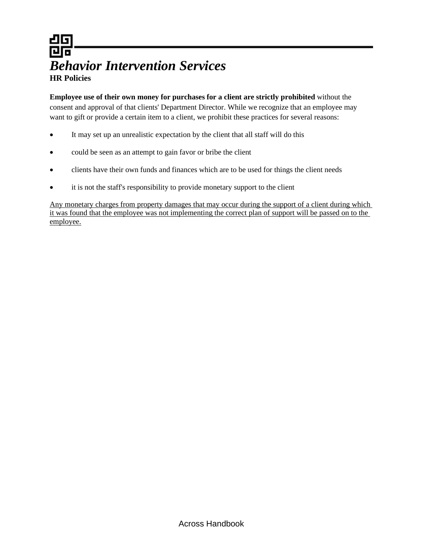**Employee use of their own money for purchases for a client are strictly prohibited** without the consent and approval of that clients' Department Director. While we recognize that an employee may want to gift or provide a certain item to a client, we prohibit these practices for several reasons:

- It may set up an unrealistic expectation by the client that all staff will do this
- could be seen as an attempt to gain favor or bribe the client
- clients have their own funds and finances which are to be used for things the client needs
- it is not the staff's responsibility to provide monetary support to the client

Any monetary charges from property damages that may occur during the support of a client during which it was found that the employee was not implementing the correct plan of support will be passed on to the employee.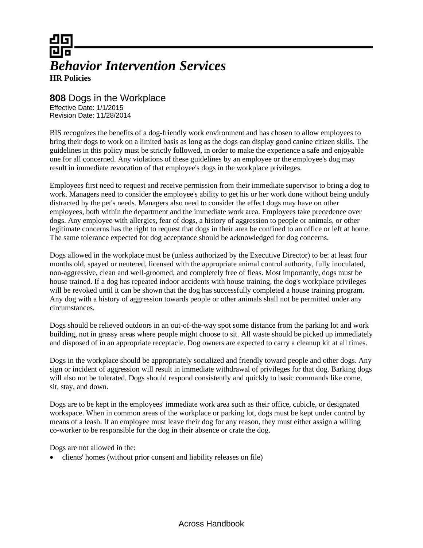#### **808** Dogs in the Workplace

Effective Date: 1/1/2015 Revision Date: 11/28/2014

BIS recognizes the benefits of a dog-friendly work environment and has chosen to allow employees to bring their dogs to work on a limited basis as long as the dogs can display good canine citizen skills. The guidelines in this policy must be strictly followed, in order to make the experience a safe and enjoyable one for all concerned. Any violations of these guidelines by an employee or the employee's dog may result in immediate revocation of that employee's dogs in the workplace privileges.

Employees first need to request and receive permission from their immediate supervisor to bring a dog to work. Managers need to consider the employee's ability to get his or her work done without being unduly distracted by the pet's needs. Managers also need to consider the effect dogs may have on other employees, both within the department and the immediate work area. Employees take precedence over dogs. Any employee with allergies, fear of dogs, a history of aggression to people or animals, or other legitimate concerns has the right to request that dogs in their area be confined to an office or left at home. The same tolerance expected for dog acceptance should be acknowledged for dog concerns.

Dogs allowed in the workplace must be (unless authorized by the Executive Director) to be: at least four months old, spayed or neutered, licensed with the appropriate animal control authority, fully inoculated, non-aggressive, clean and well-groomed, and completely free of fleas. Most importantly, dogs must be house trained. If a dog has repeated indoor accidents with house training, the dog's workplace privileges will be revoked until it can be shown that the dog has successfully completed a house training program. Any dog with a history of aggression towards people or other animals shall not be permitted under any circumstances.

Dogs should be relieved outdoors in an out-of-the-way spot some distance from the parking lot and work building, not in grassy areas where people might choose to sit. All waste should be picked up immediately and disposed of in an appropriate receptacle. Dog owners are expected to carry a cleanup kit at all times.

Dogs in the workplace should be appropriately socialized and friendly toward people and other dogs. Any sign or incident of aggression will result in immediate withdrawal of privileges for that dog. Barking dogs will also not be tolerated. Dogs should respond consistently and quickly to basic commands like come, sit, stay, and down.

Dogs are to be kept in the employees' immediate work area such as their office, cubicle, or designated workspace. When in common areas of the workplace or parking lot, dogs must be kept under control by means of a leash. If an employee must leave their dog for any reason, they must either assign a willing co-worker to be responsible for the dog in their absence or crate the dog.

Dogs are not allowed in the:

• clients' homes (without prior consent and liability releases on file)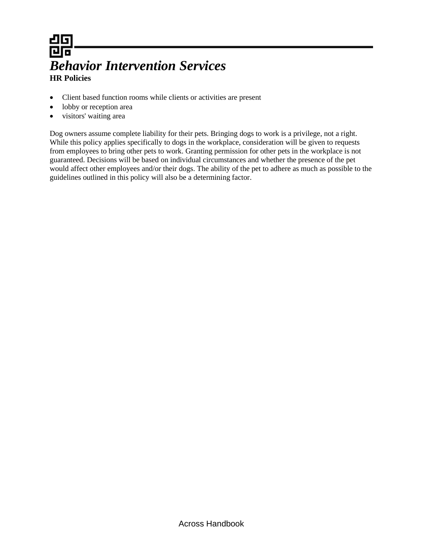- Client based function rooms while clients or activities are present
- lobby or reception area
- visitors' waiting area

Dog owners assume complete liability for their pets. Bringing dogs to work is a privilege, not a right. While this policy applies specifically to dogs in the workplace, consideration will be given to requests from employees to bring other pets to work. Granting permission for other pets in the workplace is not guaranteed. Decisions will be based on individual circumstances and whether the presence of the pet would affect other employees and/or their dogs. The ability of the pet to adhere as much as possible to the guidelines outlined in this policy will also be a determining factor.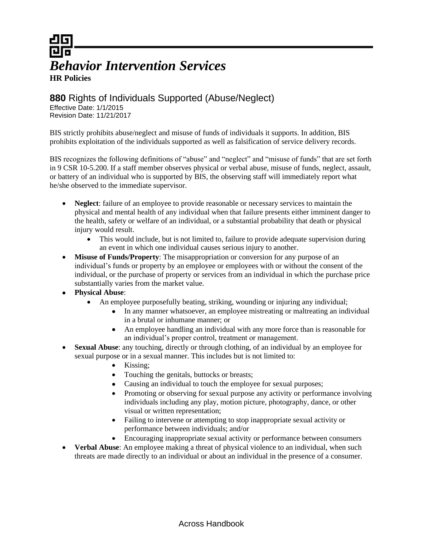#### **880** Rights of Individuals Supported (Abuse/Neglect)

Effective Date: 1/1/2015 Revision Date: 11/21/2017

BIS strictly prohibits abuse/neglect and misuse of funds of individuals it supports. In addition, BIS prohibits exploitation of the individuals supported as well as falsification of service delivery records.

BIS recognizes the following definitions of "abuse" and "neglect" and "misuse of funds" that are set forth in 9 CSR 10-5.200. If a staff member observes physical or verbal abuse, misuse of funds, neglect, assault, or battery of an individual who is supported by BIS, the observing staff will immediately report what he/she observed to the immediate supervisor.

- **Neglect**: failure of an employee to provide reasonable or necessary services to maintain the physical and mental health of any individual when that failure presents either imminent danger to the health, safety or welfare of an individual, or a substantial probability that death or physical injury would result.
	- This would include, but is not limited to, failure to provide adequate supervision during an event in which one individual causes serious injury to another.
- **Misuse of Funds/Property**: The misappropriation or conversion for any purpose of an individual's funds or property by an employee or employees with or without the consent of the individual, or the purchase of property or services from an individual in which the purchase price substantially varies from the market value.
- **Physical Abuse**:
	- An employee purposefully beating, striking, wounding or injuring any individual;
		- In any manner whatsoever, an employee mistreating or maltreating an individual in a brutal or inhumane manner; or
		- An employee handling an individual with any more force than is reasonable for an individual's proper control, treatment or management.
- **Sexual Abuse:** any touching, directly or through clothing, of an individual by an employee for sexual purpose or in a sexual manner. This includes but is not limited to:
	- Kissing;
	- Touching the genitals, buttocks or breasts;
	- Causing an individual to touch the employee for sexual purposes;
	- Promoting or observing for sexual purpose any activity or performance involving individuals including any play, motion picture, photography, dance, or other visual or written representation;
	- Failing to intervene or attempting to stop inappropriate sexual activity or performance between individuals; and/or
	- Encouraging inappropriate sexual activity or performance between consumers
- **Verbal Abuse**: An employee making a threat of physical violence to an individual, when such threats are made directly to an individual or about an individual in the presence of a consumer.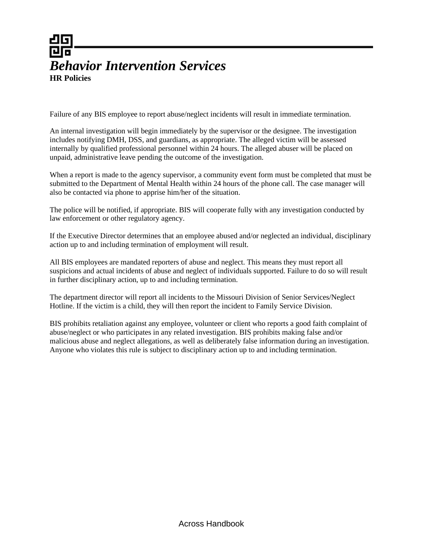Failure of any BIS employee to report abuse/neglect incidents will result in immediate termination.

An internal investigation will begin immediately by the supervisor or the designee. The investigation includes notifying DMH, DSS, and guardians, as appropriate. The alleged victim will be assessed internally by qualified professional personnel within 24 hours. The alleged abuser will be placed on unpaid, administrative leave pending the outcome of the investigation.

When a report is made to the agency supervisor, a community event form must be completed that must be submitted to the Department of Mental Health within 24 hours of the phone call. The case manager will also be contacted via phone to apprise him/her of the situation.

The police will be notified, if appropriate. BIS will cooperate fully with any investigation conducted by law enforcement or other regulatory agency.

If the Executive Director determines that an employee abused and/or neglected an individual, disciplinary action up to and including termination of employment will result.

All BIS employees are mandated reporters of abuse and neglect. This means they must report all suspicions and actual incidents of abuse and neglect of individuals supported. Failure to do so will result in further disciplinary action, up to and including termination.

The department director will report all incidents to the Missouri Division of Senior Services/Neglect Hotline. If the victim is a child, they will then report the incident to Family Service Division.

BIS prohibits retaliation against any employee, volunteer or client who reports a good faith complaint of abuse/neglect or who participates in any related investigation. BIS prohibits making false and/or malicious abuse and neglect allegations, as well as deliberately false information during an investigation. Anyone who violates this rule is subject to disciplinary action up to and including termination.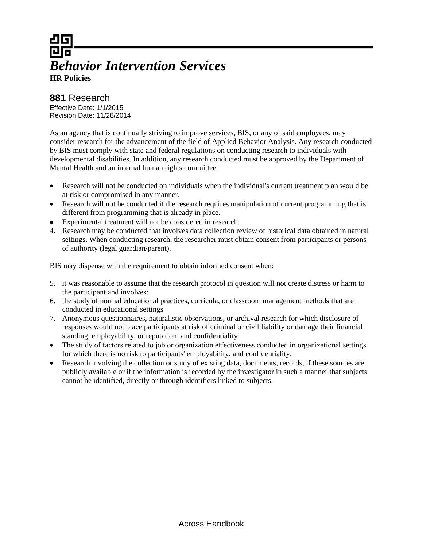#### **881** Research

Effective Date: 1/1/2015 Revision Date: 11/28/2014

As an agency that is continually striving to improve services, BIS, or any of said employees, may consider research for the advancement of the field of Applied Behavior Analysis. Any research conducted by BIS must comply with state and federal regulations on conducting research to individuals with developmental disabilities. In addition, any research conducted must be approved by the Department of Mental Health and an internal human rights committee.

- Research will not be conducted on individuals when the individual's current treatment plan would be at risk or compromised in any manner.
- Research will not be conducted if the research requires manipulation of current programming that is different from programming that is already in place.
- Experimental treatment will not be considered in research.
- 4. Research may be conducted that involves data collection review of historical data obtained in natural settings. When conducting research, the researcher must obtain consent from participants or persons of authority (legal guardian/parent).

BIS may dispense with the requirement to obtain informed consent when:

- 5. it was reasonable to assume that the research protocol in question will not create distress or harm to the participant and involves:
- 6. the study of normal educational practices, curricula, or classroom management methods that are conducted in educational settings
- 7. Anonymous questionnaires, naturalistic observations, or archival research for which disclosure of responses would not place participants at risk of criminal or civil liability or damage their financial standing, employability, or reputation, and confidentiality
- The study of factors related to job or organization effectiveness conducted in organizational settings for which there is no risk to participants' employability, and confidentiality.
- Research involving the collection or study of existing data, documents, records, if these sources are publicly available or if the information is recorded by the investigator in such a manner that subjects cannot be identified, directly or through identifiers linked to subjects.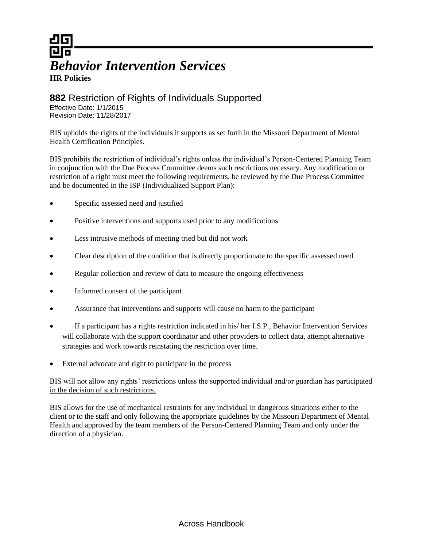#### **882** Restriction of Rights of Individuals Supported

Effective Date: 1/1/2015 Revision Date: 11/28/2017

BIS upholds the rights of the individuals it supports as set forth in the Missouri Department of Mental Health Certification Principles.

BIS prohibits the restriction of individual's rights unless the individual's Person-Centered Planning Team in conjunction with the Due Process Committee deems such restrictions necessary. Any modification or restriction of a right must meet the following requirements, be reviewed by the Due Process Committee and be documented in the ISP (Individualized Support Plan):

- Specific assessed need and justified
- Positive interventions and supports used prior to any modifications
- Less intrusive methods of meeting tried but did not work
- Clear description of the condition that is directly proportionate to the specific assessed need
- Regular collection and review of data to measure the ongoing effectiveness
- Informed consent of the participant
- Assurance that interventions and supports will cause no harm to the participant
- If a participant has a rights restriction indicated in his/ her I.S.P., Behavior Intervention Services will collaborate with the support coordinator and other providers to collect data, attempt alternative strategies and work towards reinstating the restriction over time.
- External advocate and right to participate in the process

#### BIS will not allow any rights' restrictions unless the supported individual and/or guardian has participated in the decision of such restrictions.

BIS allows for the use of mechanical restraints for any individual in dangerous situations either to the client or to the staff and only following the appropriate guidelines by the Missouri Department of Mental Health and approved by the team members of the Person-Centered Planning Team and only under the direction of a physician.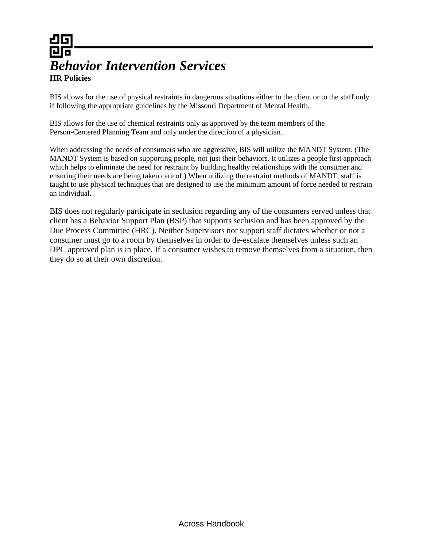BIS allows for the use of physical restraints in dangerous situations either to the client or to the staff only if following the appropriate guidelines by the Missouri Department of Mental Health.

BIS allows for the use of chemical restraints only as approved by the team members of the Person-Centered Planning Team and only under the direction of a physician.

When addressing the needs of consumers who are aggressive, BIS will utilize the MANDT System. (The MANDT System is based on supporting people, not just their behaviors. It utilizes a people first approach which helps to eliminate the need for restraint by building healthy relationships with the consumer and ensuring their needs are being taken care of.) When utilizing the restraint methods of MANDT, staff is taught to use physical techniques that are designed to use the minimum amount of force needed to restrain an individual.

BIS does not regularly participate in seclusion regarding any of the consumers served unless that client has a Behavior Support Plan (BSP) that supports seclusion and has been approved by the Due Process Committee (HRC). Neither Supervisors nor support staff dictates whether or not a consumer must go to a room by themselves in order to de-escalate themselves unless such an DPC approved plan is in place. If a consumer wishes to remove themselves from a situation, then they do so at their own discretion.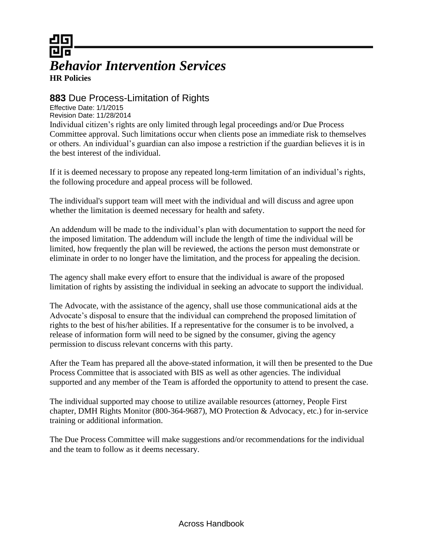#### **883** Due Process-Limitation of Rights

Effective Date: 1/1/2015 Revision Date: 11/28/2014 Individual citizen's rights are only limited through legal proceedings and/or Due Process Committee approval. Such limitations occur when clients pose an immediate risk to themselves or others. An individual's guardian can also impose a restriction if the guardian believes it is in the best interest of the individual.

If it is deemed necessary to propose any repeated long-term limitation of an individual's rights, the following procedure and appeal process will be followed.

The individual's support team will meet with the individual and will discuss and agree upon whether the limitation is deemed necessary for health and safety.

An addendum will be made to the individual's plan with documentation to support the need for the imposed limitation. The addendum will include the length of time the individual will be limited, how frequently the plan will be reviewed, the actions the person must demonstrate or eliminate in order to no longer have the limitation, and the process for appealing the decision.

The agency shall make every effort to ensure that the individual is aware of the proposed limitation of rights by assisting the individual in seeking an advocate to support the individual.

The Advocate, with the assistance of the agency, shall use those communicational aids at the Advocate's disposal to ensure that the individual can comprehend the proposed limitation of rights to the best of his/her abilities. If a representative for the consumer is to be involved, a release of information form will need to be signed by the consumer, giving the agency permission to discuss relevant concerns with this party.

After the Team has prepared all the above-stated information, it will then be presented to the Due Process Committee that is associated with BIS as well as other agencies. The individual supported and any member of the Team is afforded the opportunity to attend to present the case.

The individual supported may choose to utilize available resources (attorney, People First chapter, DMH Rights Monitor (800-364-9687), MO Protection & Advocacy, etc.) for in-service training or additional information.

The Due Process Committee will make suggestions and/or recommendations for the individual and the team to follow as it deems necessary.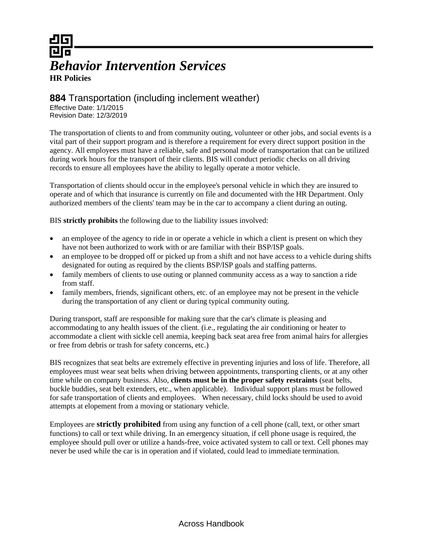#### **884** Transportation (including inclement weather)

Effective Date: 1/1/2015 Revision Date: 12/3/2019

The transportation of clients to and from community outing, volunteer or other jobs, and social events is a vital part of their support program and is therefore a requirement for every direct support position in the agency. All employees must have a reliable, safe and personal mode of transportation that can be utilized during work hours for the transport of their clients. BIS will conduct periodic checks on all driving records to ensure all employees have the ability to legally operate a motor vehicle.

Transportation of clients should occur in the employee's personal vehicle in which they are insured to operate and of which that insurance is currently on file and documented with the HR Department. Only authorized members of the clients' team may be in the car to accompany a client during an outing.

BIS **strictly prohibits** the following due to the liability issues involved:

- an employee of the agency to ride in or operate a vehicle in which a client is present on which they have not been authorized to work with or are familiar with their BSP/ISP goals.
- an employee to be dropped off or picked up from a shift and not have access to a vehicle during shifts designated for outing as required by the clients BSP/ISP goals and staffing patterns.
- family members of clients to use outing or planned community access as a way to sanction a ride from staff.
- family members, friends, significant others, etc. of an employee may not be present in the vehicle during the transportation of any client or during typical community outing.

During transport, staff are responsible for making sure that the car's climate is pleasing and accommodating to any health issues of the client. (i.e., regulating the air conditioning or heater to accommodate a client with sickle cell anemia, keeping back seat area free from animal hairs for allergies or free from debris or trash for safety concerns, etc.)

BIS recognizes that seat belts are extremely effective in preventing injuries and loss of life. Therefore, all employees must wear seat belts when driving between appointments, transporting clients, or at any other time while on company business. Also, **clients must be in the proper safety restraints** (seat belts, buckle buddies, seat belt extenders, etc., when applicable). Individual support plans must be followed for safe transportation of clients and employees. When necessary, child locks should be used to avoid attempts at elopement from a moving or stationary vehicle.

Employees are **strictly prohibited** from using any function of a cell phone (call, text, or other smart functions) to call or text while driving. In an emergency situation, if cell phone usage is required, the employee should pull over or utilize a hands-free, voice activated system to call or text. Cell phones may never be used while the car is in operation and if violated, could lead to immediate termination.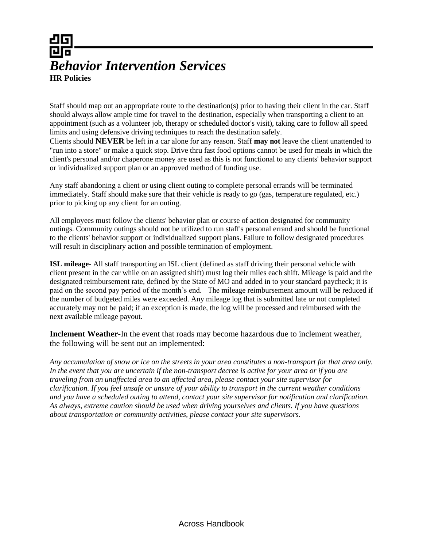Staff should map out an appropriate route to the destination(s) prior to having their client in the car. Staff should always allow ample time for travel to the destination, especially when transporting a client to an appointment (such as a volunteer job, therapy or scheduled doctor's visit), taking care to follow all speed limits and using defensive driving techniques to reach the destination safely.

Clients should **NEVER** be left in a car alone for any reason. Staff **may not** leave the client unattended to "run into a store" or make a quick stop. Drive thru fast food options cannot be used for meals in which the client's personal and/or chaperone money are used as this is not functional to any clients' behavior support or individualized support plan or an approved method of funding use.

Any staff abandoning a client or using client outing to complete personal errands will be terminated immediately. Staff should make sure that their vehicle is ready to go (gas, temperature regulated, etc.) prior to picking up any client for an outing.

All employees must follow the clients' behavior plan or course of action designated for community outings. Community outings should not be utilized to run staff's personal errand and should be functional to the clients' behavior support or individualized support plans. Failure to follow designated procedures will result in disciplinary action and possible termination of employment.

**ISL mileage**- All staff transporting an ISL client (defined as staff driving their personal vehicle with client present in the car while on an assigned shift) must log their miles each shift. Mileage is paid and the designated reimbursement rate, defined by the State of MO and added in to your standard paycheck; it is paid on the second pay period of the month's end. The mileage reimbursement amount will be reduced if the number of budgeted miles were exceeded. Any mileage log that is submitted late or not completed accurately may not be paid; if an exception is made, the log will be processed and reimbursed with the next available mileage payout.

**Inclement Weather**-In the event that roads may become hazardous due to inclement weather, the following will be sent out an implemented:

*Any accumulation of snow or ice on the streets in your area constitutes a non-transport for that area only. In the event that you are uncertain if the non-transport decree is active for your area or if you are traveling from an unaffected area to an affected area, please contact your site supervisor for clarification. If you feel unsafe or unsure of your ability to transport in the current weather conditions and you have a scheduled outing to attend, contact your site supervisor for notification and clarification. As always, extreme caution should be used when driving yourselves and clients. If you have questions about transportation or community activities, please contact your site supervisors.*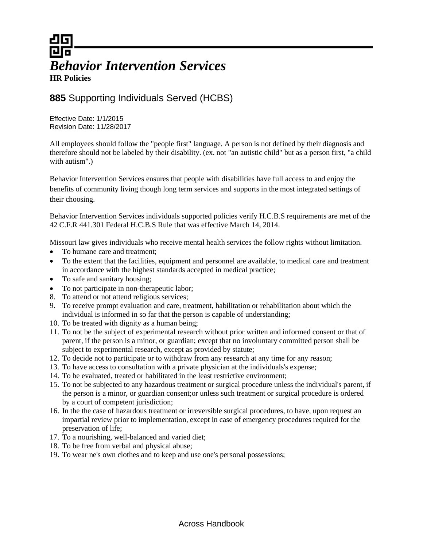### **885** Supporting Individuals Served (HCBS)

Effective Date: 1/1/2015 Revision Date: 11/28/2017

All employees should follow the "people first" language. A person is not defined by their diagnosis and therefore should not be labeled by their disability. (ex. not "an autistic child" but as a person first, "a child with autism".)

Behavior Intervention Services ensures that people with disabilities have full access to and enjoy the benefits of community living though long term services and supports in the most integrated settings of their choosing.

Behavior Intervention Services individuals supported policies verify H.C.B.S requirements are met of the 42 C.F.R 441.301 Federal H.C.B.S Rule that was effective March 14, 2014.

Missouri law gives individuals who receive mental health services the follow rights without limitation.

- To humane care and treatment;
- To the extent that the facilities, equipment and personnel are available, to medical care and treatment in accordance with the highest standards accepted in medical practice;
- To safe and sanitary housing;
- To not participate in non-therapeutic labor;
- 8. To attend or not attend religious services;
- 9. To receive prompt evaluation and care, treatment, habilitation or rehabilitation about which the individual is informed in so far that the person is capable of understanding;
- 10. To be treated with dignity as a human being;
- 11. To not be the subject of experimental research without prior written and informed consent or that of parent, if the person is a minor, or guardian; except that no involuntary committed person shall be subject to experimental research, except as provided by statute;
- 12. To decide not to participate or to withdraw from any research at any time for any reason;
- 13. To have access to consultation with a private physician at the individuals's expense;
- 14. To be evaluated, treated or habilitated in the least restrictive environment;
- 15. To not be subjected to any hazardous treatment or surgical procedure unless the individual's parent, if the person is a minor, or guardian consent;or unless such treatment or surgical procedure is ordered by a court of competent jurisdiction;
- 16. In the the case of hazardous treatment or irreversible surgical procedures, to have, upon request an impartial review prior to implementation, except in case of emergency procedures required for the preservation of life;
- 17. To a nourishing, well-balanced and varied diet;
- 18. To be free from verbal and physical abuse;
- 19. To wear ne's own clothes and to keep and use one's personal possessions;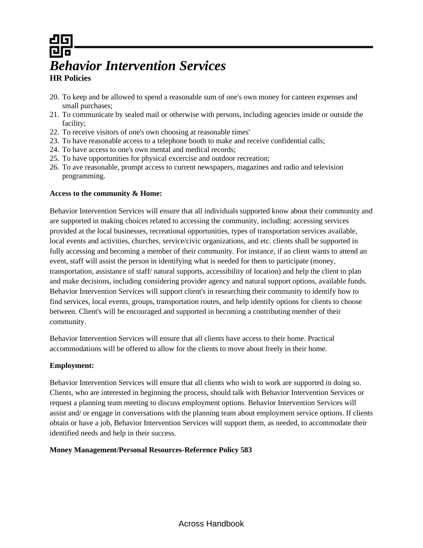- 20. To keep and be allowed to spend a reasonable sum of one's own money for canteen expenses and small purchases;
- 21. To communicate by sealed mail or otherwise with persons, including agencies inside or outside the facility;
- 22. To receive visitors of one's own choosing at reasonable times'
- 23. To have reasonable access to a telephone booth to make and receive confidential calls;
- 24. To have access to one's own mental and medical records;
- 25. To have opportunities for physical excercise and outdoor recreation;
- 26. To ave reasonable, prompt access to current newspapers, magazines and radio and television programming.

#### **Access to the community & Home:**

Behavior Intervention Services will ensure that all individuals supported know about their community and are supported in making choices related to accessing the community, including: accessing services provided at the local businesses, recreational opportunities, types of transportation services available, local events and activities, churches, service/civic organizations, and etc. clients shall be supported in fully accessing and becoming a member of their community. For instance, if an client wants to attend an event, staff will assist the person in identifying what is needed for them to participate (money, transportation, assistance of staff/ natural supports, accessibility of location) and help the client to plan and make decisions, including considering provider agency and natural support options, available funds. Behavior Intervention Services will support client's in researching their community to identify how to find services, local events, groups, transportation routes, and help identify options for clients to choose between. Client's will be encouraged and supported in becoming a contributing member of their community.

Behavior Intervention Services will ensure that all clients have access to their home. Practical accommodations will be offered to allow for the clients to move about freely in their home.

#### **Employment:**

Behavior Intervention Services will ensure that all clients who wish to work are supported in doing so. Clients, who are interested in beginning the process, should talk with Behavior Intervention Services or request a planning team meeting to discuss employment options. Behavior Intervention Services will assist and/ or engage in conversations with the planning team about employment service options. If clients obtain or have a job, Behavior Intervention Services will support them, as needed, to accommodate their identified needs and help in their success.

#### **Money Management/Personal Resources-Reference Policy 583**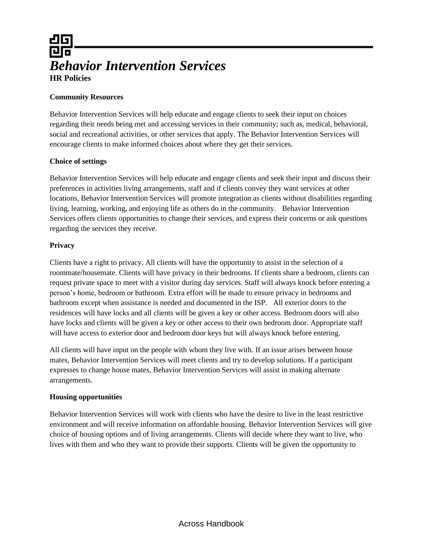#### **Community Resources**

Behavior Intervention Services will help educate and engage clients to seek their input on choices regarding their needs being met and accessing services in their community; such as, medical, behavioral, social and recreational activities, or other services that apply. The Behavior Intervention Services will encourage clients to make informed choices about where they get their services.

#### **Choice of settings**

Behavior Intervention Services will help educate and engage clients and seek their input and discuss their preferences in activities living arrangements, staff and if clients convey they want services at other locations, Behavior Intervention Services will promote integration as clients without disabilities regarding living, learning, working, and enjoying life as others do in the community. Behavior Intervention Services offers clients opportunities to change their services, and express their concerns or ask questions regarding the services they receive.

#### **Privacy**

Clients have a right to privacy. All clients will have the opportunity to assist in the selection of a roommate/housemate. Clients will have privacy in their bedrooms. If clients share a bedroom, clients can request private space to meet with a visitor during day services. Staff will always knock before entering a person's home, bedroom or bathroom. Extra effort will be made to ensure privacy in bedrooms and bathroom except when assistance is needed and documented in the ISP. All exterior doors to the residences will have locks and all clients will be given a key or other access. Bedroom doors will also have locks and clients will be given a key or other access to their own bedroom door. Appropriate staff will have access to exterior door and bedroom door keys but will always knock before entering.

All clients will have input on the people with whom they live with. If an issue arises between house mates, Behavior Intervention Services will meet clients and try to develop solutions. If a participant expresses to change house mates, Behavior Intervention Services will assist in making alternate arrangements.

#### **Housing opportunities**

Behavior Intervention Services will work with clients who have the desire to live in the least restrictive environment and will receive information on affordable housing. Behavior Intervention Services will give choice of housing options and of living arrangements. Clients will decide where they want to live, who lives with them and who they want to provide their supports. Clients will be given the opportunity to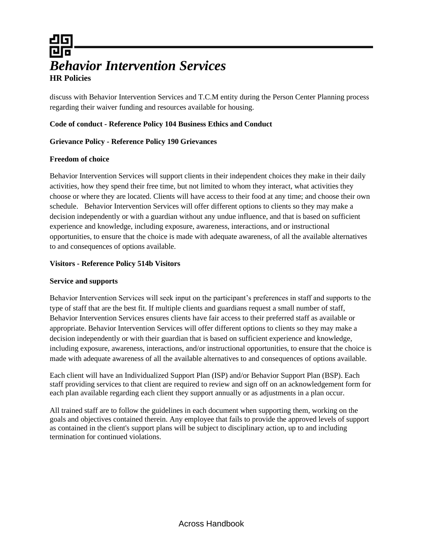discuss with Behavior Intervention Services and T.C.M entity during the Person Center Planning process regarding their waiver funding and resources available for housing.

#### **Code of conduct - Reference Policy 104 Business Ethics and Conduct**

#### **Grievance Policy - Reference Policy 190 Grievances**

#### **Freedom of choice**

Behavior Intervention Services will support clients in their independent choices they make in their daily activities, how they spend their free time, but not limited to whom they interact, what activities they choose or where they are located. Clients will have access to their food at any time; and choose their own schedule. Behavior Intervention Services will offer different options to clients so they may make a decision independently or with a guardian without any undue influence, and that is based on sufficient experience and knowledge, including exposure, awareness, interactions, and or instructional opportunities, to ensure that the choice is made with adequate awareness, of all the available alternatives to and consequences of options available.

#### **Visitors - Reference Policy 514b Visitors**

#### **Service and supports**

Behavior Intervention Services will seek input on the participant's preferences in staff and supports to the type of staff that are the best fit. If multiple clients and guardians request a small number of staff, Behavior Intervention Services ensures clients have fair access to their preferred staff as available or appropriate. Behavior Intervention Services will offer different options to clients so they may make a decision independently or with their guardian that is based on sufficient experience and knowledge, including exposure, awareness, interactions, and/or instructional opportunities, to ensure that the choice is made with adequate awareness of all the available alternatives to and consequences of options available.

Each client will have an Individualized Support Plan (ISP) and/or Behavior Support Plan (BSP). Each staff providing services to that client are required to review and sign off on an acknowledgement form for each plan available regarding each client they support annually or as adjustments in a plan occur.

All trained staff are to follow the guidelines in each document when supporting them, working on the goals and objectives contained therein. Any employee that fails to provide the approved levels of support as contained in the client's support plans will be subject to disciplinary action, up to and including termination for continued violations.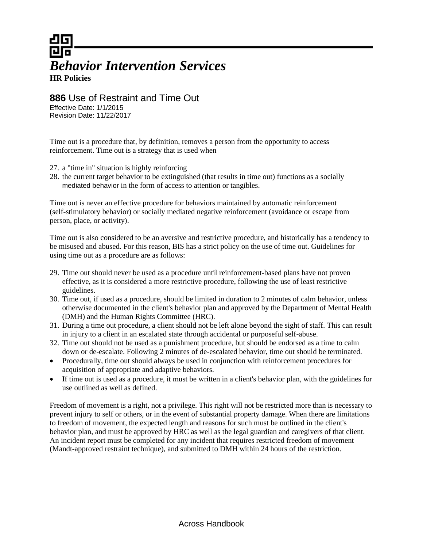#### **886** Use of Restraint and Time Out

Effective Date: 1/1/2015 Revision Date: 11/22/2017

Time out is a procedure that, by definition, removes a person from the opportunity to access reinforcement. Time out is a strategy that is used when

- 27. a "time in" situation is highly reinforcing
- 28. the current target behavior to be extinguished (that results in time out) functions as a socially mediated behavior in the form of access to attention or tangibles.

Time out is never an effective procedure for behaviors maintained by automatic reinforcement (self-stimulatory behavior) or socially mediated negative reinforcement (avoidance or escape from person, place, or activity).

Time out is also considered to be an aversive and restrictive procedure, and historically has a tendency to be misused and abused. For this reason, BIS has a strict policy on the use of time out. Guidelines for using time out as a procedure are as follows:

- 29. Time out should never be used as a procedure until reinforcement-based plans have not proven effective, as it is considered a more restrictive procedure, following the use of least restrictive guidelines.
- 30. Time out, if used as a procedure, should be limited in duration to 2 minutes of calm behavior, unless otherwise documented in the client's behavior plan and approved by the Department of Mental Health (DMH) and the Human Rights Committee (HRC).
- 31. During a time out procedure, a client should not be left alone beyond the sight of staff. This can result in injury to a client in an escalated state through accidental or purposeful self-abuse.
- 32. Time out should not be used as a punishment procedure, but should be endorsed as a time to calm down or de-escalate. Following 2 minutes of de-escalated behavior, time out should be terminated.
- Procedurally, time out should always be used in conjunction with reinforcement procedures for acquisition of appropriate and adaptive behaviors.
- If time out is used as a procedure, it must be written in a client's behavior plan, with the guidelines for use outlined as well as defined.

Freedom of movement is a right, not a privilege. This right will not be restricted more than is necessary to prevent injury to self or others, or in the event of substantial property damage. When there are limitations to freedom of movement, the expected length and reasons for such must be outlined in the client's behavior plan, and must be approved by HRC as well as the legal guardian and caregivers of that client. An incident report must be completed for any incident that requires restricted freedom of movement (Mandt-approved restraint technique), and submitted to DMH within 24 hours of the restriction.